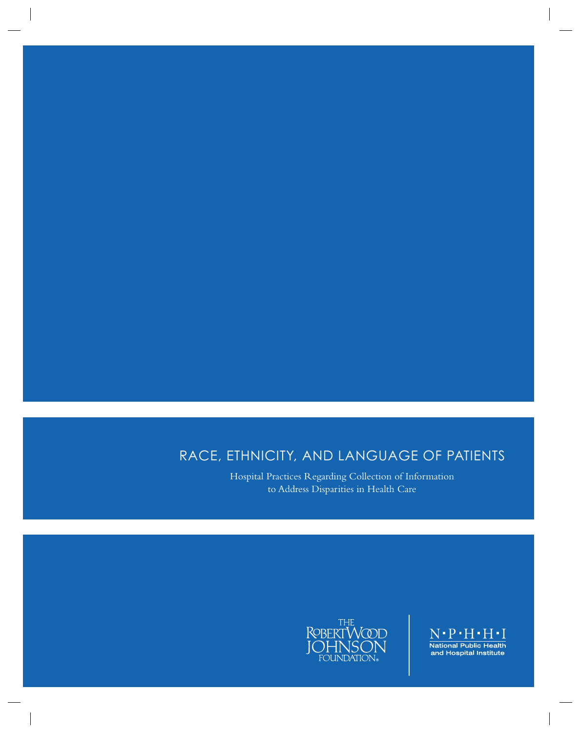# RACE, ETHNICITY, AND LANGUAGE OF PATIENTS

Hospital Practices Regarding Collection of Information to Address Disparities in Health Care



 $\frac{\sum \cdot P \cdot \prod \cdot \prod \cdot \prod}{\text{National Public Health}}{\text{and Hospital Institute}}$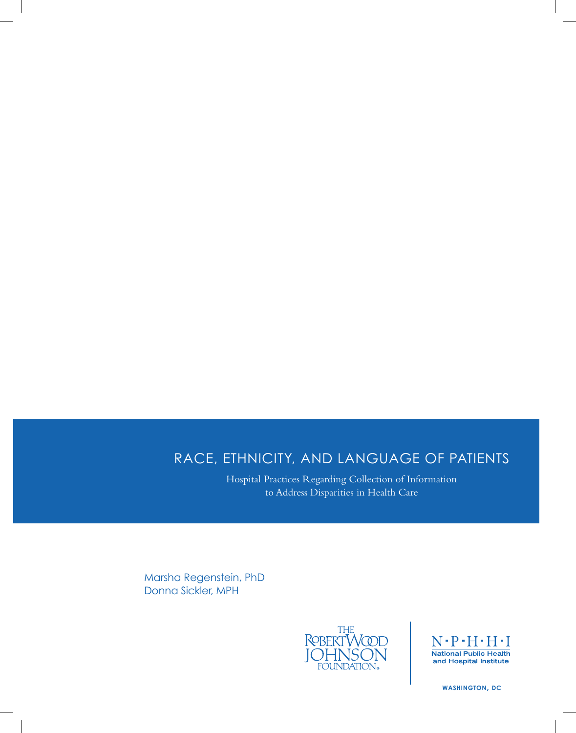# RACE, ETHNICITY, AND LANGUAGE OF PATIENTS

Hospital Practices Regarding Collection of Information to Address Disparities in Health Care

Marsha Regenstein, PhD Donna Sickler, MPH





**WASHINGTON, DC**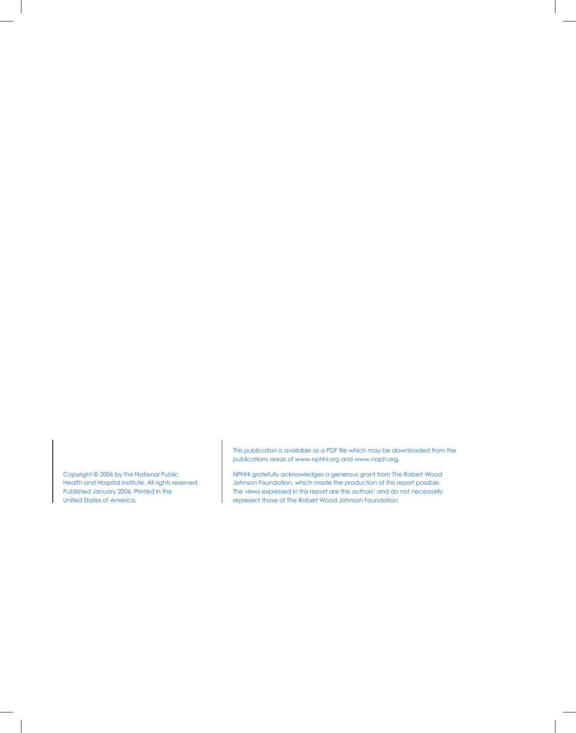Copyright © 2006 by the National Public Health and Hospital Institute. All rights reserved. Published January 2006. Printed in the United States of America.

This publication is available as a PDF file which may be downloaded from the publications areas of www.nphhi.org and www.naph.org.

NPHHI gratefully acknowledges a generous grant from The Robert Wood Johnson Foundation, which made the production of this report possible. The views expressed in this report are the authors' and do not necessarily represent those of The Robert Wood Johnson Foundation.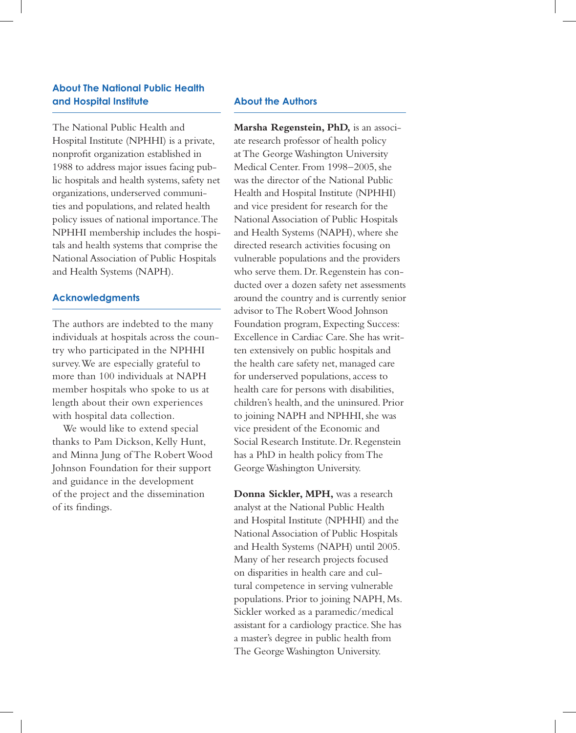# **About The National Public Health and Hospital Institute**

The National Public Health and Hospital Institute (NPHHI) is a private, nonprofit organization established in 1988 to address major issues facing public hospitals and health systems, safety net organizations, underserved communities and populations, and related health policy issues of national importance. The NPHHI membership includes the hospitals and health systems that comprise the National Association of Public Hospitals and Health Systems (NAPH).

## **Acknowledgments**

The authors are indebted to the many individuals at hospitals across the country who participated in the NPHHI survey. We are especially grateful to more than 100 individuals at NAPH member hospitals who spoke to us at length about their own experiences with hospital data collection.

We would like to extend special thanks to Pam Dickson, Kelly Hunt, and Minna Jung of The Robert Wood Johnson Foundation for their support and guidance in the development of the project and the dissemination of its findings.

## **About the Authors**

**Marsha Regenstein, PhD,** is an associate research professor of health policy at The George Washington University Medical Center. From 1998–2005, she was the director of the National Public Health and Hospital Institute (NPHHI) and vice president for research for the National Association of Public Hospitals and Health Systems (NAPH), where she directed research activities focusing on vulnerable populations and the providers who serve them. Dr. Regenstein has conducted over a dozen safety net assessments around the country and is currently senior advisor to The Robert Wood Johnson Foundation program, Expecting Success: Excellence in Cardiac Care. She has written extensively on public hospitals and the health care safety net, managed care for underserved populations, access to health care for persons with disabilities, children's health, and the uninsured. Prior to joining NAPH and NPHHI, she was vice president of the Economic and Social Research Institute. Dr. Regenstein has a PhD in health policy from The George Washington University.

**Donna Sickler, MPH,** was a research analyst at the National Public Health and Hospital Institute (NPHHI) and the National Association of Public Hospitals and Health Systems (NAPH) until 2005. Many of her research projects focused on disparities in health care and cultural competence in serving vulnerable populations. Prior to joining NAPH, Ms. Sickler worked as a paramedic/medical assistant for a cardiology practice. She has a master's degree in public health from The George Washington University.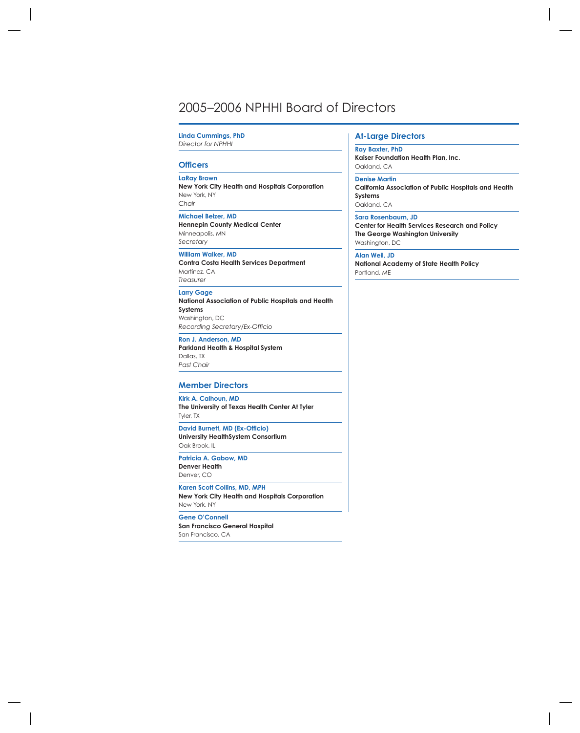# 2005–2006 NPHHI Board of Directors

**Linda Cummings, PhD** *Director for NPHHI*

#### **Officers**

**LaRay Brown**

**New York City Health and Hospitals Corporation** New York, NY *Chair*

**Michael Belzer, MD**

**Hennepin County Medical Center** Minneapolis, MN *Secretary*

## **William Walker, MD**

**Contra Costa Health Services Department** Martinez, CA *Treasurer*

**Larry Gage**

**National Association of Public Hospitals and Health Systems** Washington, DC

*Recording Secretary/Ex-Officio* **Ron J. Anderson, MD**

**Parkland Health & Hospital System** Dallas, TX *Past Chair*

#### **Member Directors**

**Kirk A. Calhoun, MD The University of Texas Health Center At Tyler** Tyler, TX

**David Burnett, MD (Ex-Officio) University HealthSystem Consortium** Oak Brook, IL

**Patricia A. Gabow, MD Denver Health** Denver, CO

**Karen Scott Collins, MD, MPH New York City Health and Hospitals Corporation** New York, NY

**Gene O'Connell San Francisco General Hospital** San Francisco, CA

#### **At-Large Directors**

**Ray Baxter, PhD Kaiser Foundation Health Plan, Inc.**

**Denise Martin**

Oakland, CA

**California Association of Public Hospitals and Health Systems** Oakland, CA

**Sara Rosenbaum, JD Center for Health Services Research and Policy The George Washington University** Washington, DC

**Alan Weil, JD National Academy of State Health Policy** Portland, ME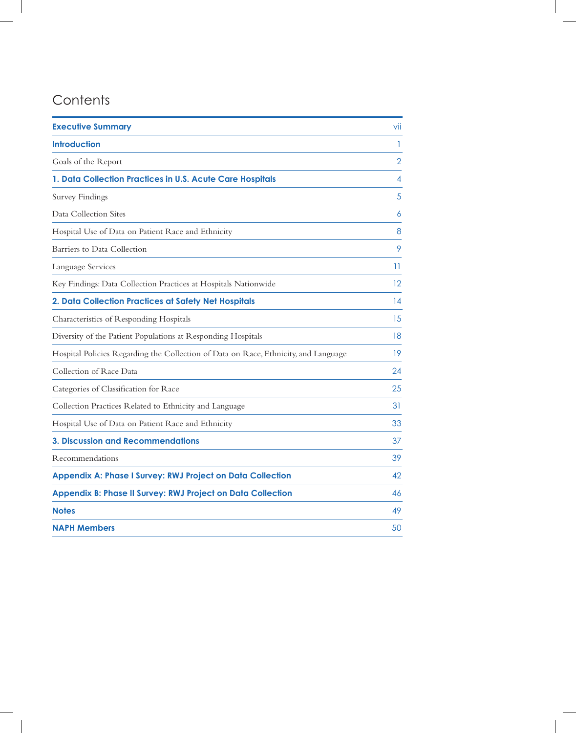# **Contents**

| <b>Executive Summary</b>                                                            | vii            |
|-------------------------------------------------------------------------------------|----------------|
| <b>Introduction</b>                                                                 | 1              |
| Goals of the Report                                                                 | $\overline{2}$ |
| 1. Data Collection Practices in U.S. Acute Care Hospitals                           | 4              |
| <b>Survey Findings</b>                                                              | 5              |
| Data Collection Sites                                                               | 6              |
| Hospital Use of Data on Patient Race and Ethnicity                                  | 8              |
| Barriers to Data Collection                                                         | 9              |
| Language Services                                                                   | 11             |
| Key Findings: Data Collection Practices at Hospitals Nationwide                     | 12             |
| 2. Data Collection Practices at Safety Net Hospitals                                | 14             |
| Characteristics of Responding Hospitals                                             | 15             |
| Diversity of the Patient Populations at Responding Hospitals                        | 18             |
| Hospital Policies Regarding the Collection of Data on Race, Ethnicity, and Language | 19             |
| Collection of Race Data                                                             | 24             |
| Categories of Classification for Race                                               | 25             |
| Collection Practices Related to Ethnicity and Language                              | 31             |
| Hospital Use of Data on Patient Race and Ethnicity                                  | 33             |
| <b>3. Discussion and Recommendations</b>                                            | 37             |
| Recommendations                                                                     | 39             |
| <b>Appendix A: Phase I Survey: RWJ Project on Data Collection</b>                   | 42             |
| <b>Appendix B: Phase II Survey: RWJ Project on Data Collection</b>                  | 46             |
| <b>Notes</b>                                                                        | 49             |
| <b>NAPH Members</b>                                                                 | 50             |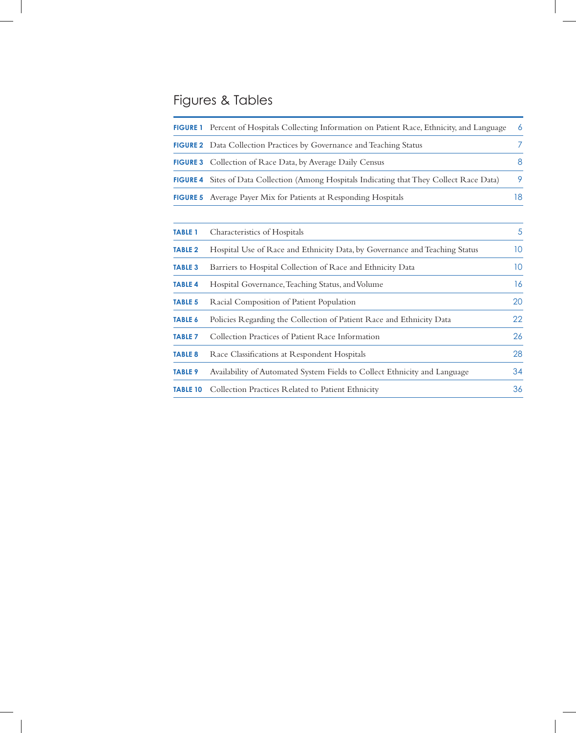# Figures & Tables

| <b>FIGURE 1</b> | Percent of Hospitals Collecting Information on Patient Race, Ethnicity, and Language | 6  |
|-----------------|--------------------------------------------------------------------------------------|----|
| <b>FIGURE 2</b> | Data Collection Practices by Governance and Teaching Status                          | 7  |
| <b>FIGURE 3</b> | Collection of Race Data, by Average Daily Census                                     | 8  |
| <b>FIGURE 4</b> | Sites of Data Collection (Among Hospitals Indicating that They Collect Race Data)    | 9  |
| <b>FIGURE 5</b> | Average Payer Mix for Patients at Responding Hospitals                               | 18 |
|                 |                                                                                      |    |
| <b>TABLE 1</b>  | Characteristics of Hospitals                                                         | 5  |
| <b>TABLE 2</b>  | Hospital Use of Race and Ethnicity Data, by Governance and Teaching Status           | 10 |
| <b>TABLE 3</b>  | Barriers to Hospital Collection of Race and Ethnicity Data                           | 10 |
| <b>TABLE 4</b>  | Hospital Governance, Teaching Status, and Volume                                     | 16 |
| <b>TABLE 5</b>  | Racial Composition of Patient Population                                             | 20 |
| <b>TABLE 6</b>  | Policies Regarding the Collection of Patient Race and Ethnicity Data                 | 22 |
| <b>TABLE 7</b>  | Collection Practices of Patient Race Information                                     | 26 |
| <b>TABLE 8</b>  | Race Classifications at Respondent Hospitals                                         | 28 |
| <b>TABLE 9</b>  | Availability of Automated System Fields to Collect Ethnicity and Language            | 34 |
| <b>TABLE 10</b> | Collection Practices Related to Patient Ethnicity                                    | 36 |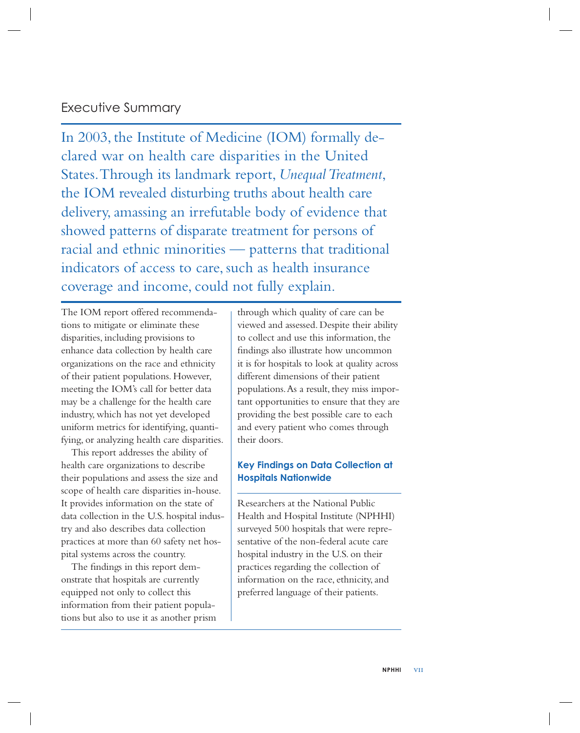# Executive Summary

In 2003, the Institute of Medicine (IOM) formally declared war on health care disparities in the United States. Through its landmark report, *Unequal Treatment*, the IOM revealed disturbing truths about health care delivery, amassing an irrefutable body of evidence that showed patterns of disparate treatment for persons of racial and ethnic minorities — patterns that traditional indicators of access to care, such as health insurance coverage and income, could not fully explain.

The IOM report offered recommendations to mitigate or eliminate these disparities, including provisions to enhance data collection by health care organizations on the race and ethnicity of their patient populations. However, meeting the IOM's call for better data may be a challenge for the health care industry, which has not yet developed uniform metrics for identifying, quantifying, or analyzing health care disparities.

This report addresses the ability of health care organizations to describe their populations and assess the size and scope of health care disparities in-house. It provides information on the state of data collection in the U.S. hospital industry and also describes data collection practices at more than 60 safety net hospital systems across the country.

The findings in this report demonstrate that hospitals are currently equipped not only to collect this information from their patient populations but also to use it as another prism

through which quality of care can be viewed and assessed. Despite their ability to collect and use this information, the findings also illustrate how uncommon it is for hospitals to look at quality across different dimensions of their patient populations. As a result, they miss important opportunities to ensure that they are providing the best possible care to each and every patient who comes through their doors.

# **Key Findings on Data Collection at Hospitals Nationwide**

Researchers at the National Public Health and Hospital Institute (NPHHI) surveyed 500 hospitals that were representative of the non-federal acute care hospital industry in the U.S. on their practices regarding the collection of information on the race, ethnicity, and preferred language of their patients.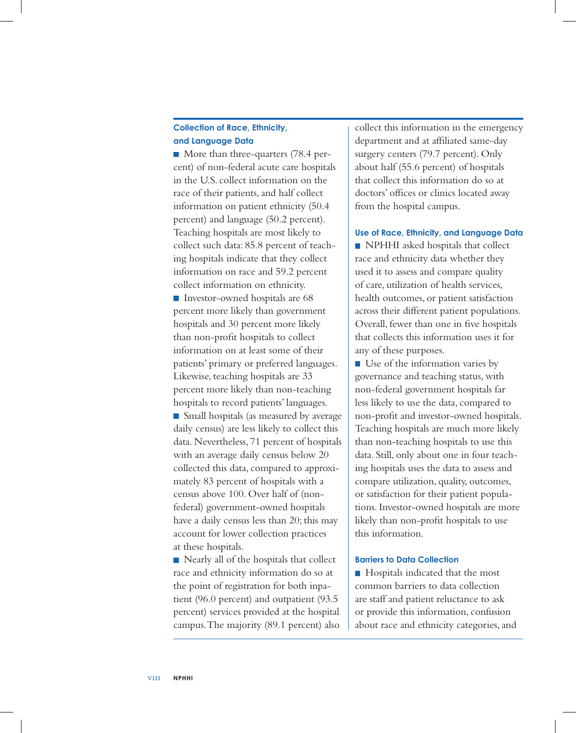# **Collection of Race, Ethnicity, and Language Data**

■ More than three-quarters (78.4 percent) of non-federal acute care hospitals in the U.S. collect information on the race of their patients, and half collect information on patient ethnicity (50.4 percent) and language (50.2 percent). Teaching hospitals are most likely to collect such data: 85.8 percent of teaching hospitals indicate that they collect information on race and 59.2 percent collect information on ethnicity.

 Investor-owned hospitals are 68 percent more likely than government hospitals and 30 percent more likely than non-profit hospitals to collect information on at least some of their patients' primary or preferred languages. Likewise, teaching hospitals are 33 percent more likely than non-teaching hospitals to record patients' languages.

 Small hospitals (as measured by average daily census) are less likely to collect this data. Nevertheless, 71 percent of hospitals with an average daily census below 20 collected this data, compared to approximately 83 percent of hospitals with a census above 100. Over half of (nonfederal) government-owned hospitals have a daily census less than 20; this may account for lower collection practices at these hospitals.

Nearly all of the hospitals that collect race and ethnicity information do so at the point of registration for both inpatient (96.0 percent) and outpatient (93.5 percent) services provided at the hospital campus. The majority (89.1 percent) also collect this information in the emergency department and at affiliated same-day surgery centers (79.7 percent). Only about half (55.6 percent) of hospitals that collect this information do so at doctors' offices or clinics located away from the hospital campus.

#### **Use of Race, Ethnicity, and Language Data**

**NPHHI** asked hospitals that collect race and ethnicity data whether they used it to assess and compare quality of care, utilization of health services, health outcomes, or patient satisfaction across their different patient populations. Overall, fewer than one in five hospitals that collects this information uses it for any of these purposes.

Use of the information varies by governance and teaching status, with non-federal government hospitals far less likely to use the data, compared to non-profit and investor-owned hospitals. Teaching hospitals are much more likely than non-teaching hospitals to use this data. Still, only about one in four teaching hospitals uses the data to assess and compare utilization, quality, outcomes, or satisfaction for their patient populations. Investor-owned hospitals are more likely than non-profit hospitals to use this information.

#### **Barriers to Data Collection**

**Hospitals indicated that the most** common barriers to data collection are staff and patient reluctance to ask or provide this information, confusion about race and ethnicity categories, and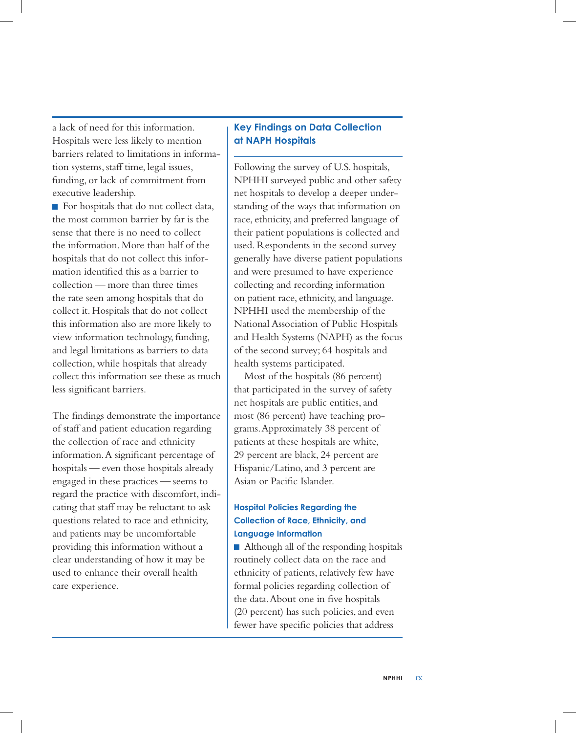a lack of need for this information. Hospitals were less likely to mention barriers related to limitations in information systems, staff time, legal issues, funding, or lack of commitment from executive leadership.

For hospitals that do not collect data, the most common barrier by far is the sense that there is no need to collect the information. More than half of the hospitals that do not collect this information identified this as a barrier to collection — more than three times the rate seen among hospitals that do collect it. Hospitals that do not collect this information also are more likely to view information technology, funding, and legal limitations as barriers to data collection, while hospitals that already collect this information see these as much less significant barriers.

The findings demonstrate the importance of staff and patient education regarding the collection of race and ethnicity information. A significant percentage of hospitals — even those hospitals already engaged in these practices — seems to regard the practice with discomfort, indicating that staff may be reluctant to ask questions related to race and ethnicity, and patients may be uncomfortable providing this information without a clear understanding of how it may be used to enhance their overall health care experience.

# **Key Findings on Data Collection at NAPH Hospitals**

Following the survey of U.S. hospitals, NPHHI surveyed public and other safety net hospitals to develop a deeper understanding of the ways that information on race, ethnicity, and preferred language of their patient populations is collected and used. Respondents in the second survey generally have diverse patient populations and were presumed to have experience collecting and recording information on patient race, ethnicity, and language. NPHHI used the membership of the National Association of Public Hospitals and Health Systems (NAPH) as the focus of the second survey; 64 hospitals and health systems participated.

Most of the hospitals (86 percent) that participated in the survey of safety net hospitals are public entities, and most (86 percent) have teaching programs. Approximately 38 percent of patients at these hospitals are white, 29 percent are black, 24 percent are Hispanic/Latino, and 3 percent are Asian or Pacific Islander.

# **Hospital Policies Regarding the Collection of Race, Ethnicity, and Language Information**

■ Although all of the responding hospitals routinely collect data on the race and ethnicity of patients, relatively few have formal policies regarding collection of the data. About one in five hospitals (20 percent) has such policies, and even fewer have specific policies that address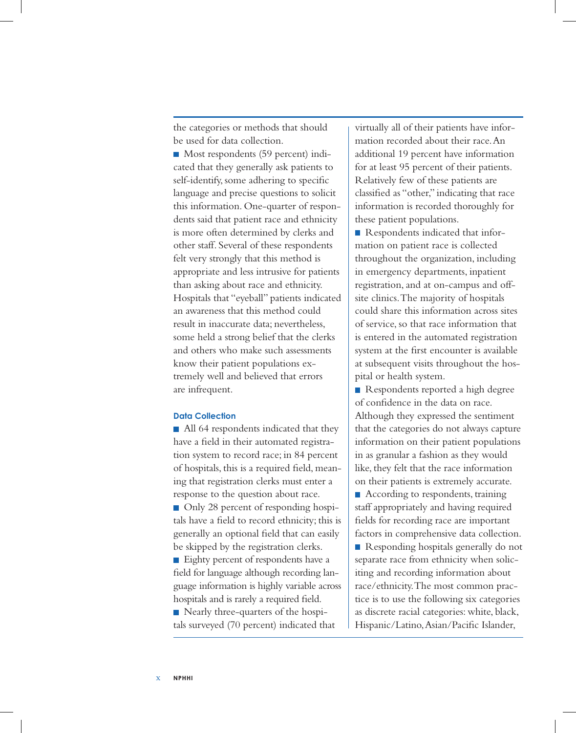the categories or methods that should be used for data collection.

Most respondents (59 percent) indicated that they generally ask patients to self-identify, some adhering to specific language and precise questions to solicit this information. One-quarter of respondents said that patient race and ethnicity is more often determined by clerks and other staff. Several of these respondents felt very strongly that this method is appropriate and less intrusive for patients than asking about race and ethnicity. Hospitals that "eyeball" patients indicated an awareness that this method could result in inaccurate data; nevertheless, some held a strong belief that the clerks and others who make such assessments know their patient populations extremely well and believed that errors are infrequent.

### **Data Collection**

All 64 respondents indicated that they have a field in their automated registration system to record race; in 84 percent of hospitals, this is a required field, meaning that registration clerks must enter a response to the question about race. ■ Only 28 percent of responding hospitals have a field to record ethnicity; this is generally an optional field that can easily be skipped by the registration clerks.

**Eighty percent of respondents have a** field for language although recording language information is highly variable across hospitals and is rarely a required field.

Nearly three-quarters of the hospitals surveyed (70 percent) indicated that

virtually all of their patients have information recorded about their race. An additional 19 percent have information for at least 95 percent of their patients. Relatively few of these patients are classified as "other," indicating that race information is recorded thoroughly for these patient populations.

Respondents indicated that information on patient race is collected throughout the organization, including in emergency departments, inpatient registration, and at on-campus and offsite clinics. The majority of hospitals could share this information across sites of service, so that race information that is entered in the automated registration system at the first encounter is available at subsequent visits throughout the hospital or health system.

Respondents reported a high degree of confidence in the data on race. Although they expressed the sentiment that the categories do not always capture information on their patient populations in as granular a fashion as they would like, they felt that the race information on their patients is extremely accurate.

■ According to respondents, training staff appropriately and having required fields for recording race are important factors in comprehensive data collection.

Responding hospitals generally do not separate race from ethnicity when soliciting and recording information about race/ethnicity. The most common practice is to use the following six categories as discrete racial categories: white, black, Hispanic/Latino, Asian/Pacific Islander,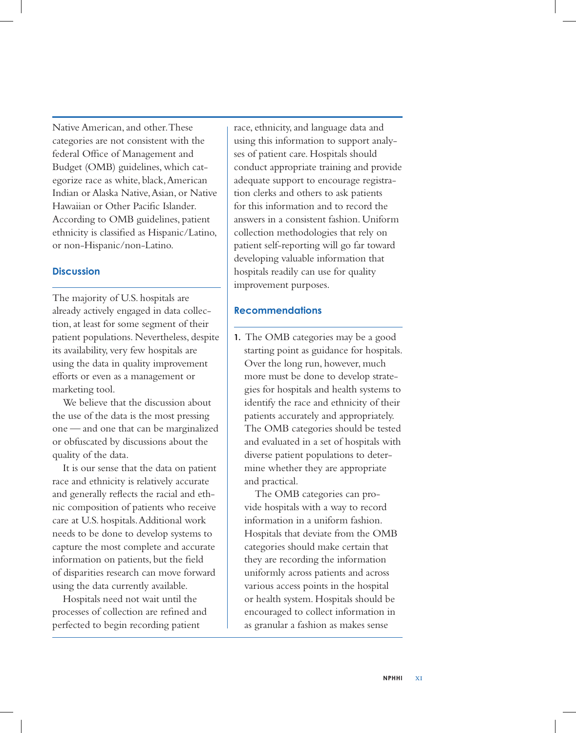Native American, and other. These categories are not consistent with the federal Office of Management and Budget (OMB) guidelines, which categorize race as white, black, American Indian or Alaska Native, Asian, or Native Hawaiian or Other Pacific Islander. According to OMB guidelines, patient ethnicity is classified as Hispanic/Latino, or non-Hispanic/non-Latino.

## **Discussion**

The majority of U.S. hospitals are already actively engaged in data collection, at least for some segment of their patient populations. Nevertheless, despite its availability, very few hospitals are using the data in quality improvement efforts or even as a management or marketing tool.

We believe that the discussion about the use of the data is the most pressing one — and one that can be marginalized or obfuscated by discussions about the quality of the data.

It is our sense that the data on patient race and ethnicity is relatively accurate and generally reflects the racial and ethnic composition of patients who receive care at U.S. hospitals. Additional work needs to be done to develop systems to capture the most complete and accurate information on patients, but the field of disparities research can move forward using the data currently available.

Hospitals need not wait until the processes of collection are refined and perfected to begin recording patient

race, ethnicity, and language data and using this information to support analyses of patient care. Hospitals should conduct appropriate training and provide adequate support to encourage registration clerks and others to ask patients for this information and to record the answers in a consistent fashion. Uniform collection methodologies that rely on patient self-reporting will go far toward developing valuable information that hospitals readily can use for quality improvement purposes.

# **Recommendations**

**1.** The OMB categories may be a good starting point as guidance for hospitals. Over the long run, however, much more must be done to develop strategies for hospitals and health systems to identify the race and ethnicity of their patients accurately and appropriately. The OMB categories should be tested and evaluated in a set of hospitals with diverse patient populations to determine whether they are appropriate and practical.

The OMB categories can provide hospitals with a way to record information in a uniform fashion. Hospitals that deviate from the OMB categories should make certain that they are recording the information uniformly across patients and across various access points in the hospital or health system. Hospitals should be encouraged to collect information in as granular a fashion as makes sense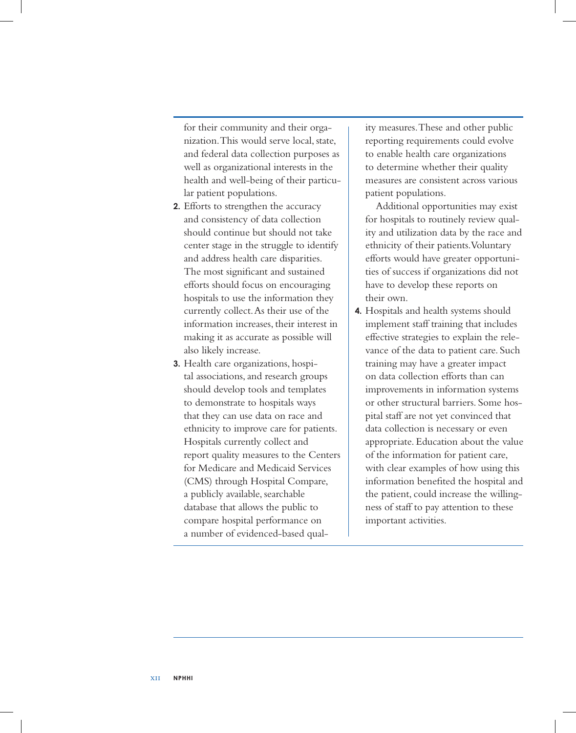for their community and their organization. This would serve local, state, and federal data collection purposes as well as organizational interests in the health and well-being of their particular patient populations.

- **2.** Efforts to strengthen the accuracy and consistency of data collection should continue but should not take center stage in the struggle to identify and address health care disparities. The most significant and sustained efforts should focus on encouraging hospitals to use the information they currently collect. As their use of the information increases, their interest in making it as accurate as possible will also likely increase.
- **3.** Health care organizations, hospital associations, and research groups should develop tools and templates to demonstrate to hospitals ways that they can use data on race and ethnicity to improve care for patients. Hospitals currently collect and report quality measures to the Centers for Medicare and Medicaid Services (CMS) through Hospital Compare, a publicly available, searchable database that allows the public to compare hospital performance on a number of evidenced-based qual-

ity measures. These and other public reporting requirements could evolve to enable health care organizations to determine whether their quality measures are consistent across various patient populations.

Additional opportunities may exist for hospitals to routinely review quality and utilization data by the race and ethnicity of their patients. Voluntary efforts would have greater opportunities of success if organizations did not have to develop these reports on their own.

**4.** Hospitals and health systems should implement staff training that includes effective strategies to explain the relevance of the data to patient care. Such training may have a greater impact on data collection efforts than can improvements in information systems or other structural barriers. Some hospital staff are not yet convinced that data collection is necessary or even appropriate. Education about the value of the information for patient care, with clear examples of how using this information benefited the hospital and the patient, could increase the willingness of staff to pay attention to these important activities.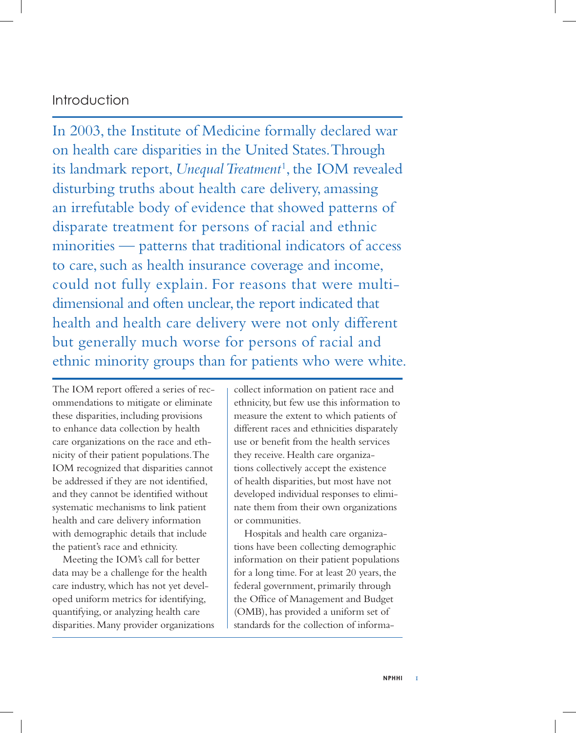# **Introduction**

In 2003, the Institute of Medicine formally declared war on health care disparities in the United States. Through its landmark report, *Unequal Treatment*<sup>1</sup> , the IOM revealed disturbing truths about health care delivery, amassing an irrefutable body of evidence that showed patterns of disparate treatment for persons of racial and ethnic minorities — patterns that traditional indicators of access to care, such as health insurance coverage and income, could not fully explain. For reasons that were multidimensional and often unclear, the report indicated that health and health care delivery were not only different but generally much worse for persons of racial and ethnic minority groups than for patients who were white.

The IOM report offered a series of recommendations to mitigate or eliminate these disparities, including provisions to enhance data collection by health care organizations on the race and ethnicity of their patient populations. The IOM recognized that disparities cannot be addressed if they are not identified, and they cannot be identified without systematic mechanisms to link patient health and care delivery information with demographic details that include the patient's race and ethnicity.

Meeting the IOM's call for better data may be a challenge for the health care industry, which has not yet developed uniform metrics for identifying, quantifying, or analyzing health care disparities. Many provider organizations collect information on patient race and ethnicity, but few use this information to measure the extent to which patients of different races and ethnicities disparately use or benefit from the health services they receive. Health care organizations collectively accept the existence of health disparities, but most have not developed individual responses to eliminate them from their own organizations or communities.

Hospitals and health care organizations have been collecting demographic information on their patient populations for a long time. For at least 20 years, the federal government, primarily through the Office of Management and Budget (OMB), has provided a uniform set of standards for the collection of informa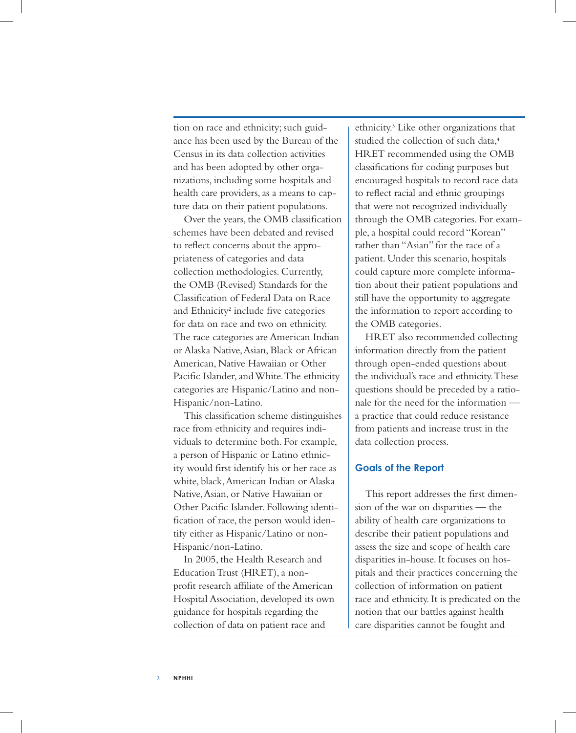tion on race and ethnicity; such guidance has been used by the Bureau of the Census in its data collection activities and has been adopted by other organizations, including some hospitals and health care providers, as a means to capture data on their patient populations.

Over the years, the OMB classification schemes have been debated and revised to reflect concerns about the appropriateness of categories and data collection methodologies. Currently, the OMB (Revised) Standards for the Classification of Federal Data on Race and Ethnicity<sup>2</sup> include five categories for data on race and two on ethnicity. The race categories are American Indian or Alaska Native, Asian, Black or African American, Native Hawaiian or Other Pacific Islander, and White. The ethnicity categories are Hispanic/Latino and non-Hispanic/non-Latino.

This classification scheme distinguishes race from ethnicity and requires individuals to determine both. For example, a person of Hispanic or Latino ethnicity would first identify his or her race as white, black, American Indian or Alaska Native, Asian, or Native Hawaiian or Other Pacific Islander. Following identification of race, the person would identify either as Hispanic/Latino or non-Hispanic/non-Latino.

In 2005, the Health Research and Education Trust (HRET), a nonprofit research affiliate of the American Hospital Association, developed its own guidance for hospitals regarding the collection of data on patient race and

ethnicity.<sup>3</sup> Like other organizations that studied the collection of such data,<sup>4</sup> HRET recommended using the OMB classifications for coding purposes but encouraged hospitals to record race data to reflect racial and ethnic groupings that were not recognized individually through the OMB categories. For example, a hospital could record "Korean" rather than "Asian" for the race of a patient. Under this scenario, hospitals could capture more complete information about their patient populations and still have the opportunity to aggregate the information to report according to the OMB categories.

HRET also recommended collecting information directly from the patient through open-ended questions about the individual's race and ethnicity. These questions should be preceded by a rationale for the need for the information a practice that could reduce resistance from patients and increase trust in the data collection process.

## **Goals of the Report**

This report addresses the first dimension of the war on disparities — the ability of health care organizations to describe their patient populations and assess the size and scope of health care disparities in-house. It focuses on hospitals and their practices concerning the collection of information on patient race and ethnicity. It is predicated on the notion that our battles against health care disparities cannot be fought and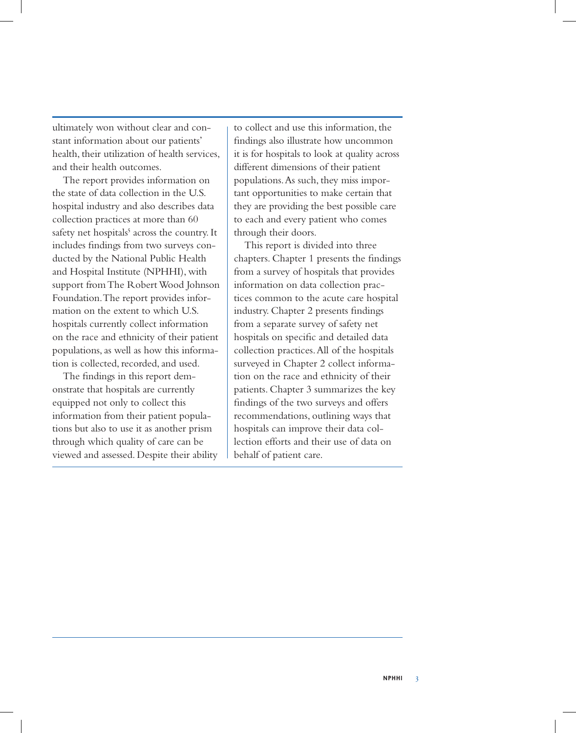ultimately won without clear and constant information about our patients' health, their utilization of health services, and their health outcomes.

The report provides information on the state of data collection in the U.S. hospital industry and also describes data collection practices at more than 60 safety net hospitals<sup>5</sup> across the country. It includes findings from two surveys conducted by the National Public Health and Hospital Institute (NPHHI), with support from The Robert Wood Johnson Foundation. The report provides information on the extent to which U.S. hospitals currently collect information on the race and ethnicity of their patient populations, as well as how this information is collected, recorded, and used.

The findings in this report demonstrate that hospitals are currently equipped not only to collect this information from their patient populations but also to use it as another prism through which quality of care can be viewed and assessed. Despite their ability

to collect and use this information, the findings also illustrate how uncommon it is for hospitals to look at quality across different dimensions of their patient populations. As such, they miss important opportunities to make certain that they are providing the best possible care to each and every patient who comes through their doors.

This report is divided into three chapters. Chapter 1 presents the findings from a survey of hospitals that provides information on data collection practices common to the acute care hospital industry. Chapter 2 presents findings from a separate survey of safety net hospitals on specific and detailed data collection practices. All of the hospitals surveyed in Chapter 2 collect information on the race and ethnicity of their patients. Chapter 3 summarizes the key findings of the two surveys and offers recommendations, outlining ways that hospitals can improve their data collection efforts and their use of data on behalf of patient care.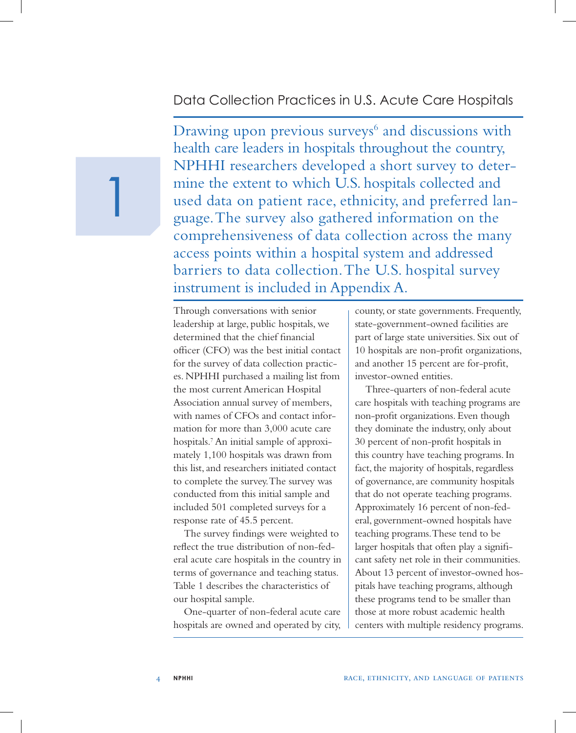# Data Collection Practices in U.S. Acute Care Hospitals

Drawing upon previous surveys<sup>6</sup> and discussions with health care leaders in hospitals throughout the country, NPHHI researchers developed a short survey to determine the extent to which U.S. hospitals collected and used data on patient race, ethnicity, and preferred language. The survey also gathered information on the comprehensiveness of data collection across the many access points within a hospital system and addressed barriers to data collection. The U.S. hospital survey instrument is included in Appendix A.

Through conversations with senior leadership at large, public hospitals, we determined that the chief financial officer (CFO) was the best initial contact for the survey of data collection practices. NPHHI purchased a mailing list from the most current American Hospital Association annual survey of members, with names of CFOs and contact information for more than 3,000 acute care hospitals.<sup>7</sup> An initial sample of approximately 1,100 hospitals was drawn from this list, and researchers initiated contact to complete the survey. The survey was conducted from this initial sample and included 501 completed surveys for a response rate of 45.5 percent.

The survey findings were weighted to reflect the true distribution of non-federal acute care hospitals in the country in terms of governance and teaching status. Table 1 describes the characteristics of our hospital sample.

One-quarter of non-federal acute care hospitals are owned and operated by city,

county, or state governments. Frequently, state-government-owned facilities are part of large state universities. Six out of 10 hospitals are non-profit organizations, and another 15 percent are for-profit, investor-owned entities.

Three-quarters of non-federal acute care hospitals with teaching programs are non-profit organizations. Even though they dominate the industry, only about 30 percent of non-profit hospitals in this country have teaching programs. In fact, the majority of hospitals, regardless of governance, are community hospitals that do not operate teaching programs. Approximately 16 percent of non-federal, government-owned hospitals have teaching programs. These tend to be larger hospitals that often play a significant safety net role in their communities. About 13 percent of investor-owned hospitals have teaching programs, although these programs tend to be smaller than those at more robust academic health centers with multiple residency programs.

1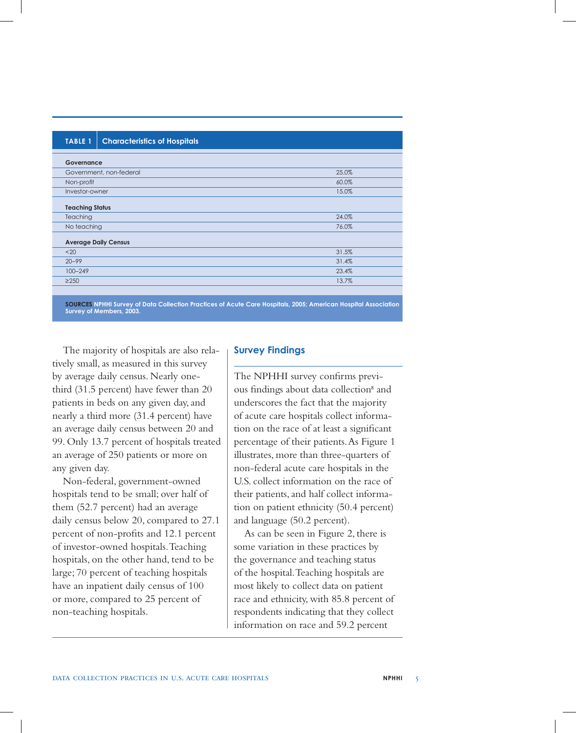| <b>TABLE 1</b>         | <b>Characteristics of Hospitals</b> |       |
|------------------------|-------------------------------------|-------|
|                        |                                     |       |
| Governance             |                                     |       |
|                        | Government, non-federal             | 25.0% |
| Non-profit             |                                     | 60.0% |
| Investor-owner         |                                     | 15.0% |
|                        |                                     |       |
| <b>Teaching Status</b> |                                     |       |
| Teaching               |                                     | 24.0% |
| No teaching            |                                     | 76.0% |
|                        |                                     |       |
|                        | <b>Average Daily Census</b>         |       |
| $20$                   |                                     | 31.5% |
| $20 - 99$              |                                     | 31.4% |
| $100 - 249$            |                                     | 23.4% |
| $\geq$ 250             |                                     | 13.7% |
|                        |                                     |       |

**SOURCES NPHHI Survey of Data Collection Practices of Acute Care Hospitals, 2005; American Hospital Association Survey of Members, 2003.** 

The majority of hospitals are also relatively small, as measured in this survey by average daily census. Nearly onethird (31.5 percent) have fewer than 20 patients in beds on any given day, and nearly a third more (31.4 percent) have an average daily census between 20 and 99. Only 13.7 percent of hospitals treated an average of 250 patients or more on any given day.

Non-federal, government-owned hospitals tend to be small; over half of them (52.7 percent) had an average daily census below 20, compared to 27.1 percent of non-profits and 12.1 percent of investor-owned hospitals. Teaching hospitals, on the other hand, tend to be large; 70 percent of teaching hospitals have an inpatient daily census of 100 or more, compared to 25 percent of non-teaching hospitals.

## **Survey Findings**

The NPHHI survey confirms previous findings about data collection<sup>8</sup> and underscores the fact that the majority of acute care hospitals collect information on the race of at least a significant percentage of their patients. As Figure 1 illustrates, more than three-quarters of non-federal acute care hospitals in the U.S. collect information on the race of their patients, and half collect information on patient ethnicity (50.4 percent) and language (50.2 percent).

As can be seen in Figure 2, there is some variation in these practices by the governance and teaching status of the hospital. Teaching hospitals are most likely to collect data on patient race and ethnicity, with 85.8 percent of respondents indicating that they collect information on race and 59.2 percent

**NPHHI**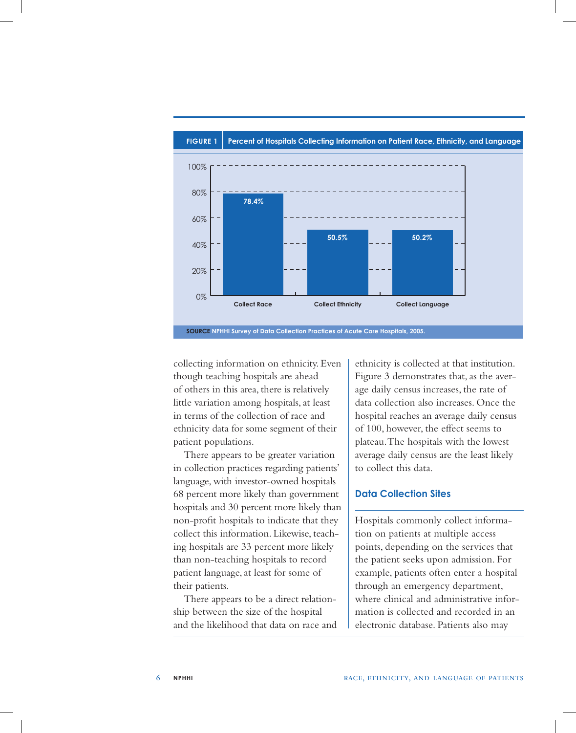

collecting information on ethnicity. Even though teaching hospitals are ahead of others in this area, there is relatively little variation among hospitals, at least in terms of the collection of race and ethnicity data for some segment of their patient populations.

There appears to be greater variation in collection practices regarding patients' language, with investor-owned hospitals 68 percent more likely than government hospitals and 30 percent more likely than non-profit hospitals to indicate that they collect this information. Likewise, teaching hospitals are 33 percent more likely than non-teaching hospitals to record patient language, at least for some of their patients.

There appears to be a direct relationship between the size of the hospital and the likelihood that data on race and ethnicity is collected at that institution. Figure 3 demonstrates that, as the average daily census increases, the rate of data collection also increases. Once the hospital reaches an average daily census of 100, however, the effect seems to plateau. The hospitals with the lowest average daily census are the least likely to collect this data.

## **Data Collection Sites**

Hospitals commonly collect information on patients at multiple access points, depending on the services that the patient seeks upon admission. For example, patients often enter a hospital through an emergency department, where clinical and administrative information is collected and recorded in an electronic database. Patients also may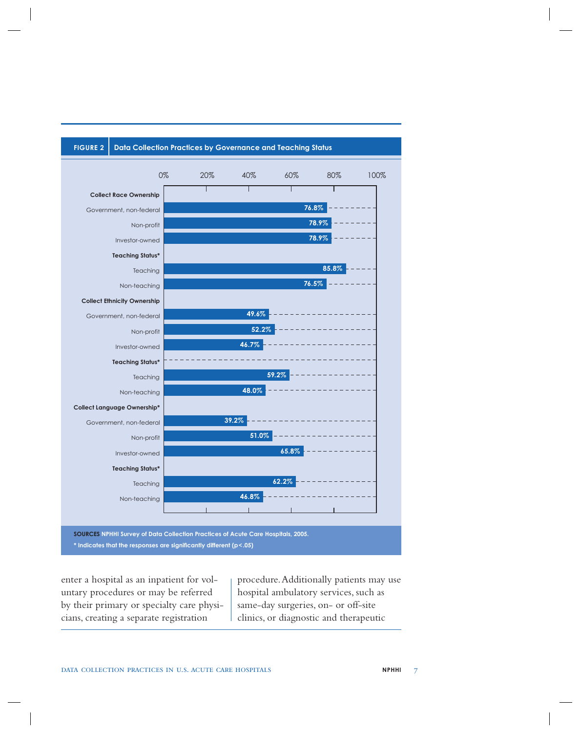

# FIGURE 2 | Data Collection Practices by Governance and Teaching Status

enter a hospital as an inpatient for voluntary procedures or may be referred by their primary or specialty care physicians, creating a separate registration

procedure. Additionally patients may use hospital ambulatory services, such as same-day surgeries, on- or off-site clinics, or diagnostic and therapeutic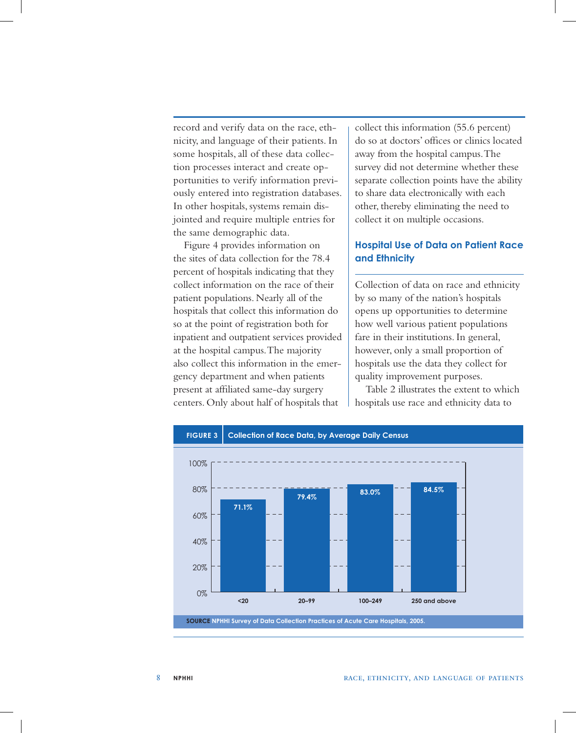record and verify data on the race, ethnicity, and language of their patients. In some hospitals, all of these data collection processes interact and create opportunities to verify information previously entered into registration databases. In other hospitals, systems remain disjointed and require multiple entries for the same demographic data.

Figure 4 provides information on the sites of data collection for the 78.4 percent of hospitals indicating that they collect information on the race of their patient populations. Nearly all of the hospitals that collect this information do so at the point of registration both for inpatient and outpatient services provided at the hospital campus. The majority also collect this information in the emergency department and when patients present at affiliated same-day surgery centers. Only about half of hospitals that

collect this information (55.6 percent) do so at doctors' offices or clinics located away from the hospital campus. The survey did not determine whether these separate collection points have the ability to share data electronically with each other, thereby eliminating the need to collect it on multiple occasions.

# **Hospital Use of Data on Patient Race and Ethnicity**

Collection of data on race and ethnicity by so many of the nation's hospitals opens up opportunities to determine how well various patient populations fare in their institutions. In general, however, only a small proportion of hospitals use the data they collect for quality improvement purposes.

Table 2 illustrates the extent to which hospitals use race and ethnicity data to

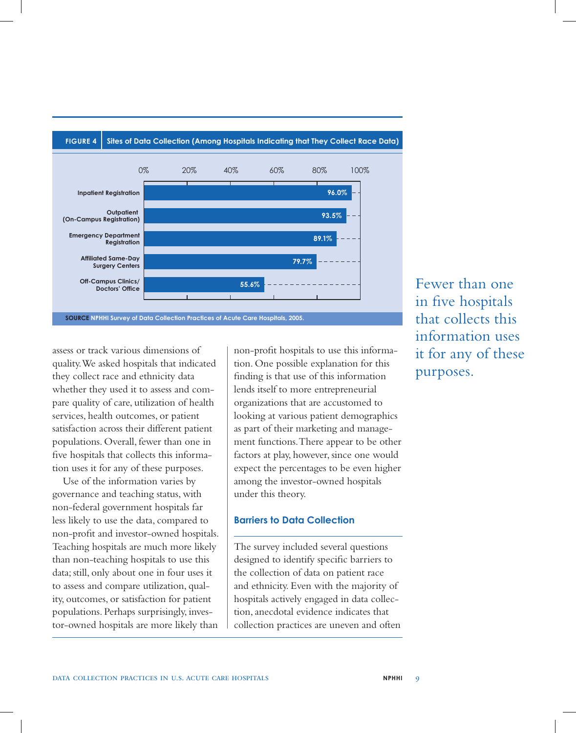

assess or track various dimensions of quality. We asked hospitals that indicated they collect race and ethnicity data whether they used it to assess and compare quality of care, utilization of health services, health outcomes, or patient satisfaction across their different patient populations. Overall, fewer than one in five hospitals that collects this information uses it for any of these purposes.

Use of the information varies by governance and teaching status, with non-federal government hospitals far less likely to use the data, compared to non-profit and investor-owned hospitals. Teaching hospitals are much more likely than non-teaching hospitals to use this data; still, only about one in four uses it to assess and compare utilization, quality, outcomes, or satisfaction for patient populations. Perhaps surprisingly, investor-owned hospitals are more likely than

non-profit hospitals to use this information. One possible explanation for this finding is that use of this information lends itself to more entrepreneurial organizations that are accustomed to looking at various patient demographics as part of their marketing and management functions. There appear to be other factors at play, however, since one would expect the percentages to be even higher among the investor-owned hospitals under this theory.

## **Barriers to Data Collection**

The survey included several questions designed to identify specific barriers to the collection of data on patient race and ethnicity. Even with the majority of hospitals actively engaged in data collection, anecdotal evidence indicates that collection practices are uneven and often

Fewer than one in five hospitals that collects this information uses it for any of these purposes.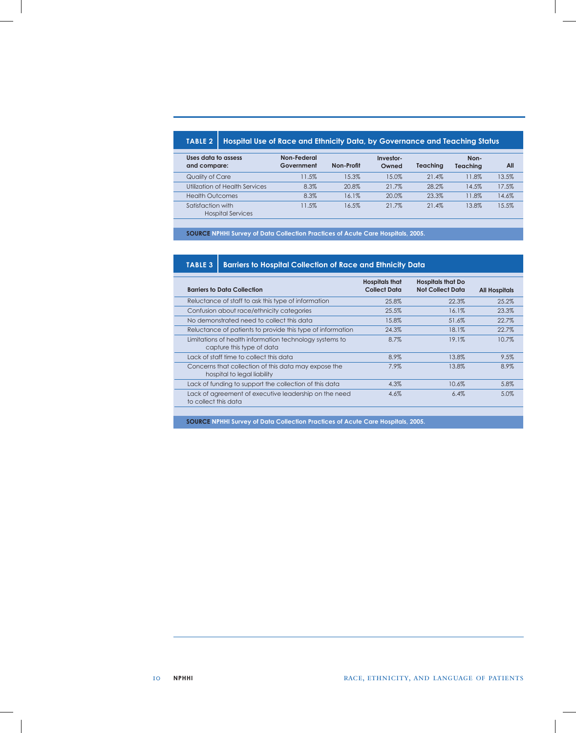# **TABLE 2 Hospital Use of Race and Ethnicity Data, by Governance and Teaching Status**

| Uses data to assess<br>and compare:           | Non-Federal<br>Government | Non-Profit | Investor-<br>Owned | Teachina | Non-<br>Teachina | All   |
|-----------------------------------------------|---------------------------|------------|--------------------|----------|------------------|-------|
| Quality of Care                               | 11.5%                     | 15.3%      | 15.0%              | 21.4%    | 11.8%            | 13.5% |
| Utilization of Health Services                | 8.3%                      | 20.8%      | 21.7%              | 28.2%    | 14.5%            | 17.5% |
| <b>Health Outcomes</b>                        | 8.3%                      | 16.1%      | 20.0%              | 23.3%    | 11.8%            | 14.6% |
| Satisfaction with<br><b>Hospital Services</b> | 11.5%                     | 16.5%      | 21.7%              | 21.4%    | 13.8%            | 15.5% |

**SOURCE NPHHI Survey of Data Collection Practices of Acute Care Hospitals, 2005.**

## **TABLE 3 Barriers to Hospital Collection of Race and Ethnicity Data**

| <b>Barriers to Data Collection</b>                                                   | <b>Hospitals that</b><br><b>Collect Data</b> | <b>Hospitals that Do</b><br><b>Not Collect Data</b> | <b>All Hospitals</b> |
|--------------------------------------------------------------------------------------|----------------------------------------------|-----------------------------------------------------|----------------------|
| Reluctance of staff to ask this type of information                                  | 25.8%                                        | 22.3%                                               | 25.2%                |
| Confusion about race/ethnicity categories                                            | 25.5%                                        | 16.1%                                               | 23.3%                |
| No demonstrated need to collect this data                                            | 15.8%                                        | 51.6%                                               | 22.7%                |
| Reluctance of patients to provide this type of information                           | 24.3%                                        | 18.1%                                               | 22.7%                |
| Limitations of health information technology systems to<br>capture this type of data | 8.7%                                         | 19.1%                                               | 10.7%                |
| Lack of staff time to collect this data                                              | 8.9%                                         | 13.8%                                               | 9.5%                 |
| Concerns that collection of this data may expose the<br>hospital to legal liability  | 7.9%                                         | 13.8%                                               | 8.9%                 |
| Lack of funding to support the collection of this data                               | 4.3%                                         | 10.6%                                               | 5.8%                 |
| Lack of agreement of executive leadership on the need<br>to collect this data        | 4.6%                                         | 6.4%                                                | 5.0%                 |

**SOURCE NPHHI Survey of Data Collection Practices of Acute Care Hospitals, 2005.**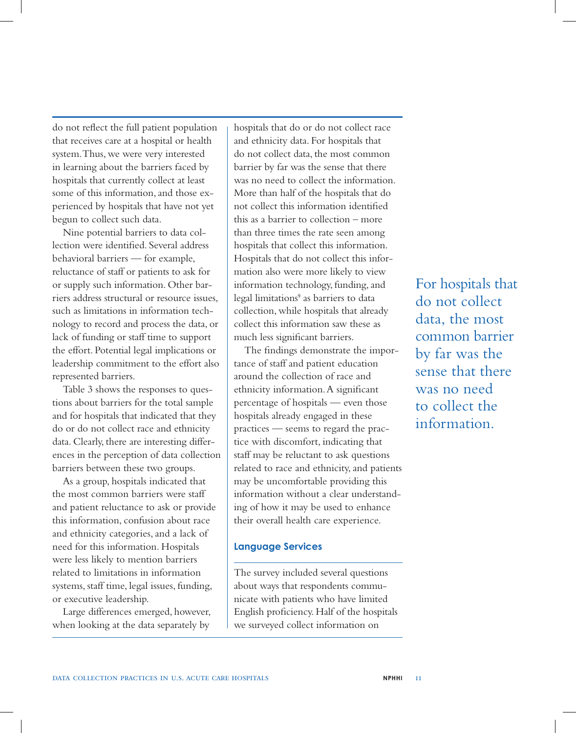do not reflect the full patient population that receives care at a hospital or health system. Thus, we were very interested in learning about the barriers faced by hospitals that currently collect at least some of this information, and those experienced by hospitals that have not yet begun to collect such data.

Nine potential barriers to data collection were identified. Several address behavioral barriers — for example, reluctance of staff or patients to ask for or supply such information. Other barriers address structural or resource issues, such as limitations in information technology to record and process the data, or lack of funding or staff time to support the effort. Potential legal implications or leadership commitment to the effort also represented barriers.

Table 3 shows the responses to questions about barriers for the total sample and for hospitals that indicated that they do or do not collect race and ethnicity data. Clearly, there are interesting differences in the perception of data collection barriers between these two groups.

As a group, hospitals indicated that the most common barriers were staff and patient reluctance to ask or provide this information, confusion about race and ethnicity categories, and a lack of need for this information. Hospitals were less likely to mention barriers related to limitations in information systems, staff time, legal issues, funding, or executive leadership.

Large differences emerged, however, when looking at the data separately by

hospitals that do or do not collect race and ethnicity data. For hospitals that do not collect data, the most common barrier by far was the sense that there was no need to collect the information. More than half of the hospitals that do not collect this information identified this as a barrier to collection – more than three times the rate seen among hospitals that collect this information. Hospitals that do not collect this information also were more likely to view information technology, funding, and legal limitations<sup>9</sup> as barriers to data collection, while hospitals that already collect this information saw these as much less significant barriers.

The findings demonstrate the importance of staff and patient education around the collection of race and ethnicity information. A significant percentage of hospitals — even those hospitals already engaged in these practices — seems to regard the prac tice with discomfort, indicating that staff may be reluctant to ask questions related to race and ethnicity, and patients may be uncomfortable providing this information without a clear understanding of how it may be used to enhance their overall health care experience.

## **Language Services**

The survey included several questions about ways that respondents communicate with patients who have limited English proficiency. Half of the hospitals we surveyed collect information on

For hospitals that do not collect data, the most common barrier by far was the sense that there was no need to collect the information.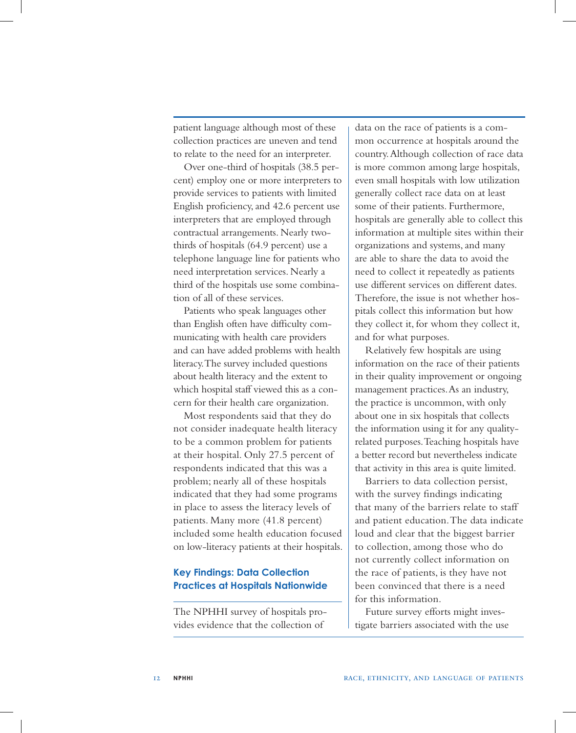patient language although most of these collection practices are uneven and tend to relate to the need for an interpreter.

Over one-third of hospitals (38.5 percent) employ one or more interpreters to provide services to patients with limited English proficiency, and 42.6 percent use interpreters that are employed through contractual arrangements. Nearly twothirds of hospitals (64.9 percent) use a telephone language line for patients who need interpretation services. Nearly a third of the hospitals use some combination of all of these services.

Patients who speak languages other than English often have difficulty communicating with health care providers and can have added problems with health literacy. The survey included questions about health literacy and the extent to which hospital staff viewed this as a concern for their health care organization.

Most respondents said that they do not consider inadequate health literacy to be a common problem for patients at their hospital. Only 27.5 percent of respondents indicated that this was a problem; nearly all of these hospitals indicated that they had some programs in place to assess the literacy levels of patients. Many more (41.8 percent) included some health education focused on low-literacy patients at their hospitals.

# **Key Findings: Data Collection Practices at Hospitals Nationwide**

The NPHHI survey of hospitals provides evidence that the collection of

data on the race of patients is a common occurrence at hospitals around the country. Although collection of race data is more common among large hospitals, even small hospitals with low utilization generally collect race data on at least some of their patients. Furthermore, hospitals are generally able to collect this information at multiple sites within their organizations and systems, and many are able to share the data to avoid the need to collect it repeatedly as patients use different services on different dates. Therefore, the issue is not whether hospitals collect this information but how they collect it, for whom they collect it, and for what purposes.

Relatively few hospitals are using information on the race of their patients in their quality improvement or ongoing management practices. As an industry, the practice is uncommon, with only about one in six hospitals that collects the information using it for any qualityrelated purposes. Teaching hospitals have a better record but nevertheless indicate that activity in this area is quite limited.

Barriers to data collection persist, with the survey findings indicating that many of the barriers relate to staff and patient education. The data indicate loud and clear that the biggest barrier to collection, among those who do not currently collect information on the race of patients, is they have not been convinced that there is a need for this information.

Future survey efforts might investigate barriers associated with the use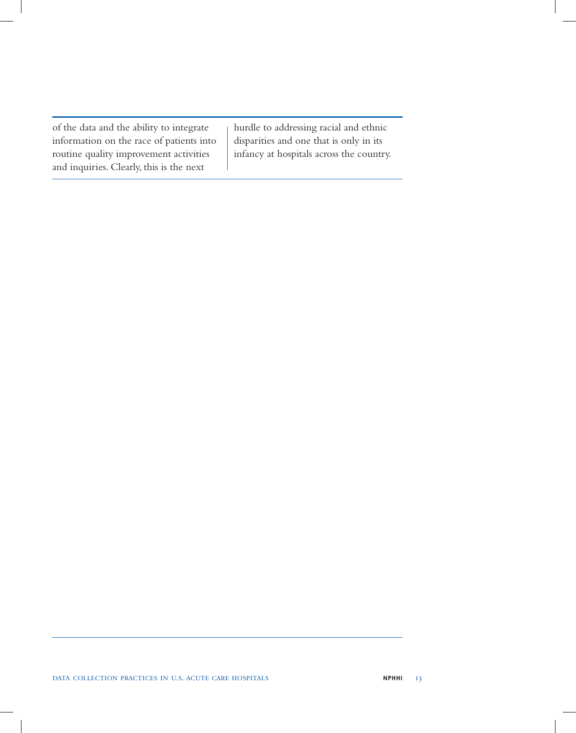of the data and the ability to integrate information on the race of patients into routine quality improvement activities and inquiries. Clearly, this is the next

hurdle to addressing racial and ethnic disparities and one that is only in its infancy at hospitals across the country.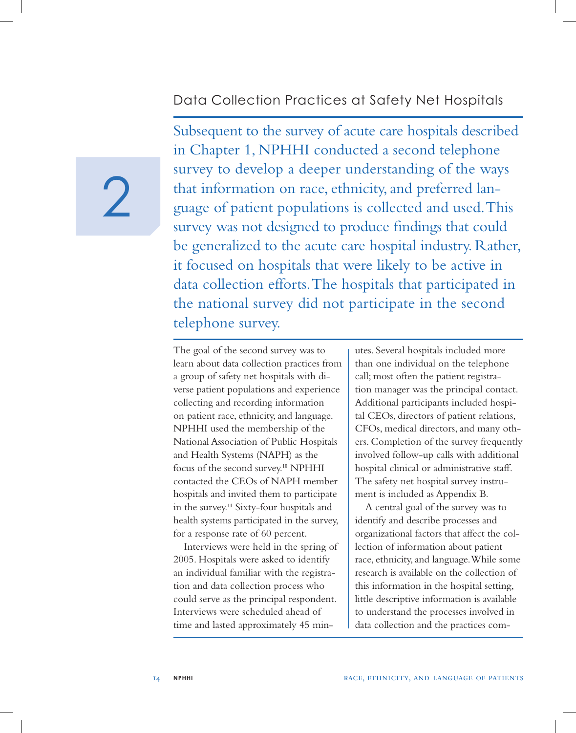# Data Collection Practices at Safety Net Hospitals

2

Subsequent to the survey of acute care hospitals described in Chapter 1, NPHHI conducted a second telephone survey to develop a deeper understanding of the ways that information on race, ethnicity, and preferred language of patient populations is collected and used. This survey was not designed to produce findings that could be generalized to the acute care hospital industry. Rather, it focused on hospitals that were likely to be active in data collection efforts. The hospitals that participated in the national survey did not participate in the second telephone survey.

The goal of the second survey was to learn about data collection practices from a group of safety net hospitals with diverse patient populations and experience collecting and recording information on patient race, ethnicity, and language. NPHHI used the membership of the National Association of Public Hospitals and Health Systems (NAPH) as the focus of the second survey.10 NPHHI contacted the CEOs of NAPH member hospitals and invited them to participate in the survey.11 Sixty-four hospitals and health systems participated in the survey, for a response rate of 60 percent.

Interviews were held in the spring of 2005. Hospitals were asked to identify an individual familiar with the registration and data collection process who could serve as the principal respondent. Interviews were scheduled ahead of time and lasted approximately 45 min-

utes. Several hospitals included more than one individual on the telephone call; most often the patient registration manager was the principal contact. Additional participants included hospital CEOs, directors of patient relations, CFOs, medical directors, and many others. Completion of the survey frequently involved follow-up calls with additional hospital clinical or administrative staff. The safety net hospital survey instrument is included as Appendix B.

A central goal of the survey was to identify and describe processes and organizational factors that affect the collection of information about patient race, ethnicity, and language. While some research is available on the collection of this information in the hospital setting, little descriptive information is available to understand the processes involved in data collection and the practices com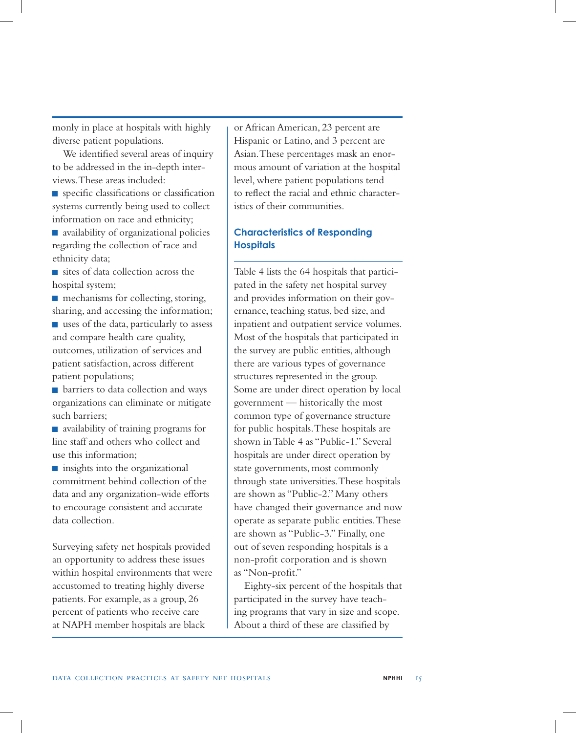monly in place at hospitals with highly diverse patient populations.

We identified several areas of inquiry to be addressed in the in-depth interviews. These areas included:

 $\blacksquare$  specific classifications or classification systems currently being used to collect information on race and ethnicity;

**a** availability of organizational policies regarding the collection of race and ethnicity data;

 $\blacksquare$  sites of data collection across the hospital system;

**n** mechanisms for collecting, storing, sharing, and accessing the information;

■ uses of the data, particularly to assess and compare health care quality, outcomes, utilization of services and patient satisfaction, across different patient populations;

**E** barriers to data collection and ways organizations can eliminate or mitigate such barriers;

 availability of training programs for line staff and others who collect and use this information;

 $\blacksquare$  insights into the organizational commitment behind collection of the data and any organization-wide efforts to encourage consistent and accurate data collection.

Surveying safety net hospitals provided an opportunity to address these issues within hospital environments that were accustomed to treating highly diverse patients. For example, as a group, 26 percent of patients who receive care at NAPH member hospitals are black

or African American, 23 percent are Hispanic or Latino, and 3 percent are Asian. These percentages mask an enormous amount of variation at the hospital level, where patient populations tend to reflect the racial and ethnic characteristics of their communities.

# **Characteristics of Responding Hospitals**

Table 4 lists the 64 hospitals that participated in the safety net hospital survey and provides information on their governance, teaching status, bed size, and inpatient and outpatient service volumes. Most of the hospitals that participated in the survey are public entities, although there are various types of governance structures represented in the group. Some are under direct operation by local government — historically the most common type of governance structure for public hospitals. These hospitals are shown in Table 4 as "Public-1." Several hospitals are under direct operation by state governments, most commonly through state universities. These hospitals are shown as "Public-2." Many others have changed their governance and now operate as separate public entities. These are shown as "Public-3." Finally, one out of seven responding hospitals is a non-profit corporation and is shown as "Non-profit."

Eighty-six percent of the hospitals that participated in the survey have teaching programs that vary in size and scope. About a third of these are classified by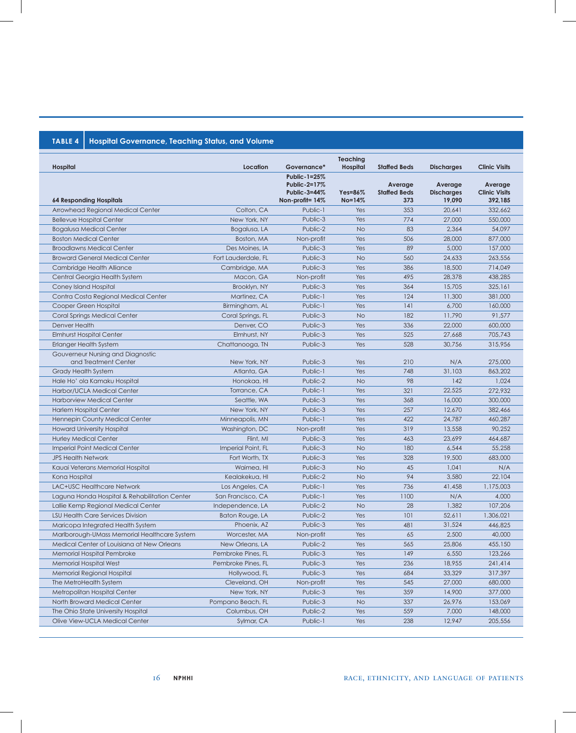#### <code>TABLE 4  $\,|\,$  Hospital Governance, Teaching Status, and Volume</code>

| Hospital                                                  | Location            | Governance*                                                                   | <b>Teachina</b><br>Hospital | <b>Staffed Beds</b>                   | <b>Discharges</b>                      | <b>Clinic Visits</b>                       |  |
|-----------------------------------------------------------|---------------------|-------------------------------------------------------------------------------|-----------------------------|---------------------------------------|----------------------------------------|--------------------------------------------|--|
| <b>64 Responding Hospitals</b>                            |                     | <b>Public-1=25%</b><br><b>Public-2=17%</b><br>Public-3=44%<br>Non-profit= 14% | Yes= $86\%$<br>$No=14%$     | Average<br><b>Staffed Beds</b><br>373 | Average<br><b>Discharges</b><br>19,090 | Average<br><b>Clinic Visits</b><br>392,185 |  |
| Arrowhead Regional Medical Center                         | Colton, CA          | Public-1                                                                      | Yes                         | 353                                   | 20,641                                 | 332,662                                    |  |
| <b>Bellevue Hospital Center</b>                           | New York, NY        | Public-3                                                                      | Yes                         | 774                                   | 27,000                                 | 550,000                                    |  |
| <b>Bogalusa Medical Center</b>                            | Bogalusa, LA        | Public-2                                                                      | <b>No</b>                   | 83                                    | 2,364                                  | 54,097                                     |  |
| <b>Boston Medical Center</b>                              | Boston, MA          | Non-profit                                                                    | Yes                         | 506                                   | 28,000                                 | 877,000                                    |  |
| <b>Broadlawns Medical Center</b>                          | Des Moines, IA      | Public-3                                                                      | Yes                         | 89                                    | 5,000                                  | 157,000                                    |  |
| <b>Broward General Medical Center</b>                     | Fort Lauderdale, FL | Public-3                                                                      | <b>No</b>                   | 560                                   | 24,633                                 | 263.556                                    |  |
| Cambridge Health Alliance                                 | Cambridge, MA       | Public-3                                                                      | Yes                         | 386                                   | 18,500                                 | 714.049                                    |  |
| Central Georgia Health System                             | Macon, GA           | Non-profit                                                                    | Yes                         | 495                                   | 28,378                                 | 438,285                                    |  |
| Coney Island Hospital                                     | Brooklyn, NY        | Public-3                                                                      | Yes                         | 364                                   | 15,705                                 | 325,161                                    |  |
| Contra Costa Regional Medical Center                      | Martinez, CA        | Public-1                                                                      | Yes                         | 124                                   | 11,300                                 | 381,000                                    |  |
| Cooper Green Hospital                                     | Birmingham, AL      | Public-1                                                                      | Yes                         | 4                                     | 6,700                                  | 160,000                                    |  |
| Coral Springs Medical Center                              | Coral Springs, FL   | Public-3                                                                      | <b>No</b>                   | 182                                   | 11,790                                 | 91,577                                     |  |
| Denver Health                                             | Denver, CO          | Public-3                                                                      | Yes                         | 336                                   | 22,000                                 | 600,000                                    |  |
| <b>Elmhurst Hospital Center</b>                           | Elmhurst, NY        | Public-3                                                                      | Yes                         | 525                                   | 27,668                                 | 705,743                                    |  |
| <b>Erlanger Health System</b>                             | Chattanooga, TN     | Public-3                                                                      | Yes                         | 528                                   | 30,756                                 | 315,956                                    |  |
| Gouverneur Nursing and Diagnostic<br>and Treatment Center | New York, NY        | Public-3                                                                      | Yes                         | 210                                   | N/A                                    | 275,000                                    |  |
| Grady Health System                                       | Atlanta, GA         | Public-1                                                                      | Yes                         | 748                                   | 31,103                                 | 863,202                                    |  |
| Hale Ho' ola Kamaku Hospital                              | Honokaa, HI         | Public-2                                                                      | <b>No</b>                   | 98                                    | 142                                    | 1,024                                      |  |
| Harbor/UCLA Medical Center                                | Torrance, CA        | Public-1                                                                      | Yes                         | 321                                   | 22,525                                 | 272,932                                    |  |
| <b>Harborview Medical Center</b>                          | Seattle, WA         | Public-3                                                                      | Yes                         | 368                                   | 16,000                                 | 300,000                                    |  |
| <b>Harlem Hospital Center</b>                             | New York, NY        | Public-3                                                                      | Yes                         | 257                                   | 12,670                                 | 382,466                                    |  |
| <b>Hennepin County Medical Center</b>                     | Minneapolis, MN     | Public-1                                                                      | Yes                         | 422                                   | 24,787                                 | 460,287                                    |  |
| Howard University Hospital                                | Washington, DC      | Non-profit                                                                    | Yes                         | 319                                   | 13,558                                 | 90,252                                     |  |
| <b>Hurley Medical Center</b>                              | Flint, MI           | Public-3                                                                      | Yes                         | 463                                   | 23,699                                 | 464,687                                    |  |
| Imperial Point Medical Center                             | Imperial Point, FL  | Public-3                                                                      | <b>No</b>                   | 180                                   | 6,544                                  | 55,258                                     |  |
| <b>JPS Health Network</b>                                 | Fort Worth, TX      | Public-3                                                                      | Yes                         | 328                                   | 19,500                                 | 683,000                                    |  |
| Kauai Veterans Memorial Hospital                          | Waimea, HI          | Public-3                                                                      | <b>No</b>                   | 45                                    | 1,041                                  | N/A                                        |  |
| Kona Hospital                                             | Kealakekua, HI      | Public-2                                                                      | <b>No</b>                   | 94                                    | 3,580                                  | 22,104                                     |  |
| LAC+USC Healthcare Network                                | Los Angeles, CA     | Public-1                                                                      | Yes                         | 736                                   | 41,458                                 | 1,175,003                                  |  |
| Laguna Honda Hospital & Rehabilitation Center             | San Francisco, CA   | Public-1                                                                      | Yes                         | 1100                                  | N/A                                    | 4,000                                      |  |
| Lallie Kemp Regional Medical Center                       | Independence, LA    | Public-2                                                                      | <b>No</b>                   | 28                                    | 1,382                                  | 107,206                                    |  |
| LSU Health Care Services Division                         | Baton Rouge, LA     | Public-2                                                                      | Yes                         | 101                                   | 52,611                                 | 1,306,021                                  |  |
| Maricopa Integrated Health System                         | Phoenix, AZ         | Public-3                                                                      | Yes                         | 481                                   | 31,524                                 | 446,825                                    |  |
| Marlborough-UMass Memorial Healthcare System              | Worcester, MA       | Non-profit                                                                    | Yes                         | 65                                    | 2,500                                  | 40,000                                     |  |
| Medical Center of Louisiana at New Orleans                | New Orleans, LA     | Public-2                                                                      | Yes                         | 565                                   | 25,806                                 | 455,150                                    |  |
| Memorial Hospital Pembroke                                | Pembroke Pines, FL  | Public-3                                                                      | Yes                         | 149                                   | 6,550                                  | 123,266                                    |  |
| <b>Memorial Hospital West</b>                             | Pembroke Pines, FL  | Public-3                                                                      | Yes                         | 236                                   | 18,955                                 | 241,414                                    |  |
| Memorial Regional Hospital                                | Hollywood, FL       | Public-3                                                                      | Yes                         | 684                                   | 33,329                                 | 317,397                                    |  |
| The MetroHealth System                                    | Cleveland, OH       | Non-profit                                                                    | Yes                         | 545                                   | 27,000                                 | 680,000                                    |  |
| Metropolitan Hospital Center                              | New York, NY        | Public-3                                                                      | Yes                         | 359                                   | 14,900                                 | 377,000                                    |  |
| North Broward Medical Center                              | Pompano Beach, FL   | Public-3                                                                      | <b>No</b>                   | 337                                   | 26,976                                 | 153,069                                    |  |
| The Ohio State University Hospital                        | Columbus, OH        | Public-2                                                                      | Yes                         | 559                                   | 7,000                                  | 148,000                                    |  |
| Olive View-UCLA Medical Center                            | Sylmar, CA          | Public-1                                                                      | Yes                         | 238                                   | 12,947                                 | 205,556                                    |  |
|                                                           |                     |                                                                               |                             |                                       |                                        |                                            |  |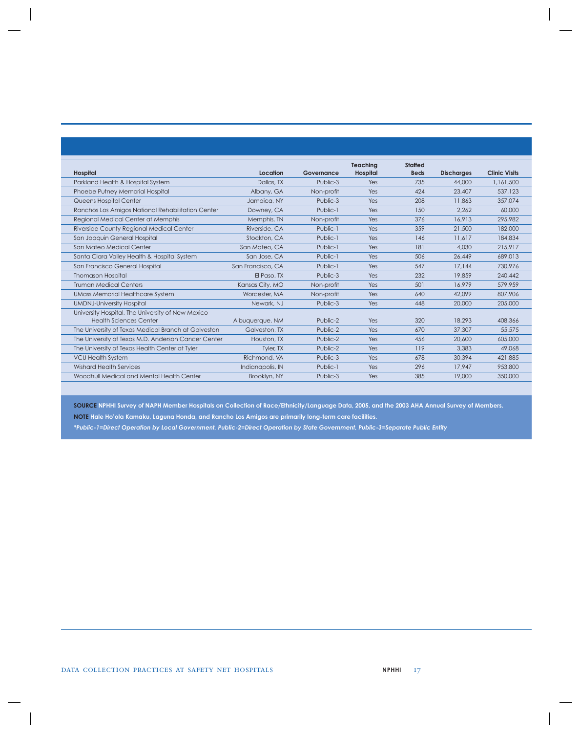|                                                     |                   |            | Teaching   | <b>Staffed</b> |                   |                      |
|-----------------------------------------------------|-------------------|------------|------------|----------------|-------------------|----------------------|
| Hospital                                            | Location          | Governance | Hospital   | <b>Beds</b>    | <b>Discharges</b> | <b>Clinic Visits</b> |
| Parkland Health & Hospital System                   | Dallas, TX        | Public-3   | <b>Yes</b> | 735            | 44,000            | 1,161,500            |
| Phoebe Putney Memorial Hospital                     | Albany, GA        | Non-profit | Yes        | 424            | 23,407            | 537,123              |
| Queens Hospital Center                              | Jamaica, NY       | Public-3   | Yes        | 208            | 11,863            | 357,074              |
| Ranchos Los Amigos National Rehabilitation Center   | Downey, CA        | Public-1   | <b>Yes</b> | 150            | 2.262             | 60,000               |
| Regional Medical Center at Memphis                  | Memphis, TN       | Non-profit | Yes        | 376            | 16.913            | 295,982              |
| Riverside County Regional Medical Center            | Riverside, CA     | Public-1   | Yes        | 359            | 21,500            | 182,000              |
| San Joaquin General Hospital                        | Stockton, CA      | Public-1   | Yes        | 146            | 11.617            | 184,834              |
| San Mateo Medical Center                            | San Mateo, CA     | Public-1   | <b>Yes</b> | 181            | 4,030             | 215,917              |
| Santa Clara Valley Health & Hospital System         | San Jose, CA      | Public-1   | <b>Yes</b> | 506            | 26.449            | 689,013              |
| San Francisco General Hospital                      | San Francisco, CA | Public-1   | Yes        | 547            | 17.144            | 730.976              |
| <b>Thomason Hospital</b>                            | El Paso, TX       | Public-3   | Yes        | 232            | 19,859            | 240.442              |
| <b>Truman Medical Centers</b>                       | Kansas City, MO   | Non-profit | <b>Yes</b> | 501            | 16,979            | 579.959              |
| <b>UMass Memorial Healthcare System</b>             | Worcester, MA     | Non-profit | Yes        | 640            | 42.099            | 807.906              |
| <b>UMDNJ-University Hospital</b>                    | Newark, NJ        | Public-3   | Yes        | 448            | 20,000            | 205,000              |
| University Hospital, The University of New Mexico   |                   |            |            |                |                   |                      |
| <b>Health Sciences Center</b>                       | Albuquerque, NM   | Public-2   | <b>Yes</b> | 320            | 18,293            | 408,366              |
| The University of Texas Medical Branch at Galveston | Galveston, TX     | Public-2   | Yes        | 670            | 37,307            | 55,575               |
| The University of Texas M.D. Anderson Cancer Center | Houston, TX       | Public-2   | Yes        | 456            | 20,600            | 605,000              |
| The University of Texas Health Center at Tyler      | Tyler, TX         | Public-2   | Yes        | 119            | 3,383             | 49.068               |
| <b>VCU Health System</b>                            | Richmond, VA      | Public-3   | Yes        | 678            | 30,394            | 421,885              |
| <b>Wishard Health Services</b>                      | Indianapolis, IN  | Public-1   | Yes        | 296            | 17.947            | 953,800              |
| Woodhull Medical and Mental Health Center           | Brooklyn, NY      | Public-3   | Yes        | 385            | 19,000            | 350,000              |
|                                                     |                   |            |            |                |                   |                      |

**SOURCE NPHHI Survey of NAPH Member Hospitals on Collection of Race/Ethnicity/Language Data, 2005, and the 2003 AHA Annual Survey of Members.**

**NOTE Hale Ho'ola Kamaku, Laguna Honda, and Rancho Los Amigos are primarily long-term care facilities.** 

*\*Public-1=Direct Operation by Local Government, Public-2=Direct Operation by State Government, Public-3=Separate Public Entity*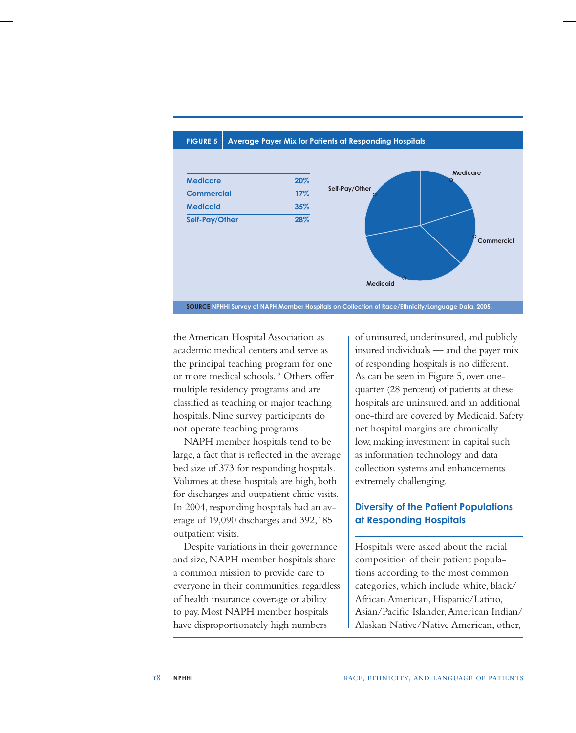#### FIGURE 5 | Average Payer Mix for Patients at Responding Hospitals



the American Hospital Association as academic medical centers and serve as the principal teaching program for one or more medical schools.12 Others offer multiple residency programs and are classified as teaching or major teaching hospitals. Nine survey participants do not operate teaching programs.

NAPH member hospitals tend to be large, a fact that is reflected in the average bed size of 373 for responding hospitals. Volumes at these hospitals are high, both for discharges and outpatient clinic visits. In 2004, responding hospitals had an average of 19,090 discharges and 392,185 outpatient visits.

Despite variations in their governance and size, NAPH member hospitals share a common mission to provide care to everyone in their communities, regardless of health insurance coverage or ability to pay. Most NAPH member hospitals have disproportionately high numbers

of uninsured, underinsured, and publicly insured individuals — and the payer mix of responding hospitals is no different. As can be seen in Figure 5, over onequarter (28 percent) of patients at these hospitals are uninsured, and an additional one-third are covered by Medicaid. Safety net hospital margins are chronically low, making investment in capital such as information technology and data collection systems and enhancements extremely challenging.

# **Diversity of the Patient Populations at Responding Hospitals**

Hospitals were asked about the racial composition of their patient populations according to the most common categories, which include white, black/ African American, Hispanic/Latino, Asian/Pacific Islander, American Indian/ Alaskan Native/Native American, other,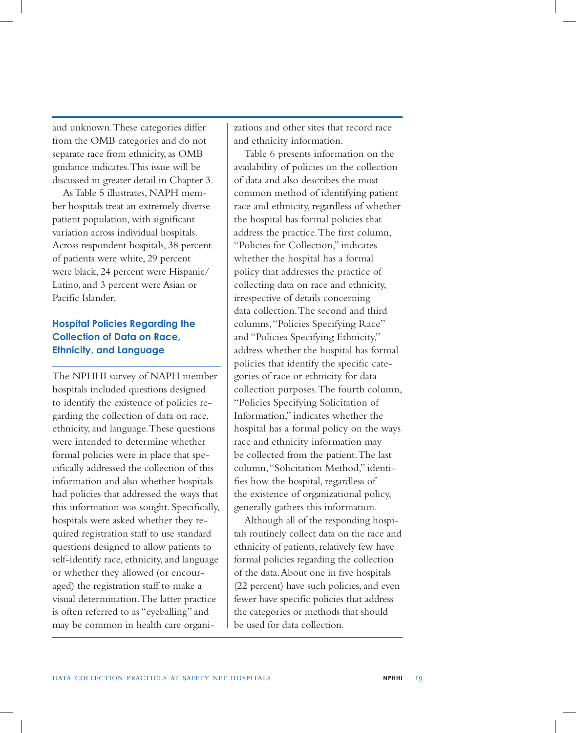and unknown. These categories differ from the OMB categories and do not separate race from ethnicity, as OMB guidance indicates. This issue will be discussed in greater detail in Chapter 3.

As Table 5 illustrates, NAPH member hospitals treat an extremely diverse patient population, with significant variation across individual hospitals. Across respondent hospitals, 38 percent of patients were white, 29 percent were black, 24 percent were Hispanic/ Latino, and 3 percent were Asian or Pacific Islander.

# **Hospital Policies Regarding the Collection of Data on Race, Ethnicity, and Language**

The NPHHI survey of NAPH member hospitals included questions designed to identify the existence of policies regarding the collection of data on race, ethnicity, and language. These questions were intended to determine whether formal policies were in place that specifi cally addressed the collection of this information and also whether hospitals had policies that addressed the ways that this information was sought. Specifically, hospitals were asked whether they required registration staff to use standard questions designed to allow patients to self-identify race, ethnicity, and language or whether they allowed (or encouraged) the registration staff to make a visual determination. The latter practice is often referred to as "eyeballing" and may be common in health care organizations and other sites that record race and ethnicity information.

Table 6 presents information on the availability of policies on the collection of data and also describes the most common method of identifying patient race and ethnicity, regardless of whether the hospital has formal policies that address the practice. The first column, "Policies for Collection," indicates whether the hospital has a formal policy that addresses the practice of collecting data on race and ethnicity, irrespective of details concerning data collection. The second and third columns, "Policies Specifying Race" and "Policies Specifying Ethnicity," address whether the hospital has formal policies that identify the specific categories of race or ethnicity for data collection purposes. The fourth column, "Policies Specifying Solicitation of Information," indicates whether the hospital has a formal policy on the ways race and ethnicity information may be collected from the patient. The last column, "Solicitation Method," identifies how the hospital, regardless of the existence of organizational policy, generally gathers this information.

Although all of the responding hospitals routinely collect data on the race and ethnicity of patients, relatively few have formal policies regarding the collection of the data. About one in five hospitals (22 percent) have such policies, and even fewer have specific policies that address the categories or methods that should be used for data collection.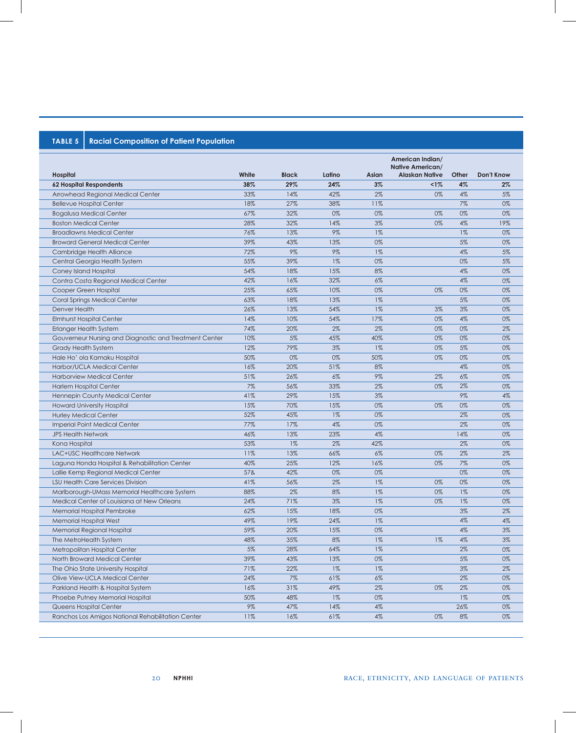#### <code>TABLE 5 |</code> Racial Composition of Patient Population  $\blacksquare$

| Hospital                                               | White | <b>Black</b> | Latino | Asian | American Indian/<br>Native American/<br><b>Alaskan Native</b> | Other | Don't Know |
|--------------------------------------------------------|-------|--------------|--------|-------|---------------------------------------------------------------|-------|------------|
| <b>62 Hospital Respondents</b>                         | 38%   | 29%          | 24%    | $3\%$ | $1\%$                                                         | 4%    | $2\%$      |
| Arrowhead Regional Medical Center                      | 33%   | 14%          | 42%    | 2%    | 0%                                                            | 4%    | 5%         |
| <b>Bellevue Hospital Center</b>                        | 18%   | 27%          | 38%    | 11%   |                                                               | 7%    | 0%         |
| <b>Bogalusa Medical Center</b>                         | 67%   | 32%          | 0%     | 0%    | 0%                                                            | 0%    | 0%         |
| <b>Boston Medical Center</b>                           | 28%   | 32%          | 14%    | 3%    | 0%                                                            | 4%    | 19%        |
| <b>Broadlawns Medical Center</b>                       | 76%   | 13%          | 9%     | $1\%$ |                                                               | $1\%$ | 0%         |
| <b>Broward General Medical Center</b>                  | 39%   | 43%          | 13%    | 0%    |                                                               | 5%    | 0%         |
| Cambridge Health Alliance                              | 72%   | 9%           | 9%     | $1\%$ |                                                               | 4%    | 5%         |
| Central Georgia Health System                          | 55%   | 39%          | $1\%$  | 0%    |                                                               | 0%    | 5%         |
| Coney Island Hospital                                  | 54%   | 18%          | 15%    | 8%    |                                                               | 4%    | 0%         |
| Contra Costa Regional Medical Center                   | 42%   | 16%          | 32%    | 6%    |                                                               | 4%    | 0%         |
| Cooper Green Hospital                                  | 25%   | 65%          | 10%    | 0%    | 0%                                                            | 0%    | 0%         |
| Coral Springs Medical Center                           | 63%   | 18%          | 13%    | $1\%$ |                                                               | 5%    | 0%         |
| Denver Health                                          | 26%   | 13%          | 54%    | $1\%$ | 3%                                                            | 3%    | 0%         |
| <b>Elmhurst Hospital Center</b>                        | 14%   | 10%          | 54%    | 17%   | 0%                                                            | 4%    | 0%         |
| Erlanger Health System                                 | 74%   | 20%          | 2%     | 2%    | 0%                                                            | 0%    | 2%         |
| Gouverneur Nursing and Diagnostic and Treatment Center | 10%   | 5%           | 45%    | 40%   | 0%                                                            | 0%    | 0%         |
| <b>Grady Health System</b>                             | 12%   | 79%          | 3%     | $1\%$ | 0%                                                            | 5%    | 0%         |
| Hale Ho' ola Kamaku Hospital                           | 50%   | 0%           | 0%     | 50%   | 0%                                                            | 0%    | 0%         |
| Harbor/UCLA Medical Center                             | 16%   | 20%          | 51%    | 8%    |                                                               | 4%    | 0%         |
| <b>Harborview Medical Center</b>                       | 51%   | 26%          | 6%     | 9%    | 2%                                                            | 6%    | 0%         |
| <b>Harlem Hospital Center</b>                          | 7%    | 56%          | 33%    | 2%    | 0%                                                            | 2%    | 0%         |
| Hennepin County Medical Center                         | 41%   | 29%          | 15%    | 3%    |                                                               | 9%    | 4%         |
| Howard University Hospital                             | 15%   | 70%          | 15%    | 0%    | 0%                                                            | 0%    | 0%         |
| <b>Hurley Medical Center</b>                           | 52%   | 45%          | $1\%$  | 0%    |                                                               | 2%    | 0%         |
| <b>Imperial Point Medical Center</b>                   | 77%   | 17%          | 4%     | 0%    |                                                               | 2%    | 0%         |
| <b>JPS Health Network</b>                              | 46%   | 13%          | 23%    | 4%    |                                                               | 14%   | 0%         |
| Kona Hospital                                          | 53%   | $1\%$        | 2%     | 42%   |                                                               | 2%    | 0%         |
| LAC+USC Healthcare Network                             | 11%   | 13%          | 66%    | $6\%$ | 0%                                                            | 2%    | 2%         |
| Laguna Honda Hospital & Rehabilitation Center          | 40%   | 25%          | 12%    | 16%   | 0%                                                            | 7%    | 0%         |
| Lallie Kemp Regional Medical Center                    | 57&   | 42%          | 0%     | 0%    |                                                               | 0%    | 0%         |
| LSU Health Care Services Division                      | 41%   | 56%          | 2%     | $1\%$ | 0%                                                            | 0%    | 0%         |
| Marlborough-UMass Memorial Healthcare System           | 88%   | 2%           | 8%     | $1\%$ | 0%                                                            | $1\%$ | 0%         |
| Medical Center of Louisiana at New Orleans             | 24%   | 71%          | 3%     | $1\%$ | 0%                                                            | $1\%$ | 0%         |
| Memorial Hospital Pembroke                             | 62%   | 15%          | 18%    | 0%    |                                                               | 3%    | 2%         |
| <b>Memorial Hospital West</b>                          | 49%   | 19%          | 24%    | $1\%$ |                                                               | 4%    | 4%         |
| Memorial Regional Hospital                             | 59%   | 20%          | 15%    | 0%    |                                                               | 4%    | 3%         |
| The MetroHealth System                                 | 48%   | 35%          | 8%     | $1\%$ | $1\%$                                                         | 4%    | 3%         |
| Metropolitan Hospital Center                           | 5%    | 28%          | 64%    | $1\%$ |                                                               | $2\%$ | 0%         |
| North Broward Medical Center                           | 39%   | 43%          | 13%    | 0%    |                                                               | 5%    | 0%         |
| The Ohio State University Hospital                     | 71%   | 22%          | $1\%$  | $1\%$ |                                                               | 3%    | $2\%$      |
| Olive View-UCLA Medical Center                         | 24%   | $7\%$        | 61%    | $6\%$ |                                                               | 2%    | 0%         |
| Parkland Health & Hospital System                      | 16%   | 31%          | 49%    | $2\%$ | 0%                                                            | 2%    | 0%         |
| Phoebe Putney Memorial Hospital                        | 50%   | 48%          | $1\%$  | 0%    |                                                               | 1%    | 0%         |
| Queens Hospital Center                                 | 9%    | 47%          | 14%    | 4%    |                                                               | 26%   | 0%         |
| Ranchos Los Amigos National Rehabilitation Center      | 11%   | 16%          | 61%    | 4%    | 0%                                                            | 8%    | 0%         |
|                                                        |       |              |        |       |                                                               |       |            |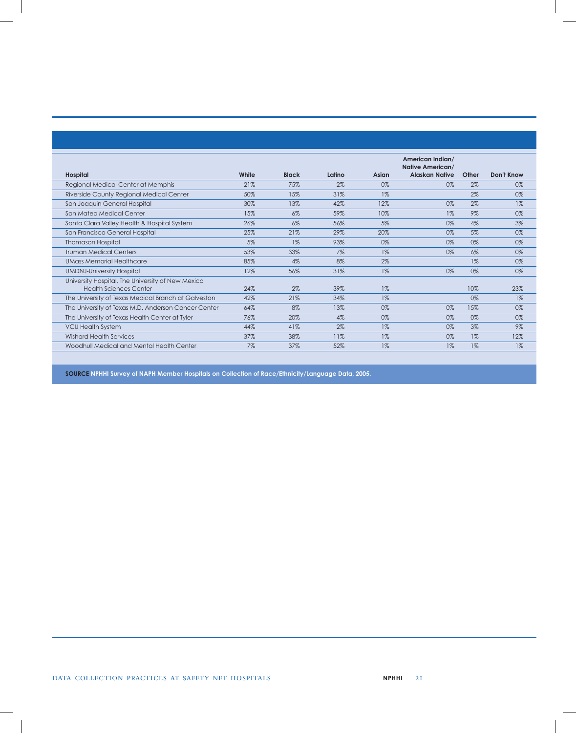|                                                                                    |       |              |        |       | American Indian/<br>Native American/ |       |            |  |
|------------------------------------------------------------------------------------|-------|--------------|--------|-------|--------------------------------------|-------|------------|--|
| Hospital                                                                           | White | <b>Black</b> | Latino | Asian | <b>Alaskan Native</b>                | Other | Don't Know |  |
| Regional Medical Center at Memphis                                                 | 21%   | 75%          | 2%     | 0%    | 0%                                   | $2\%$ | 0%         |  |
| Riverside County Regional Medical Center                                           | 50%   | 15%          | 31%    | $1\%$ |                                      | 2%    | 0%         |  |
| San Joaquin General Hospital                                                       | 30%   | 13%          | 42%    | 12%   | 0%                                   | $2\%$ | $1\%$      |  |
| San Mateo Medical Center                                                           | 15%   | 6%           | 59%    | 10%   | $1\%$                                | 9%    | 0%         |  |
| Santa Clara Valley Health & Hospital System                                        | 26%   | 6%           | 56%    | 5%    | 0%                                   | 4%    | $3\%$      |  |
| San Francisco General Hospital                                                     | 25%   | 21%          | 29%    | 20%   | 0%                                   | 5%    | 0%         |  |
| <b>Thomason Hospital</b>                                                           | 5%    | $1\%$        | 93%    | 0%    | 0%                                   | 0%    | 0%         |  |
| <b>Truman Medical Centers</b>                                                      | 53%   | 33%          | $7\%$  | $1\%$ | 0%                                   | $6\%$ | 0%         |  |
| UMass Memorial Healthcare                                                          | 85%   | 4%           | 8%     | 2%    |                                      | $1\%$ | 0%         |  |
| <b>UMDNJ-University Hospital</b>                                                   | 12%   | 56%          | 31%    | $1\%$ | 0%                                   | 0%    | 0%         |  |
| University Hospital, The University of New Mexico<br><b>Health Sciences Center</b> | 24%   | 2%           | 39%    | $1\%$ |                                      | 10%   | 23%        |  |
| The University of Texas Medical Branch at Galveston                                | 42%   | 21%          | 34%    | $1\%$ |                                      | 0%    | $1\%$      |  |
| The University of Texas M.D. Anderson Cancer Center                                | 64%   | 8%           | 13%    | 0%    | 0%                                   | 15%   | 0%         |  |
| The University of Texas Health Center at Tyler                                     | 76%   | 20%          | 4%     | 0%    | 0%                                   | 0%    | 0%         |  |
| <b>VCU Health System</b>                                                           | 44%   | 41%          | $2\%$  | $1\%$ | 0%                                   | $3\%$ | 9%         |  |
| <b>Wishard Health Services</b>                                                     | 37%   | 38%          | 11%    | $1\%$ | 0%                                   | $1\%$ | 12%        |  |
| Woodhull Medical and Mental Health Center                                          | 7%    | 37%          | 52%    | $1\%$ | 1%                                   | $1\%$ | $1\%$      |  |
|                                                                                    |       |              |        |       |                                      |       |            |  |

**SOURCE NPHHI Survey of NAPH Member Hospitals on Collection of Race/Ethnicity/Language Data, 2005.**

 $\mathbf{I}$ 

 $\overline{\phantom{a}}$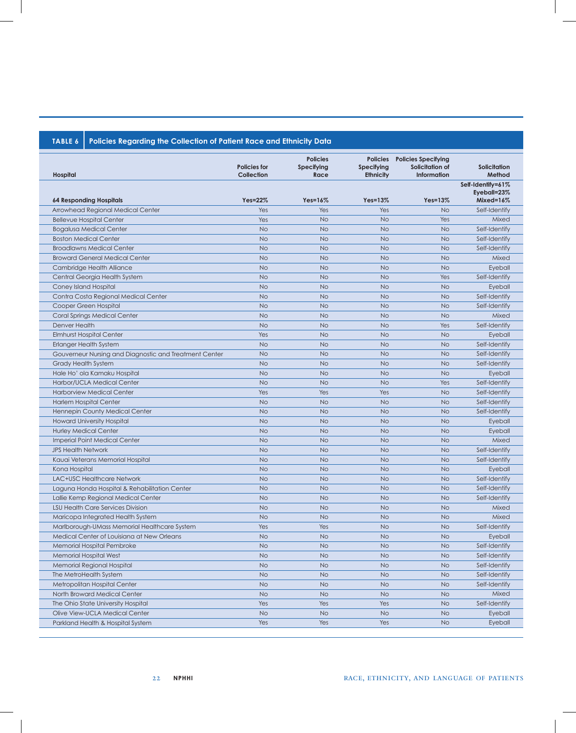#### <code>TABLE 6  $\,|\,$  Policies Regarding the Collection of Patient Race and Ethnicity Data</code>

| Hospital                                                                                   | <b>Policies for</b><br>Collection | <b>Policies</b><br><b>Specifying</b><br>Race | <b>Policies</b><br>Specifying<br><b>Ethnicity</b> | <b>Policies Specifying</b><br>Solicitation of<br>Information | Solicitation<br>Method                        |
|--------------------------------------------------------------------------------------------|-----------------------------------|----------------------------------------------|---------------------------------------------------|--------------------------------------------------------------|-----------------------------------------------|
| <b>64 Responding Hospitals</b>                                                             | Yes=22%                           | Yes= $16\%$                                  | $Yes=13%$                                         | $Yes=13%$                                                    | Self-Identify=61%<br>Eyeball=23%<br>Mixed=16% |
| Arrowhead Regional Medical Center                                                          | Yes                               | Yes                                          | Yes                                               | <b>No</b>                                                    | Self-Identify                                 |
| <b>Bellevue Hospital Center</b>                                                            | Yes                               | <b>No</b>                                    | <b>No</b>                                         | Yes                                                          | Mixed                                         |
| <b>Bogalusa Medical Center</b>                                                             | <b>No</b>                         | <b>No</b>                                    | <b>No</b>                                         | <b>No</b>                                                    | Self-Identify                                 |
| <b>Boston Medical Center</b>                                                               | <b>No</b>                         | <b>No</b>                                    | <b>No</b>                                         | <b>No</b>                                                    | Self-Identify                                 |
| <b>Broadlawns Medical Center</b>                                                           | <b>No</b>                         | <b>No</b>                                    | <b>No</b>                                         | <b>No</b>                                                    | Self-Identify                                 |
| <b>Broward General Medical Center</b>                                                      | <b>No</b>                         | <b>No</b>                                    | <b>No</b>                                         | <b>No</b>                                                    | Mixed                                         |
| Cambridge Health Alliance                                                                  | <b>No</b>                         | <b>No</b>                                    | <b>No</b>                                         | <b>No</b>                                                    | Eyeball                                       |
| Central Georgia Health System                                                              | <b>No</b>                         | <b>No</b>                                    | <b>No</b>                                         | Yes                                                          | Self-Identify                                 |
| Coney Island Hospital                                                                      | <b>No</b>                         | <b>No</b>                                    | <b>No</b>                                         | <b>No</b>                                                    | Eyeball                                       |
| Contra Costa Regional Medical Center                                                       | <b>No</b>                         | <b>No</b>                                    | <b>No</b>                                         | <b>No</b>                                                    | Self-Identify                                 |
| Cooper Green Hospital                                                                      | <b>No</b>                         | <b>No</b>                                    | <b>No</b>                                         | <b>No</b>                                                    | Self-Identify                                 |
| Coral Springs Medical Center                                                               | <b>No</b>                         | <b>No</b>                                    | <b>No</b>                                         | <b>No</b>                                                    | Mixed                                         |
| <b>Denver Health</b>                                                                       | <b>No</b>                         | <b>No</b>                                    | <b>No</b>                                         | Yes                                                          | Self-Identify                                 |
| <b>Elmhurst Hospital Center</b>                                                            | Yes                               | <b>No</b>                                    | <b>No</b>                                         | <b>No</b>                                                    | Eyeball                                       |
| Erlanger Health System                                                                     | <b>No</b>                         | <b>No</b>                                    | <b>No</b>                                         | <b>No</b>                                                    | Self-Identify                                 |
| Gouverneur Nursing and Diagnostic and Treatment Center                                     | <b>No</b>                         | <b>No</b>                                    | <b>No</b>                                         | <b>No</b>                                                    | Self-Identify                                 |
| <b>Grady Health System</b>                                                                 | <b>No</b>                         | <b>No</b>                                    | <b>No</b>                                         | <b>No</b>                                                    | Self-Identify                                 |
| Hale Ho' ola Kamaku Hospital                                                               | <b>No</b>                         | <b>No</b>                                    | <b>No</b>                                         | <b>No</b>                                                    | Eyeball                                       |
| Harbor/UCLA Medical Center                                                                 | <b>No</b>                         | <b>No</b>                                    | <b>No</b>                                         | Yes                                                          | Self-Identify                                 |
| <b>Harborview Medical Center</b>                                                           | Yes                               | Yes                                          | Yes                                               | <b>No</b>                                                    | Self-Identify                                 |
| Harlem Hospital Center                                                                     | <b>No</b>                         | <b>No</b>                                    | <b>No</b>                                         | <b>No</b>                                                    | Self-Identify                                 |
| <b>Hennepin County Medical Center</b>                                                      | <b>No</b>                         | <b>No</b>                                    | <b>No</b>                                         | <b>No</b>                                                    | Self-Identify                                 |
| <b>Howard University Hospital</b>                                                          | <b>No</b>                         | <b>No</b>                                    | <b>No</b>                                         | <b>No</b>                                                    |                                               |
|                                                                                            | <b>No</b>                         | <b>No</b>                                    | <b>No</b>                                         | <b>No</b>                                                    | Eyeball<br>Eyeball                            |
| <b>Hurley Medical Center</b>                                                               | <b>No</b>                         | <b>No</b>                                    | <b>No</b>                                         | <b>No</b>                                                    | Mixed                                         |
| <b>Imperial Point Medical Center</b><br><b>JPS Health Network</b>                          | <b>No</b>                         | <b>No</b>                                    | <b>No</b>                                         | <b>No</b>                                                    | Self-Identify                                 |
|                                                                                            | <b>No</b>                         | <b>No</b>                                    | <b>No</b>                                         | <b>No</b>                                                    | Self-Identify                                 |
| Kauai Veterans Memorial Hospital                                                           |                                   |                                              |                                                   |                                                              |                                               |
| Kona Hospital<br>LAC+USC Healthcare Network                                                | <b>No</b><br><b>No</b>            | <b>No</b><br><b>No</b>                       | <b>No</b><br><b>No</b>                            | <b>No</b><br><b>No</b>                                       | Eyeball                                       |
|                                                                                            | <b>No</b>                         | <b>No</b>                                    | <b>No</b>                                         | <b>No</b>                                                    | Self-Identify<br>Self-Identify                |
| Laguna Honda Hospital & Rehabilitation Center<br>Lallie Kemp Regional Medical Center       |                                   |                                              |                                                   |                                                              | Self-Identify                                 |
| <b>LSU Health Care Services Division</b>                                                   | <b>No</b><br><b>No</b>            | <b>No</b><br><b>No</b>                       | <b>No</b><br><b>No</b>                            | <b>No</b><br><b>No</b>                                       | Mixed                                         |
|                                                                                            | <b>No</b>                         | <b>No</b>                                    | <b>No</b>                                         | <b>No</b>                                                    | Mixed                                         |
| Maricopa Integrated Health System                                                          |                                   | Yes                                          |                                                   |                                                              |                                               |
| Marlborough-UMass Memorial Healthcare System<br>Medical Center of Louisiana at New Orleans | Yes                               |                                              | <b>No</b>                                         | <b>No</b>                                                    | Self-Identify                                 |
|                                                                                            | <b>No</b>                         | <b>No</b>                                    | <b>No</b>                                         | <b>No</b>                                                    | Eyeball                                       |
| Memorial Hospital Pembroke                                                                 | <b>No</b>                         | <b>No</b>                                    | <b>No</b>                                         | <b>No</b>                                                    | Self-Identify                                 |
| <b>Memorial Hospital West</b>                                                              | <b>No</b>                         | <b>No</b>                                    | <b>No</b>                                         | <b>No</b>                                                    | Self-Identify                                 |
| Memorial Regional Hospital                                                                 | <b>No</b>                         | <b>No</b>                                    | <b>No</b>                                         | <b>No</b>                                                    | Self-Identify                                 |
| The MetroHealth System                                                                     | <b>No</b>                         | <b>No</b>                                    | <b>No</b>                                         | <b>No</b>                                                    | Self-Identify                                 |
| Metropolitan Hospital Center                                                               | <b>No</b>                         | <b>No</b>                                    | <b>No</b>                                         | <b>No</b>                                                    | Self-Identify                                 |
| North Broward Medical Center                                                               | <b>No</b>                         | <b>No</b>                                    | <b>No</b>                                         | <b>No</b>                                                    | Mixed                                         |
| The Ohio State University Hospital                                                         | Yes                               | Yes                                          | Yes                                               | <b>No</b>                                                    | Self-Identify                                 |
| Olive View-UCLA Medical Center                                                             | <b>No</b>                         | <b>No</b>                                    | <b>No</b>                                         | <b>No</b>                                                    | Eyeball                                       |
| Parkland Health & Hospital System                                                          | Yes                               | Yes                                          | Yes                                               | <b>No</b>                                                    | Eyeball                                       |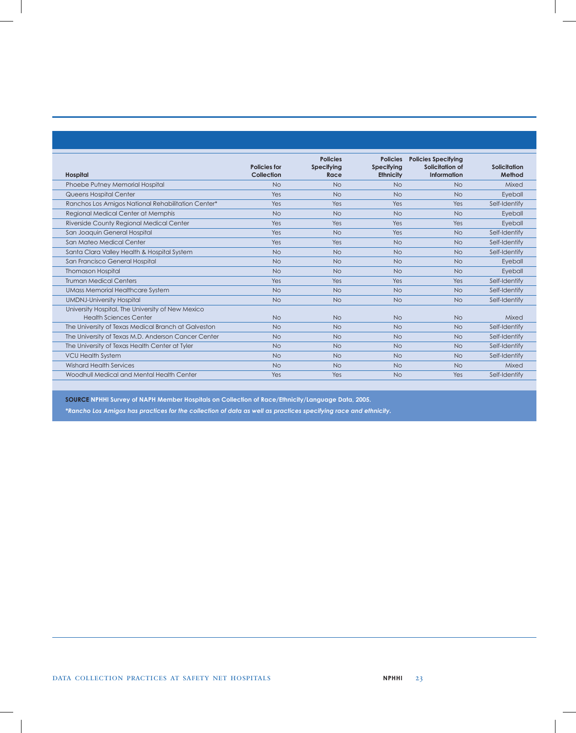|                                                     |                                   | <b>Policies</b>    | <b>Policies</b>                | <b>Policies Specifying</b>     |                        |
|-----------------------------------------------------|-----------------------------------|--------------------|--------------------------------|--------------------------------|------------------------|
| <b>Hospital</b>                                     | <b>Policies for</b><br>Collection | Specifying<br>Race | Specifying<br><b>Ethnicity</b> | Solicitation of<br>Information | Solicitation<br>Method |
| Phoebe Putney Memorial Hospital                     | <b>No</b>                         | No                 | No                             | No                             | Mixed                  |
| Queens Hospital Center                              | Yes                               | No                 | No                             | No                             | Eyeball                |
| Ranchos Los Amigos National Rehabilitation Center*  | <b>Yes</b>                        | Yes                | Yes                            | Yes                            | Self-Identify          |
| Regional Medical Center at Memphis                  | <b>No</b>                         | No                 | No                             | No                             | Eveball                |
| Riverside County Regional Medical Center            | Yes                               | Yes                | Yes                            | Yes                            | Eyeball                |
| San Joaquin General Hospital                        | <b>Yes</b>                        | <b>No</b>          | Yes                            | <b>No</b>                      | Self-Identify          |
| San Mateo Medical Center                            | Yes                               | Yes                | No                             | No                             |                        |
|                                                     |                                   |                    |                                |                                | Self-Identify          |
| Santa Clara Valley Health & Hospital System         | <b>No</b>                         | <b>No</b>          | <b>No</b>                      | <b>No</b>                      | Self-Identify          |
| San Francisco General Hospital                      | <b>No</b>                         | No                 | No                             | <b>No</b>                      | Eyeball                |
| <b>Thomason Hospital</b>                            | N <sub>O</sub>                    | <b>No</b>          | <b>No</b>                      | <b>No</b>                      | Eyeball                |
| <b>Truman Medical Centers</b>                       | Yes                               | Yes                | Yes                            | Yes                            | Self-Identify          |
| <b>UMass Memorial Healthcare System</b>             | <b>No</b>                         | <b>No</b>          | No                             | <b>No</b>                      | Self-Identify          |
| <b>UMDNJ-University Hospital</b>                    | <b>No</b>                         | <b>No</b>          | <b>No</b>                      | <b>No</b>                      | Self-Identify          |
| University Hospital, The University of New Mexico   |                                   |                    |                                |                                |                        |
| <b>Health Sciences Center</b>                       | <b>No</b>                         | No                 | No                             | No                             | Mixed                  |
| The University of Texas Medical Branch at Galveston | <b>No</b>                         | No                 | No                             | No                             | Self-Identify          |
| The University of Texas M.D. Anderson Cancer Center | <b>No</b>                         | No                 | No                             | <b>No</b>                      | Self-Identify          |
| The University of Texas Health Center at Tyler      | <b>No</b>                         | No                 | No                             | No                             | Self-Identify          |
| <b>VCU Health System</b>                            | <b>No</b>                         | No                 | No                             | No                             | Self-Identify          |
| <b>Wishard Health Services</b>                      | <b>No</b>                         | No                 | No                             | <b>No</b>                      | Mixed                  |
| Woodhull Medical and Mental Health Center           | <b>Yes</b>                        | Yes                | No                             | Yes                            | Self-Identify          |
|                                                     |                                   |                    |                                |                                |                        |

**SOURCE NPHHI Survey of NAPH Member Hospitals on Collection of Race/Ethnicity/Language Data, 2005.**

*\*Rancho Los Amigos has practices for the collection of data as well as practices specifying race and ethnicity.*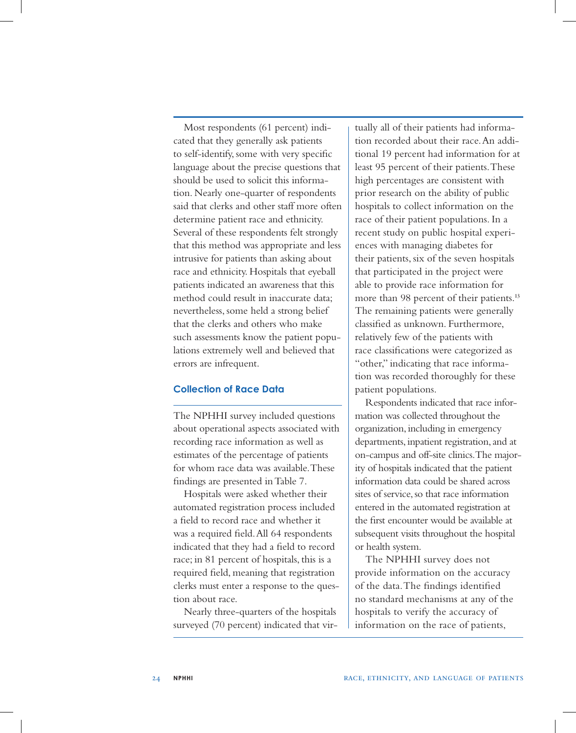Most respondents (61 percent) indicated that they generally ask patients to self-identify, some with very specific language about the precise questions that should be used to solicit this information. Nearly one-quarter of respondents said that clerks and other staff more often determine patient race and ethnicity. Several of these respondents felt strongly that this method was appropriate and less intrusive for patients than asking about race and ethnicity. Hospitals that eyeball patients indicated an awareness that this method could result in inaccurate data; nevertheless, some held a strong belief that the clerks and others who make such assessments know the patient populations extremely well and believed that errors are infrequent.

## **Collection of Race Data**

The NPHHI survey included questions about operational aspects associated with recording race information as well as estimates of the percentage of patients for whom race data was available. These findings are presented in Table 7.

Hospitals were asked whether their automated registration process included a field to record race and whether it was a required field. All 64 respondents indicated that they had a field to record race; in 81 percent of hospitals, this is a required field, meaning that registration clerks must enter a response to the question about race.

Nearly three-quarters of the hospitals surveyed (70 percent) indicated that vir-

tually all of their patients had information recorded about their race. An additional 19 percent had information for at least 95 percent of their patients. These high percentages are consistent with prior research on the ability of public hospitals to collect information on the race of their patient populations. In a recent study on public hospital experiences with managing diabetes for their patients, six of the seven hospitals that participated in the project were able to provide race information for more than 98 percent of their patients.<sup>13</sup> The remaining patients were generally classified as unknown. Furthermore, relatively few of the patients with race classifications were categorized as "other," indicating that race information was recorded thoroughly for these patient populations.

Respondents indicated that race information was collected throughout the organization, including in emergency departments, inpatient registration, and at on-campus and off-site clinics. The majority of hospitals indicated that the patient information data could be shared across sites of service, so that race information entered in the automated registration at the first encounter would be available at subsequent visits throughout the hospital or health system.

The NPHHI survey does not provide information on the accuracy of the data. The findings identified no standard mechanisms at any of the hospitals to verify the accuracy of information on the race of patients,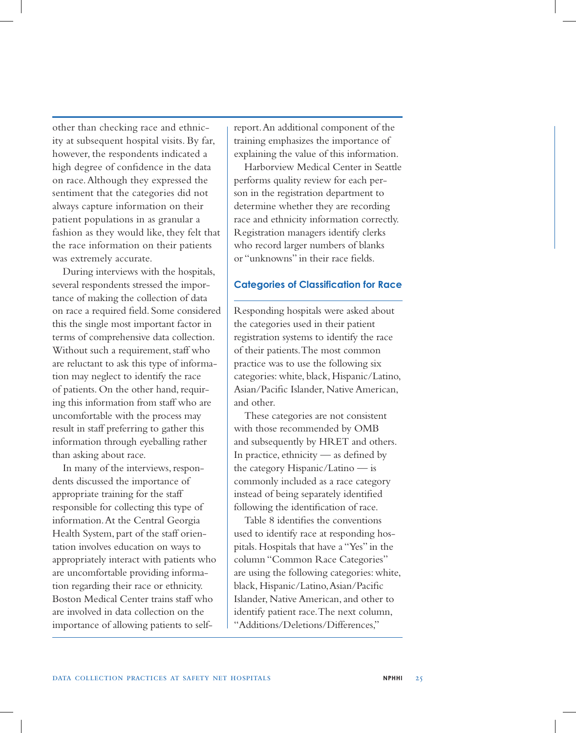other than checking race and ethnicity at subsequent hospital visits. By far, however, the respondents indicated a high degree of confidence in the data on race. Although they expressed the sentiment that the categories did not always capture information on their patient populations in as granular a fashion as they would like, they felt that the race information on their patients was extremely accurate.

During interviews with the hospitals, several respondents stressed the importance of making the collection of data on race a required field. Some considered this the single most important factor in terms of comprehensive data collection. Without such a requirement, staff who are reluctant to ask this type of information may neglect to identify the race of patients. On the other hand, requiring this information from staff who are uncomfortable with the process may result in staff preferring to gather this information through eyeballing rather than asking about race.

In many of the interviews, respondents discussed the importance of appropriate training for the staff responsible for collecting this type of information. At the Central Georgia Health System, part of the staff orientation involves education on ways to appropriately interact with patients who are uncomfortable providing information regarding their race or ethnicity. Boston Medical Center trains staff who are involved in data collection on the importance of allowing patients to selfreport. An additional component of the training emphasizes the importance of explaining the value of this information.

Harborview Medical Center in Seattle performs quality review for each person in the registration department to determine whether they are recording race and ethnicity information correctly. Registration managers identify clerks who record larger numbers of blanks or "unknowns" in their race fields.

## **Categories of Classification for Race**

Responding hospitals were asked about the categories used in their patient registration systems to identify the race of their patients. The most common practice was to use the following six categories: white, black, Hispanic/Latino, Asian/Pacific Islander, Native American, and other.

These categories are not consistent with those recommended by OMB and subsequently by HRET and others. In practice, ethnicity  $-$  as defined by the category Hispanic/Latino — is commonly included as a race category instead of being separately identified following the identification of race.

Table 8 identifies the conventions used to identify race at responding hospitals. Hospitals that have a "Yes" in the column "Common Race Categories" are using the following categories: white, black, Hispanic/Latino, Asian/Pacific Islander, Native American, and other to identify patient race. The next column, "Additions/Deletions/Differences,"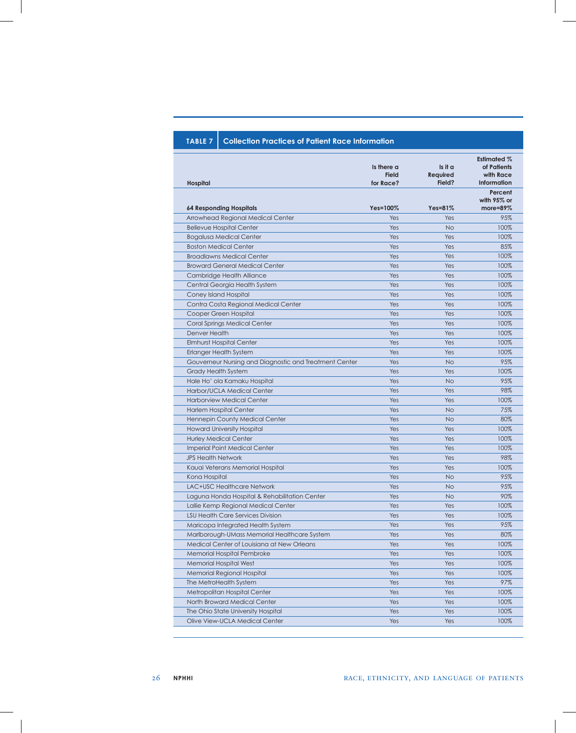# **FIGURE 3 Collection Practices of Patient Race Information**

| Hospital                                               | Is there a<br><b>Field</b><br>for Race? | Is it a<br>Required<br>Field? | <b>Estimated %</b><br>of Patients<br>with Race<br><b>Information</b> |
|--------------------------------------------------------|-----------------------------------------|-------------------------------|----------------------------------------------------------------------|
| <b>64 Responding Hospitals</b>                         | Yes=100%                                | $Yes=81%$                     | Percent<br>with 95% or<br>more=89%                                   |
| Arrowhead Regional Medical Center                      | Yes                                     | Yes                           | 95%                                                                  |
| <b>Bellevue Hospital Center</b>                        | Yes                                     | <b>No</b>                     | 100%                                                                 |
| <b>Bogalusa Medical Center</b>                         | Yes                                     | Yes                           | 100%                                                                 |
| <b>Boston Medical Center</b>                           | Yes                                     | Yes                           | 85%                                                                  |
| <b>Broadlawns Medical Center</b>                       | Yes                                     | Yes                           | 100%                                                                 |
| <b>Broward General Medical Center</b>                  | Yes                                     | Yes                           | 100%                                                                 |
| Cambridge Health Alliance                              | Yes                                     | Yes                           | 100%                                                                 |
| Central Georgia Health System                          | Yes                                     | Yes                           | 100%                                                                 |
| Coney Island Hospital                                  | Yes                                     | Yes                           | 100%                                                                 |
| Contra Costa Regional Medical Center                   | Yes                                     | Yes                           | 100%                                                                 |
| Cooper Green Hospital                                  | Yes                                     | Yes                           | 100%                                                                 |
| Coral Springs Medical Center                           | Yes                                     | Yes                           | 100%                                                                 |
| Denver Health                                          | Yes                                     | Yes                           | 100%                                                                 |
| Elmhurst Hospital Center                               | Yes                                     | Yes                           | 100%                                                                 |
| Erlanger Health System                                 | Yes                                     | Yes                           | 100%                                                                 |
| Gouverneur Nursing and Diagnostic and Treatment Center | Yes                                     | <b>No</b>                     | 95%                                                                  |
| <b>Grady Health System</b>                             | Yes                                     | Yes                           | 100%                                                                 |
| Hale Ho' ola Kamaku Hospital                           | Yes                                     | <b>No</b>                     | 95%                                                                  |
| Harbor/UCLA Medical Center                             | Yes                                     | Yes                           | 98%                                                                  |
| <b>Harborview Medical Center</b>                       | Yes                                     | Yes                           | 100%                                                                 |
| <b>Harlem Hospital Center</b>                          | Yes                                     | <b>No</b>                     | 75%                                                                  |
| Hennepin County Medical Center                         | Yes                                     | <b>No</b>                     | 80%                                                                  |
| <b>Howard University Hospital</b>                      | Yes                                     | Yes                           | 100%                                                                 |
| <b>Hurley Medical Center</b>                           | Yes                                     | Yes                           | 100%                                                                 |
| <b>Imperial Point Medical Center</b>                   | Yes                                     | Yes                           | 100%                                                                 |
| <b>JPS Health Network</b>                              | Yes                                     | Yes                           | 98%                                                                  |
| Kauai Veterans Memorial Hospital                       | Yes                                     | Yes                           | 100%                                                                 |
| Kona Hospital                                          | Yes                                     | <b>No</b>                     | 95%                                                                  |
| LAC+USC Healthcare Network                             | Yes                                     | <b>No</b>                     | 95%                                                                  |
| Laguna Honda Hospital & Rehabilitation Center          | Yes                                     | <b>No</b>                     | 90%                                                                  |
| Lallie Kemp Regional Medical Center                    | Yes                                     | Yes                           | 100%                                                                 |
| LSU Health Care Services Division                      | Yes                                     | Yes                           | 100%                                                                 |
| Maricopa Integrated Health System                      | Yes                                     | Yes                           | 95%                                                                  |
| Marlborough-UMass Memorial Healthcare System           | Yes                                     | Yes                           | 80%                                                                  |
| Medical Center of Louisiana at New Orleans             | Yes                                     | Yes                           | 100%                                                                 |
| Memorial Hospital Pembroke                             | Yes                                     | Yes                           | 100%                                                                 |
| <b>Memorial Hospital West</b>                          | Yes                                     | Yes                           | 100%                                                                 |
| Memorial Regional Hospital                             | Yes                                     | Yes                           | 100%                                                                 |
| The MetroHealth System                                 | Yes                                     | Yes                           | 97%                                                                  |
| Metropolitan Hospital Center                           | Yes                                     | Yes                           | 100%                                                                 |
| North Broward Medical Center                           | Yes                                     | Yes                           | 100%                                                                 |
| The Ohio State University Hospital                     | Yes                                     | Yes                           | 100%                                                                 |
| Olive View-UCLA Medical Center                         | Yes                                     | Yes                           | 100%                                                                 |
|                                                        |                                         |                               |                                                                      |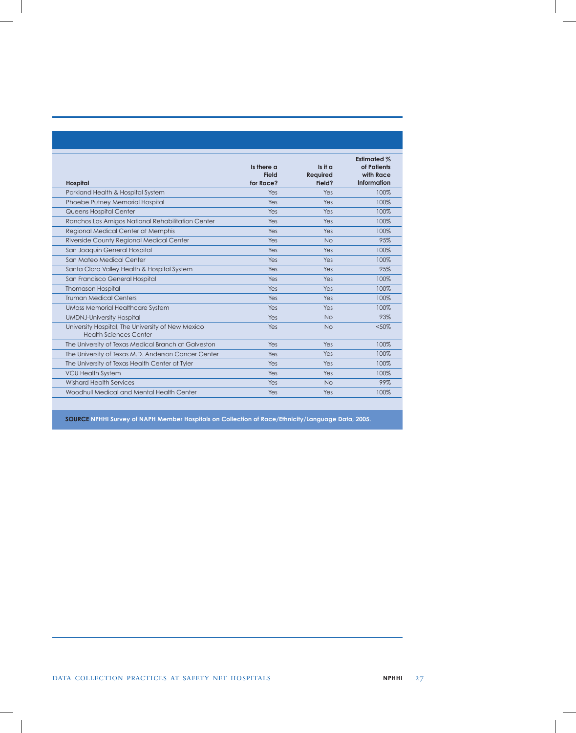| <b>Hospital</b>                                                                    | Is there a<br><b>Field</b><br>for Race? | $\mathsf{ls}$ it a<br><b>Required</b><br>Field? | Estimated %<br>of Patients<br>with Race<br>Information |
|------------------------------------------------------------------------------------|-----------------------------------------|-------------------------------------------------|--------------------------------------------------------|
| Parkland Health & Hospital System                                                  | Yes                                     | Yes                                             | 100%                                                   |
| Phoebe Putney Memorial Hospital                                                    | Yes                                     | Yes                                             | 100%                                                   |
| Queens Hospital Center                                                             | Yes                                     | Yes                                             | 100%                                                   |
| Ranchos Los Amigos National Rehabilitation Center                                  | Yes                                     | Yes                                             | 100%                                                   |
| Regional Medical Center at Memphis                                                 | Yes                                     | Yes                                             | 100%                                                   |
| Riverside County Regional Medical Center                                           | Yes                                     | N <sub>O</sub>                                  | 95%                                                    |
| San Joaquin General Hospital                                                       | Yes                                     | Yes                                             | 100%                                                   |
| San Mateo Medical Center                                                           | Yes                                     | Yes                                             | 100%                                                   |
| Santa Clara Valley Health & Hospital System                                        | Yes                                     | Yes                                             | 95%                                                    |
| San Francisco General Hospital                                                     | Yes                                     | Yes                                             | 100%                                                   |
| <b>Thomason Hospital</b>                                                           | Yes                                     | Yes                                             | 100%                                                   |
| <b>Truman Medical Centers</b>                                                      | Yes                                     | Yes                                             | 100%                                                   |
| <b>UMass Memorial Healthcare System</b>                                            | Yes                                     | Yes                                             | 100%                                                   |
| <b>UMDNJ-University Hospital</b>                                                   | Yes                                     | <b>No</b>                                       | 93%                                                    |
| University Hospital, The University of New Mexico<br><b>Health Sciences Center</b> | Yes                                     | <b>No</b>                                       | $< 50\%$                                               |
| The University of Texas Medical Branch at Galveston                                | Yes                                     | Yes                                             | 100%                                                   |
| The University of Texas M.D. Anderson Cancer Center                                | Yes                                     | Yes                                             | 100%                                                   |
| The University of Texas Health Center at Tyler                                     | Yes                                     | Yes                                             | 100%                                                   |
| <b>VCU Health System</b>                                                           | Yes                                     | Yes                                             | 100%                                                   |
| <b>Wishard Health Services</b>                                                     | Yes                                     | <b>No</b>                                       | 99%                                                    |
| Woodhull Medical and Mental Health Center                                          | Yes                                     | Yes                                             | 100%                                                   |
|                                                                                    |                                         |                                                 |                                                        |

**SOURCE NPHHI Survey of NAPH Member Hospitals on Collection of Race/Ethnicity/Language Data, 2005.**

 $\overline{\phantom{a}}$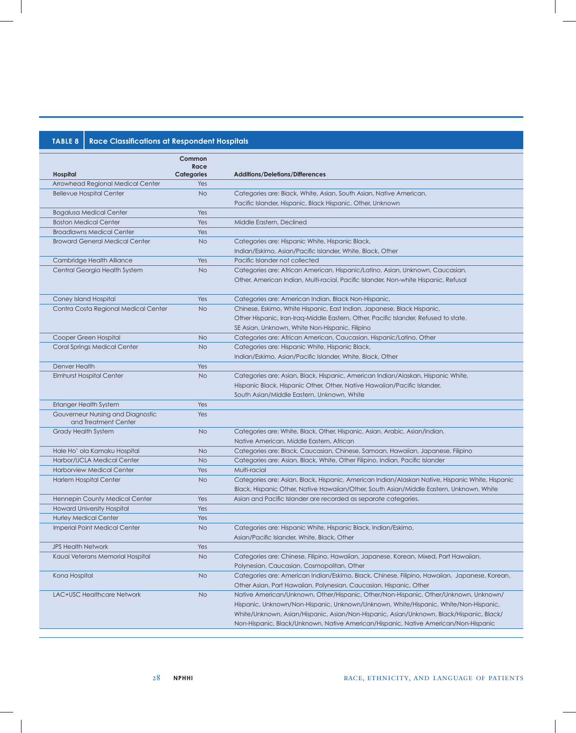# **FIGURE 8 | Race Classifications at Respondent Hospitals**

|                                                           | Common<br>Race |                                                                                                                                                                                                                                                                                                                                                                 |
|-----------------------------------------------------------|----------------|-----------------------------------------------------------------------------------------------------------------------------------------------------------------------------------------------------------------------------------------------------------------------------------------------------------------------------------------------------------------|
| Hospital                                                  | Categories     | <b>Additions/Deletions/Differences</b>                                                                                                                                                                                                                                                                                                                          |
| Arrowhead Regional Medical Center                         | Yes            |                                                                                                                                                                                                                                                                                                                                                                 |
| <b>Bellevue Hospital Center</b>                           | <b>No</b>      | Categories are: Black, White, Asian, South Asian, Native American,                                                                                                                                                                                                                                                                                              |
|                                                           |                | Pacific Islander, Hispanic, Black Hispanic, Other, Unknown                                                                                                                                                                                                                                                                                                      |
| <b>Bogalusa Medical Center</b>                            | Yes            |                                                                                                                                                                                                                                                                                                                                                                 |
| <b>Boston Medical Center</b>                              | Yes            | Middle Eastern, Declined                                                                                                                                                                                                                                                                                                                                        |
| <b>Broadlawns Medical Center</b>                          | Yes            |                                                                                                                                                                                                                                                                                                                                                                 |
| <b>Broward General Medical Center</b>                     | <b>No</b>      | Categories are: Hispanic White, Hispanic Black,<br>Indian/Eskimo, Asian/Pacific Islander, White, Black, Other                                                                                                                                                                                                                                                   |
| Cambridge Health Alliance                                 | Yes            | Pacific Islander not collected                                                                                                                                                                                                                                                                                                                                  |
| Central Georgia Health System                             | <b>No</b>      | Categories are: African American, Hispanic/Latino, Asian, Unknown, Caucasian,<br>Other, American Indian, Multi-racial, Pacific Islander, Non-white Hispanic, Refusal                                                                                                                                                                                            |
| Coney Island Hospital                                     | Yes            | Categories are: American Indian, Black Non-Hispanic,                                                                                                                                                                                                                                                                                                            |
| Contra Costa Regional Medical Center                      | <b>No</b>      | Chinese, Eskimo, White Hispanic, East Indian, Japanese, Black Hispanic,                                                                                                                                                                                                                                                                                         |
|                                                           |                | Other Hispanic, Iran-Iraq-Middle Eastern, Other, Pacific Islander, Refused to state,                                                                                                                                                                                                                                                                            |
|                                                           |                | SE Asian, Unknown, White Non-Hispanic, Filipino                                                                                                                                                                                                                                                                                                                 |
| Cooper Green Hospital                                     | <b>No</b>      | Categories are: African American, Caucasian, Hispanic/Latino, Other                                                                                                                                                                                                                                                                                             |
| Coral Springs Medical Center                              | <b>No</b>      | Categories are: Hispanic White, Hispanic Black,                                                                                                                                                                                                                                                                                                                 |
|                                                           |                | Indian/Eskimo, Asian/Pacific Islander, White, Black, Other                                                                                                                                                                                                                                                                                                      |
| Denver Health                                             | Yes            |                                                                                                                                                                                                                                                                                                                                                                 |
| <b>Elmhurst Hospital Center</b>                           | <b>No</b>      | Categories are: Asian, Black, Hispanic, American Indian/Alaskan, Hispanic White,<br>Hispanic Black, Hispanic Other, Other, Native Hawaiian/Pacific Islander,<br>South Asian/Middle Eastern, Unknown, White                                                                                                                                                      |
| Erlanger Health System                                    | Yes            |                                                                                                                                                                                                                                                                                                                                                                 |
| Gouverneur Nursing and Diagnostic<br>and Treatment Center | Yes            |                                                                                                                                                                                                                                                                                                                                                                 |
| <b>Grady Health System</b>                                | <b>No</b>      | Categories are: White, Black, Other, Hispanic, Asian, Arabic, Asian/Indian,<br>Native American, Middle Eastern, African                                                                                                                                                                                                                                         |
| Hale Ho' ola Kamaku Hospital                              | <b>No</b>      | Categories are: Black, Caucasian, Chinese, Samoan, Hawaiian, Japanese, Filipino                                                                                                                                                                                                                                                                                 |
| Harbor/UCLA Medical Center                                | <b>No</b>      | Categories are: Asian, Black, White, Other Filipino, Indian, Pacific Islander                                                                                                                                                                                                                                                                                   |
| Harborview Medical Center                                 | Yes            | Multi-racial                                                                                                                                                                                                                                                                                                                                                    |
| <b>Harlem Hospital Center</b>                             | <b>No</b>      | Categories are: Asian, Black, Hispanic, American Indian/Alaskan Native, Hispanic White, Hispanic                                                                                                                                                                                                                                                                |
|                                                           |                | Black, Hispanic Other, Native Hawaiian/Other, South Asian/Middle Eastern, Unknown, White                                                                                                                                                                                                                                                                        |
| Hennepin County Medical Center                            | Yes            | Asian and Pacific Islander are recorded as separate categories.                                                                                                                                                                                                                                                                                                 |
| <b>Howard University Hospital</b>                         | Yes            |                                                                                                                                                                                                                                                                                                                                                                 |
| <b>Hurley Medical Center</b>                              | Yes            |                                                                                                                                                                                                                                                                                                                                                                 |
| Imperial Point Medical Center                             | <b>No</b>      | Categories are: Hispanic White, Hispanic Black, Indian/Eskimo,<br>Asian/Pacific Islander, White, Black, Other                                                                                                                                                                                                                                                   |
| <b>JPS Health Network</b>                                 | Yes            |                                                                                                                                                                                                                                                                                                                                                                 |
| Kauai Veterans Memorial Hospital                          | <b>No</b>      | Categories are: Chinese, Filipino, Hawaiian, Japanese, Korean, Mixed, Part Hawaiian,<br>Polynesian, Caucasian, Cosmopolitan, Other                                                                                                                                                                                                                              |
| Kona Hospital                                             | <b>No</b>      | Categories are: American Indian/Eskimo, Black, Chinese, Filipino, Hawaiian, Japanese, Korean,<br>Other Asian, Part Hawaiian, Polynesian, Caucasian, Hispanic, Other                                                                                                                                                                                             |
| LAC+USC Healthcare Network                                | <b>No</b>      | Native American/Unknown, Other/Hispanic, Other/Non-Hispanic, Other/Unknown, Unknown/<br>Hispanic, Unknown/Non-Hispanic, Unknown/Unknown, White/Hispanic, White/Non-Hispanic,<br>White/Unknown, Asian/Hispanic, Asian/Non-Hispanic, Asian/Unknown, Black/Hispanic, Black/<br>Non-Hispanic, Black/Unknown, Native American/Hispanic, Native American/Non-Hispanic |
|                                                           |                |                                                                                                                                                                                                                                                                                                                                                                 |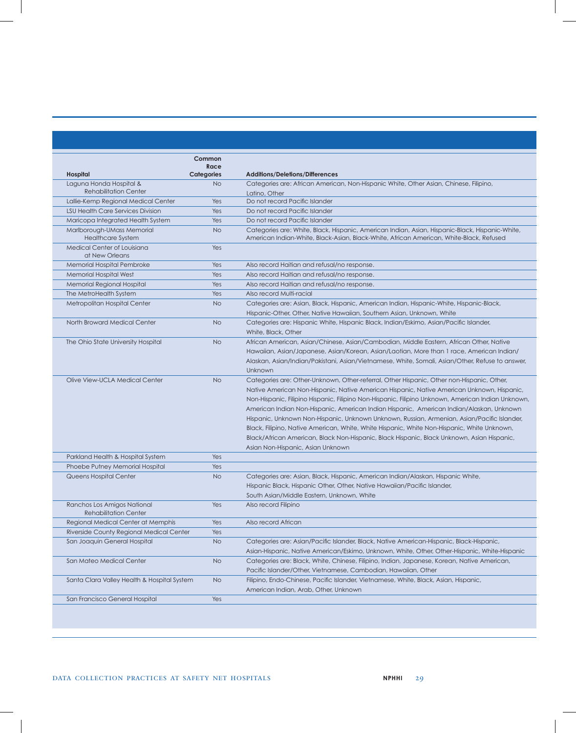|                                                             | Common             |                                                                                                                                                                                            |
|-------------------------------------------------------------|--------------------|--------------------------------------------------------------------------------------------------------------------------------------------------------------------------------------------|
| Hospital                                                    | Race<br>Categories | <b>Additions/Deletions/Differences</b>                                                                                                                                                     |
| Laguna Honda Hospital &                                     | <b>No</b>          | Categories are: African American, Non-Hispanic White, Other Asian, Chinese, Filipino,                                                                                                      |
| <b>Rehabilitation Center</b>                                |                    | Latino, Other                                                                                                                                                                              |
| Lallie-Kemp Regional Medical Center                         | Yes                | Do not record Pacific Islander                                                                                                                                                             |
| LSU Health Care Services Division                           | Yes                | Do not record Pacific Islander                                                                                                                                                             |
| Maricopa Integrated Health System                           | Yes                | Do not record Pacific Islander                                                                                                                                                             |
| Marlborough-UMass Memorial<br><b>Healthcare System</b>      | <b>No</b>          | Categories are: White, Black, Hispanic, American Indian, Asian, Hispanic-Black, Hispanic-White,<br>American Indian-White, Black-Asian, Black-White, African American, White-Black, Refused |
| Medical Center of Louisiana<br>at New Orleans               | Yes                |                                                                                                                                                                                            |
| Memorial Hospital Pembroke                                  | Yes                | Also record Haitian and refusal/no response.                                                                                                                                               |
| Memorial Hospital West                                      | Yes                | Also record Haitian and refusal/no response.                                                                                                                                               |
| Memorial Regional Hospital                                  | Yes                | Also record Haitian and refusal/no response.                                                                                                                                               |
| The MetroHealth System                                      | Yes                | Also record Multi-racial                                                                                                                                                                   |
| Metropolitan Hospital Center                                | <b>No</b>          | Categories are: Asian, Black, Hispanic, American Indian, Hispanic-White, Hispanic-Black,                                                                                                   |
|                                                             |                    | Hispanic-Other, Other, Native Hawaiian, Southern Asian, Unknown, White                                                                                                                     |
| North Broward Medical Center                                | <b>No</b>          | Categories are: Hispanic White, Hispanic Black, Indian/Eskimo, Asian/Pacific Islander,                                                                                                     |
|                                                             |                    | White, Black, Other                                                                                                                                                                        |
| The Ohio State University Hospital                          | <b>No</b>          | African American, Asian/Chinese, Asian/Cambodian, Middle Eastern, African Other, Native                                                                                                    |
|                                                             |                    | Hawaiian, Asian/Japanese, Asian/Korean, Asian/Laotian, More than 1 race, American Indian/                                                                                                  |
|                                                             |                    | Alaskan, Asian/Indian/Pakistani, Asian/Vietnamese, White, Somali, Asian/Other, Refuse to answer,                                                                                           |
|                                                             |                    | Unknown                                                                                                                                                                                    |
| Olive View-UCLA Medical Center                              | <b>No</b>          | Categories are: Other-Unknown, Other-referral, Other Hispanic, Other non-Hispanic, Other,                                                                                                  |
|                                                             |                    | Native American Non-Hispanic, Native American Hispanic, Native American Unknown, Hispanic,                                                                                                 |
|                                                             |                    | Non-Hispanic, Filipino Hispanic, Filipino Non-Hispanic, Filipino Unknown, American Indian Unknown,                                                                                         |
|                                                             |                    | American Indian Non-Hispanic, American Indian Hispanic, American Indian/Alaskan, Unknown                                                                                                   |
|                                                             |                    | Hispanic, Unknown Non-Hispanic, Unknown Unknown, Russian, Armenian, Asian/Pacific Islander,                                                                                                |
|                                                             |                    | Black, Filipino, Native American, White, White Hispanic, White Non-Hispanic, White Unknown,                                                                                                |
|                                                             |                    | Black/African American, Black Non-Hispanic, Black Hispanic, Black Unknown, Asian Hispanic,                                                                                                 |
| Parkland Health & Hospital System                           | Yes                | Asian Non-Hispanic, Asian Unknown                                                                                                                                                          |
| Phoebe Putney Memorial Hospital                             | Yes                |                                                                                                                                                                                            |
| Queens Hospital Center                                      | <b>No</b>          | Categories are: Asian, Black, Hispanic, American Indian/Alaskan, Hispanic White,                                                                                                           |
|                                                             |                    | Hispanic Black, Hispanic Other, Other, Native Hawaiian/Pacific Islander,                                                                                                                   |
|                                                             |                    | South Asian/Middle Eastern, Unknown, White                                                                                                                                                 |
| Ranchos Los Amigos National<br><b>Rehabilitation Center</b> | Yes                | Also record Filipino                                                                                                                                                                       |
| Regional Medical Center at Memphis                          | Yes                | Also record African                                                                                                                                                                        |
| Riverside County Regional Medical Center                    | Yes                |                                                                                                                                                                                            |
| San Joaquin General Hospital                                | No.                | Categories are: Asian/Pacific Islander, Black, Native American-Hispanic, Black-Hispanic,                                                                                                   |
|                                                             |                    | Asian-Hispanic, Native American/Eskimo, Unknown, White, Other, Other-Hispanic, White-Hispanic                                                                                              |
| San Mateo Medical Center                                    | <b>No</b>          | Categories are: Black, White, Chinese, Filipino, Indian, Japanese, Korean, Native American,                                                                                                |
|                                                             |                    | Pacific Islander/Other, Vietnamese, Cambodian, Hawaiian, Other                                                                                                                             |
| Santa Clara Valley Health & Hospital System                 | <b>No</b>          | Filipino, Endo-Chinese, Pacific Islander, Vietnamese, White, Black, Asian, Hispanic,                                                                                                       |
|                                                             |                    | American Indian, Arab, Other, Unknown                                                                                                                                                      |
| San Francisco General Hospital                              | Yes                |                                                                                                                                                                                            |
|                                                             |                    |                                                                                                                                                                                            |

 $\mathbf{I}$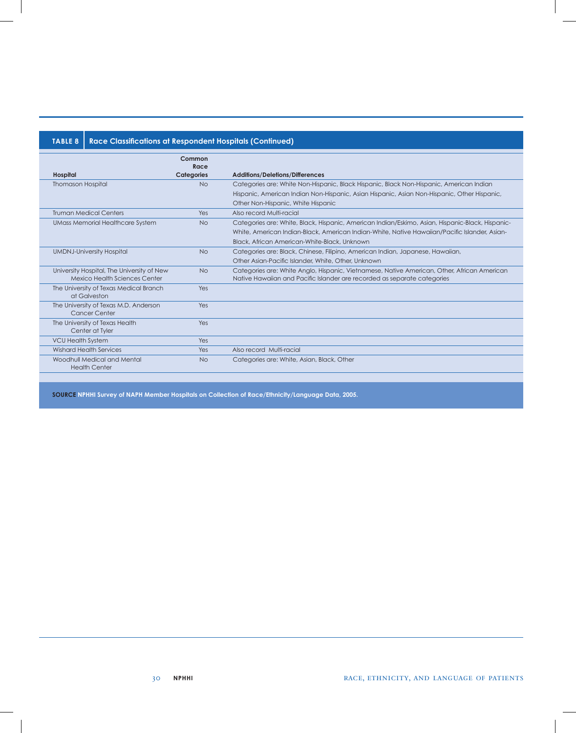# **FIGURE 8 Race Classifications at Respondent Hospitals (Continued)**

| Hospital                                                                    | Common<br>Race<br>Categories | <b>Additions/Deletions/Differences</b>                                                                                                                                                 |
|-----------------------------------------------------------------------------|------------------------------|----------------------------------------------------------------------------------------------------------------------------------------------------------------------------------------|
| <b>Thomason Hospital</b>                                                    | <b>No</b>                    | Categories are: White Non-Hispanic, Black Hispanic, Black Non-Hispanic, American Indian<br>Hispanic, American Indian Non-Hispanic, Asian Hispanic, Asian Non-Hispanic, Other Hispanic, |
|                                                                             |                              | Other Non-Hispanic, White Hispanic                                                                                                                                                     |
| <b>Truman Medical Centers</b>                                               | Yes                          | Also record Multi-racial                                                                                                                                                               |
| <b>UMass Memorial Healthcare System</b>                                     | <b>No</b>                    | Categories are: White, Black, Hispanic, American Indian/Eskimo, Asian, Hispanic-Black, Hispanic-                                                                                       |
|                                                                             |                              | White, American Indian-Black, American Indian-White, Native Hawaiian/Pacific Islander, Asian-                                                                                          |
|                                                                             |                              | Black, African American-White-Black, Unknown                                                                                                                                           |
| <b>UMDNJ-University Hospital</b>                                            | <b>No</b>                    | Categories are: Black, Chinese, Filipino, American Indian, Japanese, Hawaiian,                                                                                                         |
|                                                                             |                              | Other Asian-Pacific Islander, White, Other, Unknown                                                                                                                                    |
| University Hospital, The University of New<br>Mexico Health Sciences Center | No                           | Categories are: White Anglo, Hispanic, Vietnamese, Native American, Other, African American<br>Native Hawaiian and Pacific Islander are recorded as separate categories                |
| The University of Texas Medical Branch<br>at Galveston                      | Yes                          |                                                                                                                                                                                        |
| The University of Texas M.D. Anderson<br><b>Cancer Center</b>               | Yes                          |                                                                                                                                                                                        |
| The University of Texas Health<br>Center at Tyler                           | Yes                          |                                                                                                                                                                                        |
| <b>VCU Health System</b>                                                    | Yes                          |                                                                                                                                                                                        |
| <b>Wishard Health Services</b>                                              | Yes                          | Also record Multi-racial                                                                                                                                                               |
| Woodhull Medical and Mental<br><b>Health Center</b>                         | <b>No</b>                    | Categories are: White, Asian, Black, Other                                                                                                                                             |
|                                                                             |                              |                                                                                                                                                                                        |

**SOURCE NPHHI Survey of NAPH Member Hospitals on Collection of Race/Ethnicity/Language Data, 2005.**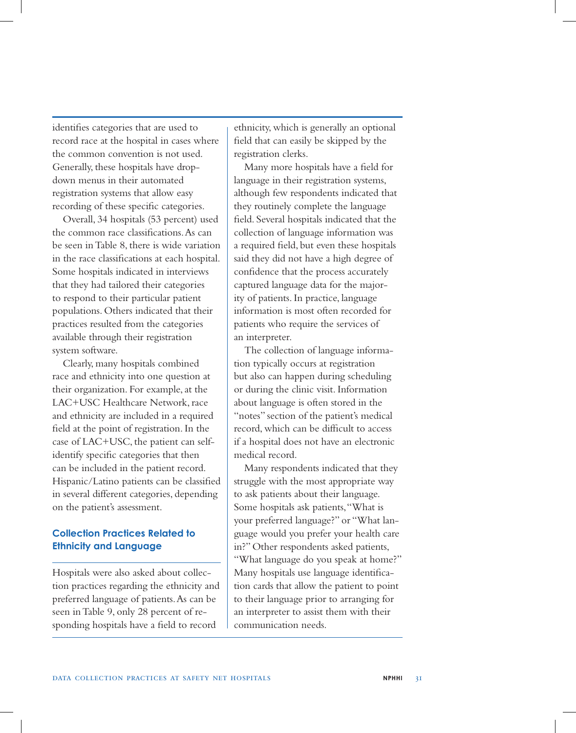identifies categories that are used to record race at the hospital in cases where the common convention is not used. Generally, these hospitals have dropdown menus in their automated registration systems that allow easy recording of these specific categories.

Overall, 34 hospitals (53 percent) used the common race classifications. As can be seen in Table 8, there is wide variation in the race classifications at each hospital. Some hospitals indicated in interviews that they had tailored their categories to respond to their particular patient populations. Others indicated that their practices resulted from the categories available through their registration system software.

Clearly, many hospitals combined race and ethnicity into one question at their organization. For example, at the LAC+USC Healthcare Network, race and ethnicity are included in a required field at the point of registration. In the case of LAC+USC, the patient can selfidentify specific categories that then can be included in the patient record. Hispanic/Latino patients can be classified in several different categories, depending on the patient's assessment.

# **Collection Practices Related to Ethnicity and Language**

Hospitals were also asked about collection practices regarding the ethnicity and preferred language of patients. As can be seen in Table 9, only 28 percent of responding hospitals have a field to record

ethnicity, which is generally an optional field that can easily be skipped by the registration clerks.

Many more hospitals have a field for language in their registration systems, although few respondents indicated that they routinely complete the language field. Several hospitals indicated that the collection of language information was a required field, but even these hospitals said they did not have a high degree of confidence that the process accurately captured language data for the majority of patients. In practice, language information is most often recorded for patients who require the services of an interpreter.

The collection of language information typically occurs at registration but also can happen during scheduling or during the clinic visit. Information about language is often stored in the "notes" section of the patient's medical record, which can be difficult to access if a hospital does not have an electronic medical record.

Many respondents indicated that they struggle with the most appropriate way to ask patients about their language. Some hospitals ask patients, "What is your preferred language?" or "What language would you prefer your health care in?" Other respondents asked patients, "What language do you speak at home?" Many hospitals use language identification cards that allow the patient to point to their language prior to arranging for an interpreter to assist them with their communication needs.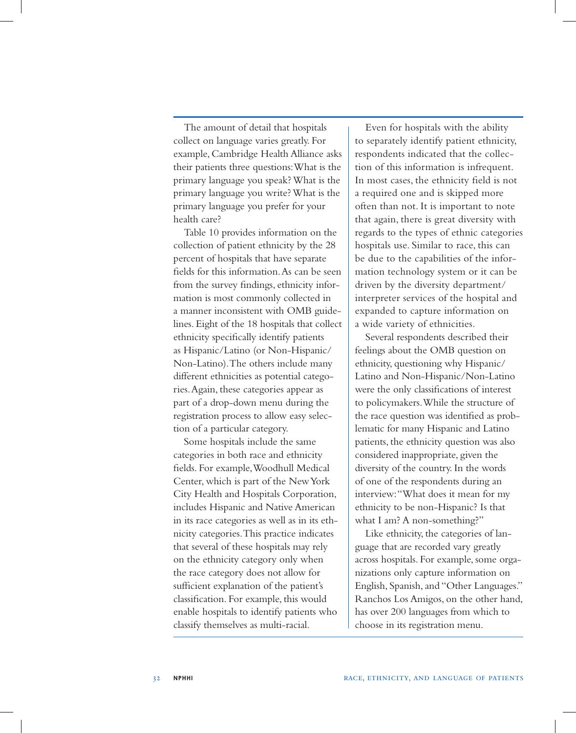The amount of detail that hospitals collect on language varies greatly. For example, Cambridge Health Alliance asks their patients three questions: What is the primary language you speak? What is the primary language you write? What is the primary language you prefer for your health care?

Table 10 provides information on the collection of patient ethnicity by the 28 percent of hospitals that have separate fields for this information. As can be seen from the survey findings, ethnicity information is most commonly collected in a manner inconsistent with OMB guidelines. Eight of the 18 hospitals that collect ethnicity specifically identify patients as Hispanic/Latino (or Non-Hispanic/ Non-Latino). The others include many different ethnicities as potential categories. Again, these categories appear as part of a drop-down menu during the registration process to allow easy selection of a particular category.

Some hospitals include the same categories in both race and ethnicity fields. For example, Woodhull Medical Center, which is part of the New York City Health and Hospitals Corporation, includes Hispanic and Native American in its race categories as well as in its ethnicity categories. This practice indicates that several of these hospitals may rely on the ethnicity category only when the race category does not allow for sufficient explanation of the patient's classification. For example, this would enable hospitals to identify patients who classify themselves as multi-racial.

Even for hospitals with the ability to separately identify patient ethnicity, respondents indicated that the collection of this information is infrequent. In most cases, the ethnicity field is not a required one and is skipped more often than not. It is important to note that again, there is great diversity with regards to the types of ethnic categories hospitals use. Similar to race, this can be due to the capabilities of the information technology system or it can be driven by the diversity department/ interpreter services of the hospital and expanded to capture information on a wide variety of ethnicities.

Several respondents described their feelings about the OMB question on ethnicity, questioning why Hispanic/ Latino and Non-Hispanic/Non-Latino were the only classifications of interest to policymakers. While the structure of the race question was identified as problematic for many Hispanic and Latino patients, the ethnicity question was also considered inappropriate, given the diversity of the country. In the words of one of the respondents during an interview: "What does it mean for my ethnicity to be non-Hispanic? Is that what I am? A non-something?"

Like ethnicity, the categories of language that are recorded vary greatly across hospitals. For example, some organizations only capture information on English, Spanish, and "Other Languages." Ranchos Los Amigos, on the other hand, has over 200 languages from which to choose in its registration menu.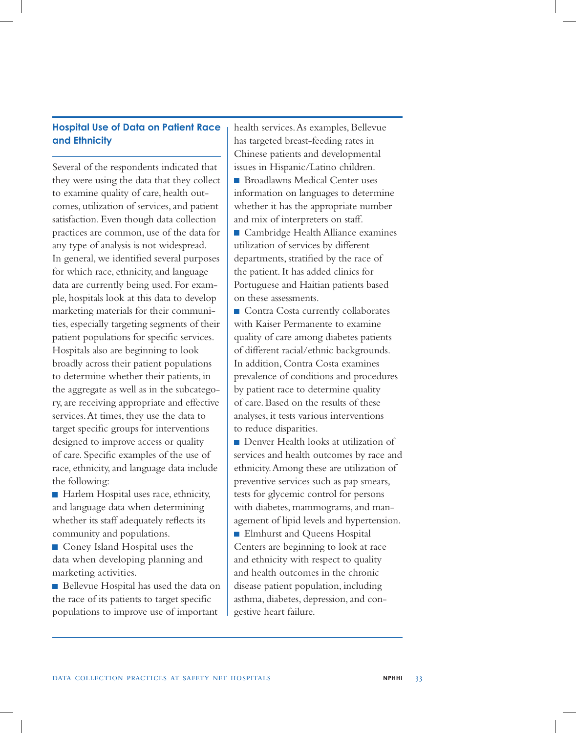# **Hospital Use of Data on Patient Race and Ethnicity**

Several of the respondents indicated that they were using the data that they collect to examine quality of care, health outcomes, utilization of services, and patient satisfaction. Even though data collection practices are common, use of the data for any type of analysis is not widespread. In general, we identified several purposes for which race, ethnicity, and language data are currently being used. For example, hospitals look at this data to develop marketing materials for their communities, especially targeting segments of their patient populations for specific services. Hospitals also are beginning to look broadly across their patient populations to determine whether their patients, in the aggregate as well as in the subcategory, are receiving appropriate and effective services. At times, they use the data to target specific groups for interventions designed to improve access or quality of care. Specific examples of the use of race, ethnicity, and language data include the following:

Harlem Hospital uses race, ethnicity, and language data when determining whether its staff adequately reflects its community and populations.

■ Coney Island Hospital uses the data when developing planning and marketing activities.

Bellevue Hospital has used the data on the race of its patients to target specific populations to improve use of important

health services. As examples, Bellevue has targeted breast-feeding rates in Chinese patients and developmental issues in Hispanic/Latino children.

**Broadlawns Medical Center uses** information on languages to determine whether it has the appropriate number and mix of interpreters on staff.

■ Cambridge Health Alliance examines utilization of services by different departments, stratified by the race of the patient. It has added clinics for Portuguese and Haitian patients based on these assessments.

■ Contra Costa currently collaborates with Kaiser Permanente to examine quality of care among diabetes patients of different racial/ethnic backgrounds. In addition, Contra Costa examines prevalence of conditions and procedures by patient race to determine quality of care. Based on the results of these analyses, it tests various interventions to reduce disparities.

■ Denver Health looks at utilization of services and health outcomes by race and ethnicity. Among these are utilization of preventive services such as pap smears, tests for glycemic control for persons with diabetes, mammograms, and management of lipid levels and hypertension.

**Elmhurst and Queens Hospital** Centers are beginning to look at race and ethnicity with respect to quality and health outcomes in the chronic disease patient population, including asthma, diabetes, depression, and congestive heart failure.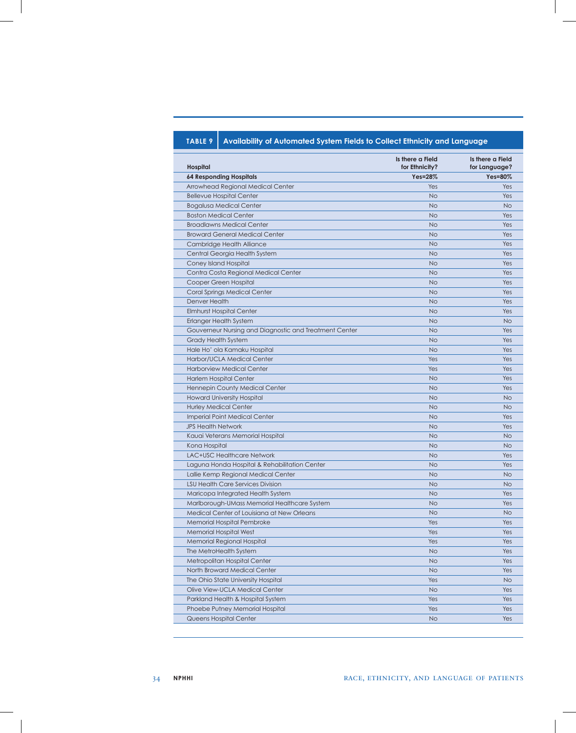# TABLE 9 Availability of Automated System Fields to Collect Ethnicity and Language

| Hospital                                               | Is there a Field<br>for Ethnicity? | Is there a Field<br>for Language? |
|--------------------------------------------------------|------------------------------------|-----------------------------------|
| <b>64 Responding Hospitals</b>                         | Yes=28%                            | Yes=80%                           |
| Arrowhead Regional Medical Center                      | Yes                                | Yes                               |
| <b>Bellevue Hospital Center</b>                        | <b>No</b>                          | Yes                               |
| <b>Bogalusa Medical Center</b>                         | <b>No</b>                          | <b>No</b>                         |
| <b>Boston Medical Center</b>                           | <b>No</b>                          | Yes                               |
| <b>Broadlawns Medical Center</b>                       | <b>No</b>                          | Yes                               |
| <b>Broward General Medical Center</b>                  | <b>No</b>                          | Yes                               |
| Cambridge Health Alliance                              | <b>No</b>                          | Yes                               |
| Central Georgia Health System                          | <b>No</b>                          | Yes                               |
| Coney Island Hospital                                  | <b>No</b>                          | Yes                               |
| Contra Costa Regional Medical Center                   | <b>No</b>                          | Yes                               |
| Cooper Green Hospital                                  | <b>No</b>                          | Yes                               |
| Coral Springs Medical Center                           | <b>No</b>                          | Yes                               |
| <b>Denver Health</b>                                   | <b>No</b>                          | Yes                               |
| <b>Elmhurst Hospital Center</b>                        | <b>No</b>                          | Yes                               |
| <b>Erlanger Health System</b>                          | <b>No</b>                          | <b>No</b>                         |
| Gouverneur Nursing and Diagnostic and Treatment Center | <b>No</b>                          | Yes                               |
| Grady Health System                                    | <b>No</b>                          | Yes                               |
| Hale Ho' ola Kamaku Hospital                           | <b>No</b>                          | Yes                               |
| Harbor/UCLA Medical Center                             | Yes                                | Yes                               |
| <b>Harborview Medical Center</b>                       | Yes                                | Yes                               |
| <b>Harlem Hospital Center</b>                          | <b>No</b>                          | Yes                               |
| <b>Hennepin County Medical Center</b>                  | <b>No</b>                          | Yes                               |
| Howard University Hospital                             | <b>No</b>                          | <b>No</b>                         |
| <b>Hurley Medical Center</b>                           | <b>No</b>                          | <b>No</b>                         |
| <b>Imperial Point Medical Center</b>                   | <b>No</b>                          | Yes                               |
| <b>JPS Health Network</b>                              | <b>No</b>                          | Yes                               |
| Kauai Veterans Memorial Hospital                       | <b>No</b>                          | <b>No</b>                         |
| Kona Hospital                                          | <b>No</b>                          | <b>No</b>                         |
| LAC+USC Healthcare Network                             | <b>No</b>                          | Yes                               |
| Laguna Honda Hospital & Rehabilitation Center          | <b>No</b>                          | Yes                               |
| Lallie Kemp Regional Medical Center                    | <b>No</b>                          | <b>No</b>                         |
| LSU Health Care Services Division                      | <b>No</b>                          | <b>No</b>                         |
| Maricopa Integrated Health System                      | <b>No</b>                          | Yes                               |
| Marlborough-UMass Memorial Healthcare System           | <b>No</b>                          | Yes                               |
| Medical Center of Louisiana at New Orleans             | <b>No</b>                          | <b>No</b>                         |
| <b>Memorial Hospital Pembroke</b>                      | Yes                                | Yes                               |
| <b>Memorial Hospital West</b>                          | Yes                                | Yes                               |
| Memorial Regional Hospital                             | Yes                                | Yes                               |
| The MetroHealth System                                 | <b>No</b>                          | Yes                               |
| Metropolitan Hospital Center                           | No                                 | Yes                               |
| North Broward Medical Center                           | No                                 | Yes                               |
| The Ohio State University Hospital                     | Yes                                | <b>No</b>                         |
| Olive View-UCLA Medical Center                         | No                                 | Yes                               |
| Parkland Health & Hospital System                      | Yes                                | Yes                               |
| Phoebe Putney Memorial Hospital                        | Yes                                | Yes                               |
| Queens Hospital Center                                 | No                                 | Yes                               |
|                                                        |                                    |                                   |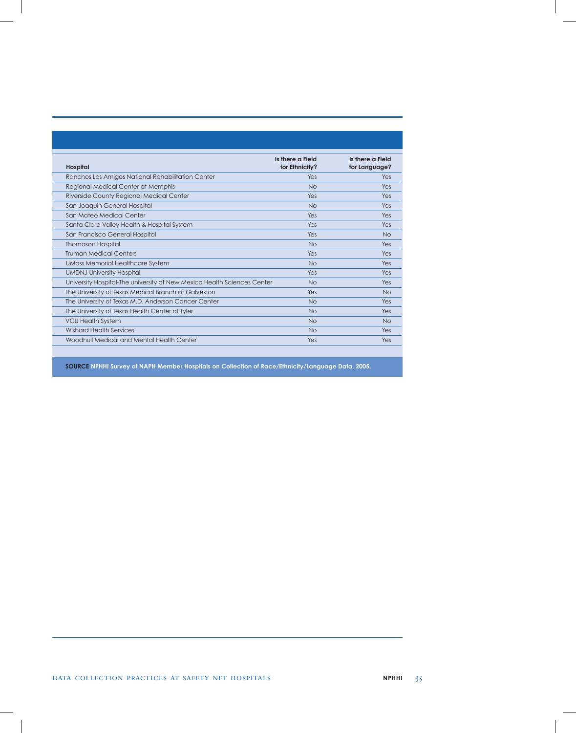| Hospital                                                                | Is there a Field<br>for Ethnicity? | Is there a Field<br>for Language? |
|-------------------------------------------------------------------------|------------------------------------|-----------------------------------|
| Ranchos Los Amigos National Rehabilitation Center                       | Yes                                | Yes                               |
| Regional Medical Center at Memphis                                      | N <sub>0</sub>                     | Yes                               |
| Riverside County Regional Medical Center                                | <b>Yes</b>                         | Yes                               |
| San Joaquin General Hospital                                            | N <sub>0</sub>                     | Yes                               |
| San Mateo Medical Center                                                | Yes                                | Yes                               |
| Santa Clara Valley Health & Hospital System                             | <b>Yes</b>                         | Yes                               |
| San Francisco General Hospital                                          | Yes                                | N <sub>0</sub>                    |
| <b>Thomason Hospital</b>                                                | N <sub>0</sub>                     | Yes                               |
| <b>Truman Medical Centers</b>                                           | <b>Yes</b>                         | Yes                               |
| <b>UMass Memorial Healthcare System</b>                                 | N <sub>0</sub>                     | Yes                               |
| <b>UMDNJ-University Hospital</b>                                        | Yes                                | Yes                               |
| University Hospital-The university of New Mexico Health Sciences Center | N <sub>O</sub>                     | Yes                               |
| The University of Texas Medical Branch at Galveston                     | Yes                                | N <sub>0</sub>                    |
| The University of Texas M.D. Anderson Cancer Center                     | N <sub>0</sub>                     | Yes                               |
| The University of Texas Health Center at Tyler                          | <b>No</b>                          | Yes                               |
| <b>VCU Health System</b>                                                | <b>No</b>                          | <b>No</b>                         |
| Wishard Health Services                                                 | N <sub>0</sub>                     | Yes                               |
| Woodhull Medical and Mental Health Center                               | Yes                                | Yes                               |
|                                                                         |                                    |                                   |

**SOURCE NPHHI Survey of NAPH Member Hospitals on Collection of Race/Ethnicity/Language Data, 2005.**

 $\overline{\phantom{a}}$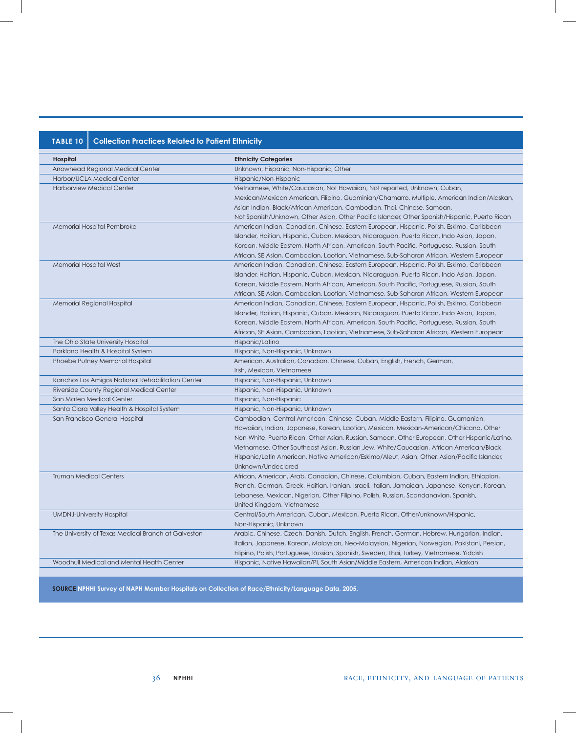# **FIGURE 10 Collection Practices Related to Patient Ethnicity**

| Hospital                                            | <b>Ethnicity Categories</b>                                                                    |
|-----------------------------------------------------|------------------------------------------------------------------------------------------------|
| Arrowhead Regional Medical Center                   | Unknown, Hispanic, Non-Hispanic, Other                                                         |
| Harbor/UCLA Medical Center                          | Hispanic/Non-Hispanic                                                                          |
| <b>Harborview Medical Center</b>                    | Vietnamese, White/Caucasian, Not Hawaiian, Not reported, Unknown, Cuban,                       |
|                                                     | Mexican/Mexican American, Filipino, Guaminian/Chamarro, Multiple, American Indian/Alaskan,     |
|                                                     | Asian Indian, Black/African American, Cambodian, Thai, Chinese, Samoan,                        |
|                                                     | Not Spanish/Unknown, Other Asian, Other Pacific Islander, Other Spanish/Hispanic, Puerto Rican |
| Memorial Hospital Pembroke                          | American Indian, Canadian, Chinese, Eastern European, Hispanic, Polish, Eskimo, Caribbean      |
|                                                     | Islander, Haitian, Hispanic, Cuban, Mexican, Nicaraguan, Puerto Rican, Indo Asian, Japan,      |
|                                                     | Korean, Middle Eastern, North African, American, South Pacific, Portuguese, Russian, South     |
|                                                     | African, SE Asian, Cambodian, Laotian, Vietnamese, Sub-Saharan African, Western European       |
| <b>Memorial Hospital West</b>                       | American Indian, Canadian, Chinese, Eastern European, Hispanic, Polish, Eskimo, Caribbean      |
|                                                     | Islander, Haitian, Hispanic, Cuban, Mexican, Nicaraguan, Puerto Rican, Indo Asian, Japan,      |
|                                                     | Korean, Middle Eastern, North African, American, South Pacific, Portuguese, Russian, South     |
|                                                     | African, SE Asian, Cambodian, Laotian, Vietnamese, Sub-Saharan African, Western European       |
| Memorial Regional Hospital                          | American Indian, Canadian, Chinese, Eastern European, Hispanic, Polish, Eskimo, Caribbean      |
|                                                     | Islander, Haitian, Hispanic, Cuban, Mexican, Nicaraguan, Puerto Rican, Indo Asian, Japan,      |
|                                                     | Korean, Middle Eastern, North African, American, South Pacific, Portuguese, Russian, South     |
|                                                     | African, SE Asian, Cambodian, Laotian, Vietnamese, Sub-Saharan African, Western European       |
| The Ohio State University Hospital                  | Hispanic/Latino                                                                                |
| Parkland Health & Hospital System                   | Hispanic, Non-Hispanic, Unknown                                                                |
| Phoebe Putney Memorial Hospital                     | American, Australian, Canadian, Chinese, Cuban, English, French, German,                       |
|                                                     | Irish, Mexican, Vietnamese                                                                     |
| Ranchos Los Amigos National Rehabilitation Center   | Hispanic, Non-Hispanic, Unknown                                                                |
| Riverside County Regional Medical Center            | Hispanic, Non-Hispanic, Unknown                                                                |
| San Mateo Medical Center                            | Hispanic, Non-Hispanic                                                                         |
| Santa Clara Valley Health & Hospital System         | Hispanic, Non-Hispanic, Unknown                                                                |
| San Francisco General Hospital                      | Cambodian, Central American, Chinese, Cuban, Middle Eastern, Filipino, Guamanian,              |
|                                                     | Hawaiian, Indian, Japanese, Korean, Laotian, Mexican, Mexican-American/Chicano, Other          |
|                                                     | Non-White, Puerto Rican, Other Asian, Russian, Samoan, Other European, Other Hispanic/Latino,  |
|                                                     | Vietnamese, Other Southeast Asian, Russian Jew, White/Caucasian, African American/Black,       |
|                                                     | Hispanic/Latin American, Native American/Eskimo/Aleut, Asian, Other, Asian/Pacific Islander,   |
|                                                     | Unknown/Undeclared                                                                             |
| <b>Truman Medical Centers</b>                       | African, American, Arab, Canadian, Chinese, Columbian, Cuban, Eastern Indian, Ethiopian,       |
|                                                     | French, German, Greek, Haitian, Iranian, Israeli, Italian, Jamaican, Japanese, Kenyan, Korean, |
|                                                     | Lebanese, Mexican, Nigerian, Other Filipino, Polish, Russian, Scandanavian, Spanish,           |
|                                                     | United Kingdom, Vietnamese                                                                     |
| <b>UMDNJ-University Hospital</b>                    | Central/South American, Cuban, Mexican, Puerto Rican, Other/unknown/Hispanic,                  |
|                                                     | Non-Hispanic, Unknown                                                                          |
| The University of Texas Medical Branch at Galveston | Arabic, Chinese, Czech, Danish, Dutch, English, French, German, Hebrew, Hungarian, Indian,     |
|                                                     | Italian, Japanese, Korean, Malaysian, Neo-Malaysian, Nigerian, Norwegian, Pakistani, Persian,  |
|                                                     | Filipino, Polish, Portuguese, Russian, Spanish, Sweden, Thai, Turkey, Vietnamese, Yiddish      |
| Woodhull Medical and Mental Health Center           | Hispanic, Native Hawaiian/PI, South Asian/Middle Eastern, American Indian, Alaskan             |

**SOURCE NPHHI Survey of NAPH Member Hospitals on Collection of Race/Ethnicity/Language Data, 2005.**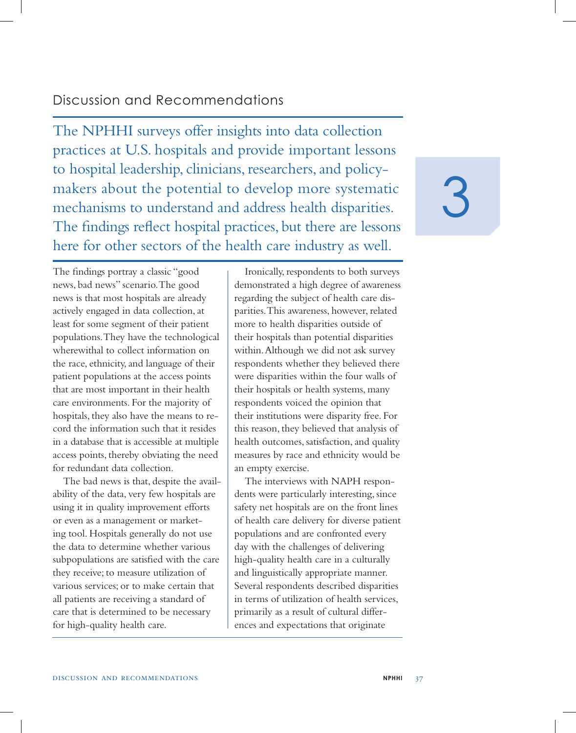# Discussion and Recommendations

The NPHHI surveys offer insights into data collection practices at U.S. hospitals and provide important lessons to hospital leadership, clinicians, researchers, and policymakers about the potential to develop more systematic mechanisms to understand and address health disparities. The findings reflect hospital practices, but there are lessons here for other sectors of the health care industry as well.

# 3

The findings portray a classic "good news, bad news" scenario. The good news is that most hospitals are already actively engaged in data collection, at least for some segment of their patient populations. They have the technological wherewithal to collect information on the race, ethnicity, and language of their patient populations at the access points that are most important in their health care environments. For the majority of hospitals, they also have the means to record the information such that it resides in a database that is accessible at multiple access points, thereby obviating the need for redundant data collection.

The bad news is that, despite the availability of the data, very few hospitals are using it in quality improvement efforts or even as a management or marketing tool. Hospitals generally do not use the data to determine whether various subpopulations are satisfied with the care they receive; to measure utilization of various services; or to make certain that all patients are receiving a standard of care that is determined to be necessary for high-quality health care.

Ironically, respondents to both surveys demonstrated a high degree of awareness regarding the subject of health care disparities. This awareness, however, related more to health disparities outside of their hospitals than potential disparities within. Although we did not ask survey respondents whether they believed there were disparities within the four walls of their hospitals or health systems, many respondents voiced the opinion that their institutions were disparity free. For this reason, they believed that analysis of health outcomes, satisfaction, and quality measures by race and ethnicity would be an empty exercise.

The interviews with NAPH respondents were particularly interesting, since safety net hospitals are on the front lines of health care delivery for diverse patient populations and are confronted every day with the challenges of delivering high-quality health care in a culturally and linguistically appropriate manner. Several respondents described disparities in terms of utilization of health services, primarily as a result of cultural differences and expectations that originate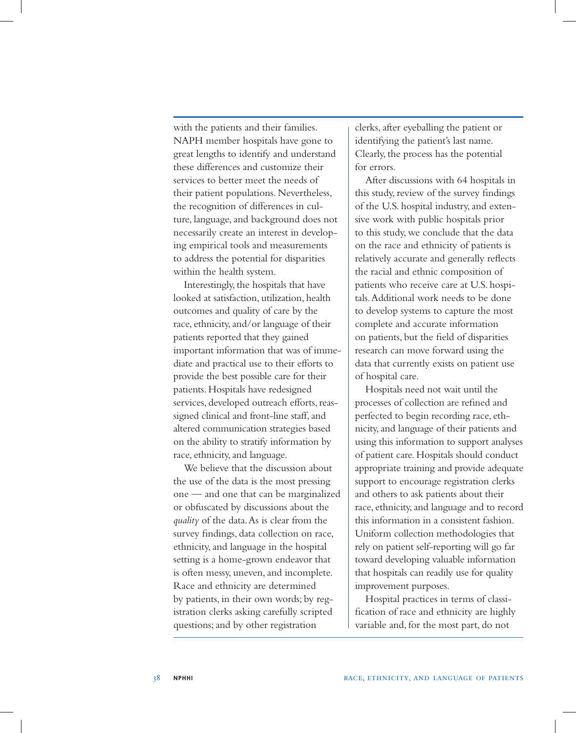with the patients and their families. NAPH member hospitals have gone to great lengths to identify and understand these differences and customize their services to better meet the needs of their patient populations. Nevertheless, the recognition of differences in culture, language, and background does not necessarily create an interest in developing empirical tools and measurements to address the potential for disparities within the health system.

Interestingly, the hospitals that have looked at satisfaction, utilization, health outcomes and quality of care by the race, ethnicity, and/or language of their patients reported that they gained important information that was of immediate and practical use to their efforts to provide the best possible care for their patients. Hospitals have redesigned services, developed outreach efforts, reassigned clinical and front-line staff, and altered communication strategies based on the ability to stratify information by race, ethnicity, and language.

We believe that the discussion about the use of the data is the most pressing one — and one that can be marginalized or obfuscated by discussions about the *quality* of the data. As is clear from the survey findings, data collection on race, ethnicity, and language in the hospital setting is a home-grown endeavor that is often messy, uneven, and incomplete. Race and ethnicity are determined by patients, in their own words; by registration clerks asking carefully scripted questions; and by other registration

clerks, after eyeballing the patient or identifying the patient's last name. Clearly, the process has the potential for errors.

After discussions with 64 hospitals in this study, review of the survey findings of the U.S. hospital industry, and extensive work with public hospitals prior to this study, we conclude that the data on the race and ethnicity of patients is relatively accurate and generally reflects the racial and ethnic composition of patients who receive care at U.S. hospitals. Additional work needs to be done to develop systems to capture the most complete and accurate information on patients, but the field of disparities research can move forward using the data that currently exists on patient use of hospital care.

Hospitals need not wait until the processes of collection are refined and perfected to begin recording race, ethnicity, and language of their patients and using this information to support analyses of patient care. Hospitals should conduct appropriate training and provide adequate support to encourage registration clerks and others to ask patients about their race, ethnicity, and language and to record this information in a consistent fashion. Uniform collection methodologies that rely on patient self-reporting will go far toward developing valuable information that hospitals can readily use for quality improvement purposes.

Hospital practices in terms of classification of race and ethnicity are highly variable and, for the most part, do not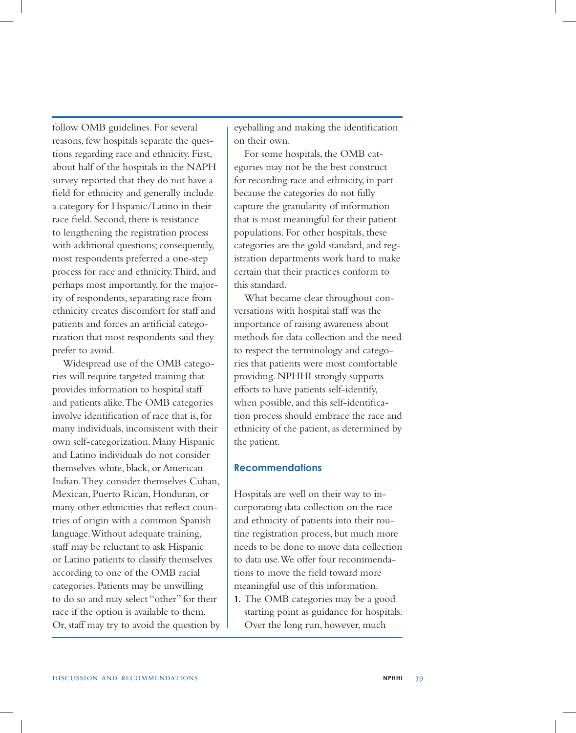follow OMB guidelines. For several reasons, few hospitals separate the questions regarding race and ethnicity. First, about half of the hospitals in the NAPH survey reported that they do not have a field for ethnicity and generally include a category for Hispanic/Latino in their race field. Second, there is resistance to lengthening the registration process with additional questions; consequently, most respondents preferred a one-step process for race and ethnicity. Third, and perhaps most importantly, for the majority of respondents, separating race from ethnicity creates discomfort for staff and patients and forces an artificial categorization that most respondents said they prefer to avoid.

Widespread use of the OMB categories will require targeted training that provides information to hospital staff and patients alike. The OMB categories involve identification of race that is, for many individuals, inconsistent with their own self-categorization. Many Hispanic and Latino individuals do not consider themselves white, black, or American Indian. They consider themselves Cuban, Mexican, Puerto Rican, Honduran, or many other ethnicities that reflect countries of origin with a common Spanish language. Without adequate training, staff may be reluctant to ask Hispanic or Latino patients to classify themselves according to one of the OMB racial categories. Patients may be unwilling to do so and may select "other" for their race if the option is available to them. Or, staff may try to avoid the question by eyeballing and making the identification on their own.

For some hospitals, the OMB categories may not be the best construct for recording race and ethnicity, in part because the categories do not fully capture the granularity of information that is most meaningful for their patient populations. For other hospitals, these categories are the gold standard, and registration departments work hard to make certain that their practices conform to this standard.

What became clear throughout conversations with hospital staff was the importance of raising awareness about methods for data collection and the need to respect the terminology and categories that patients were most comfortable providing. NPHHI strongly supports efforts to have patients self-identify, when possible, and this self-identification process should embrace the race and ethnicity of the patient, as determined by the patient.

# **Recommendations**

Hospitals are well on their way to incorporating data collection on the race and ethnicity of patients into their routine registration process, but much more needs to be done to move data collection to data use. We offer four recommendations to move the field toward more meaningful use of this information.

**1.** The OMB categories may be a good starting point as guidance for hospitals. Over the long run, however, much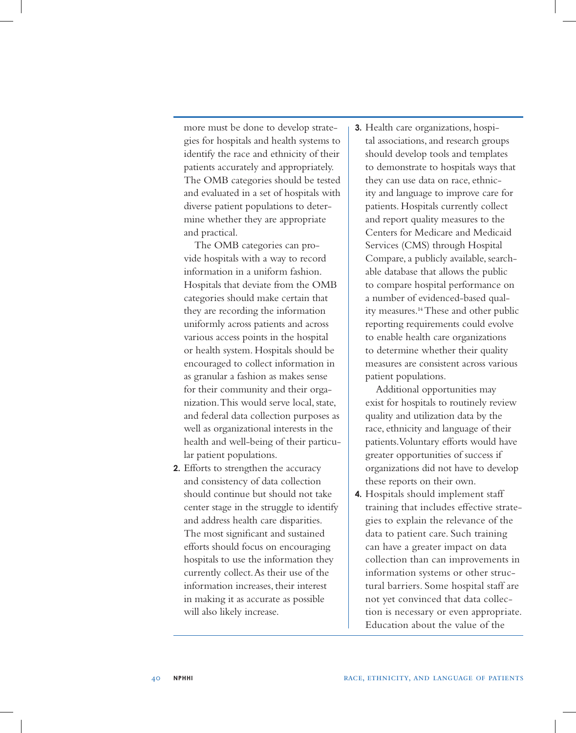more must be done to develop strategies for hospitals and health systems to identify the race and ethnicity of their patients accurately and appropriately. The OMB categories should be tested and evaluated in a set of hospitals with diverse patient populations to determine whether they are appropriate and practical.

The OMB categories can provide hospitals with a way to record information in a uniform fashion. Hospitals that deviate from the OMB categories should make certain that they are recording the information uniformly across patients and across various access points in the hospital or health system. Hospitals should be encouraged to collect information in as granular a fashion as makes sense for their community and their organization. This would serve local, state, and federal data collection purposes as well as organizational interests in the health and well-being of their particular patient populations.

**2.** Efforts to strengthen the accuracy and consistency of data collection should continue but should not take center stage in the struggle to identify and address health care disparities. The most significant and sustained efforts should focus on encouraging hospitals to use the information they currently collect. As their use of the information increases, their interest in making it as accurate as possible will also likely increase.

**3.** Health care organizations, hospital associations, and research groups should develop tools and templates to demonstrate to hospitals ways that they can use data on race, ethnicity and language to improve care for patients. Hospitals currently collect and report quality measures to the Centers for Medicare and Medicaid Services (CMS) through Hospital Compare, a publicly available, searchable database that allows the public to compare hospital performance on a number of evidenced-based quality measures.14 These and other public reporting requirements could evolve to enable health care organizations to determine whether their quality measures are consistent across various patient populations.

Additional opportunities may exist for hospitals to routinely review quality and utilization data by the race, ethnicity and language of their patients. Voluntary efforts would have greater opportunities of success if organizations did not have to develop these reports on their own.

**4.** Hospitals should implement staff training that includes effective strategies to explain the relevance of the data to patient care. Such training can have a greater impact on data collection than can improvements in information systems or other structural barriers. Some hospital staff are not yet convinced that data collection is necessary or even appropriate. Education about the value of the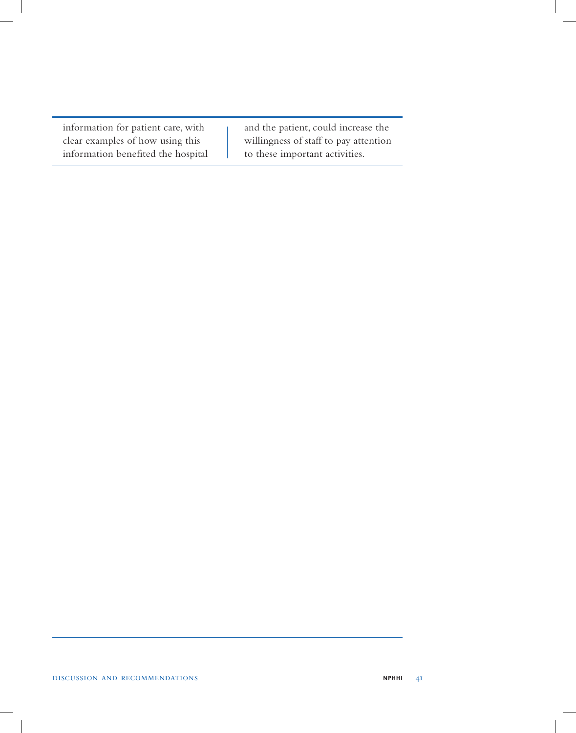| information for patient care, with | and the patient, could increase the   |
|------------------------------------|---------------------------------------|
| clear examples of how using this   | willingness of staff to pay attention |
| information benefited the hospital | to these important activities.        |

 $\overline{\phantom{a}}$ 

 $\overline{\phantom{a}}$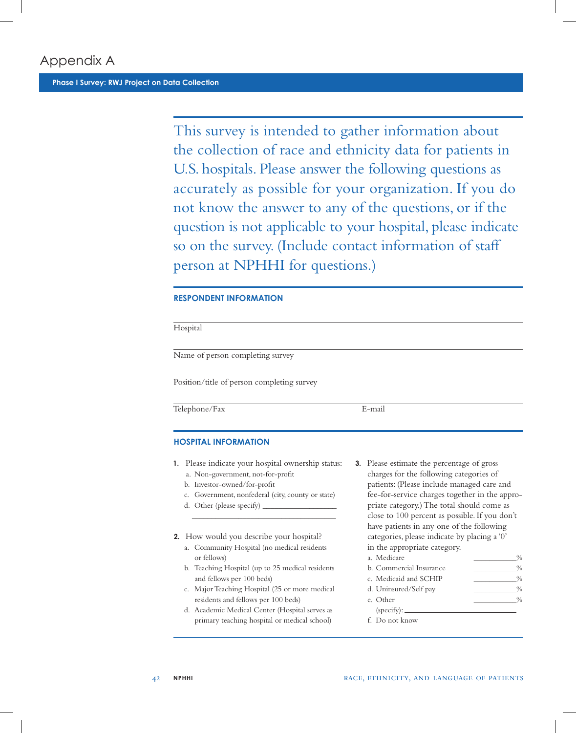**Phase I Survey: RWJ Project on Data Collection**

This survey is intended to gather information about the collection of race and ethnicity data for patients in U.S. hospitals. Please answer the following questions as accurately as possible for your organization. If you do not know the answer to any of the questions, or if the question is not applicable to your hospital, please indicate so on the survey. (Include contact information of staff person at NPHHI for questions.)

#### **RESPONDENT INFORMATION**

| Hospital                                                                                                                                                                     |                                                                                                                                                                                                                                                                                                                                    |
|------------------------------------------------------------------------------------------------------------------------------------------------------------------------------|------------------------------------------------------------------------------------------------------------------------------------------------------------------------------------------------------------------------------------------------------------------------------------------------------------------------------------|
| Name of person completing survey                                                                                                                                             |                                                                                                                                                                                                                                                                                                                                    |
| Position/title of person completing survey                                                                                                                                   |                                                                                                                                                                                                                                                                                                                                    |
| Telephone/Fax                                                                                                                                                                | E-mail                                                                                                                                                                                                                                                                                                                             |
| <b>HOSPITAL INFORMATION</b>                                                                                                                                                  |                                                                                                                                                                                                                                                                                                                                    |
| 1. Please indicate your hospital ownership status:<br>a. Non-government, not-for-profit<br>b. Investor-owned/for-profit<br>c. Government, nonfederal (city, county or state) | 3. Please estimate the percentage of gross<br>charges for the following categories of<br>patients: (Please include managed care and<br>fee-for-service charges together in the appro-<br>priate category.) The total should come as<br>close to 100 percent as possible. If you don't<br>have patients in any one of the following |
| 2. How would you describe your hospital?<br>a. Community Hospital (no medical residents<br>or fellows)                                                                       | categories, please indicate by placing a '0'<br>in the appropriate category.<br>a. Medicare                                                                                                                                                                                                                                        |
| b. Teaching Hospital (up to 25 medical residents<br>and fellows per 100 beds)<br>c. Major Teaching Hospital (25 or more medical                                              | b. Commercial Insurance<br>c. Medicaid and SCHIP<br>d. Uninsured/Self pay                                                                                                                                                                                                                                                          |
| residents and fellows per 100 beds)<br>d. Academic Medical Center (Hospital serves as<br>primary teaching hospital or medical school)                                        | e. Other<br>f. Do not know                                                                                                                                                                                                                                                                                                         |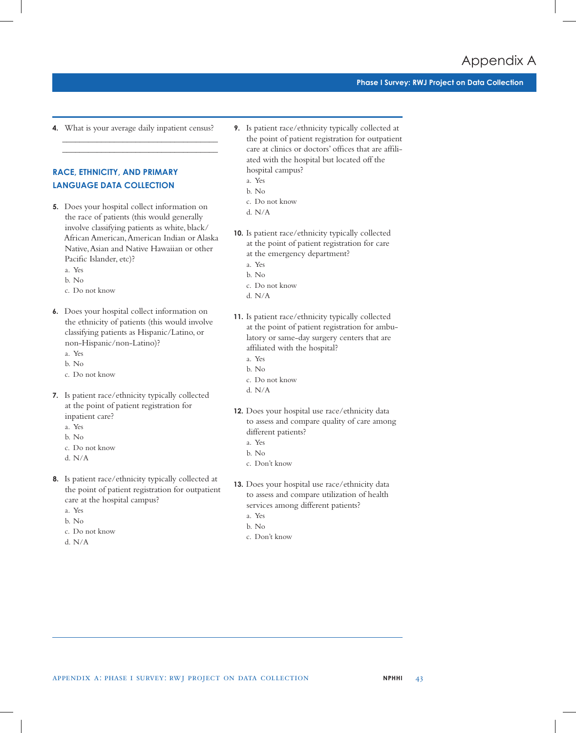# Appendix A

#### **Phase I Survey: RWJ Project on Data Collection**

**4.** What is your average daily inpatient census?

\_\_\_\_\_\_\_\_\_\_\_\_\_\_\_\_\_\_\_\_\_\_\_\_\_\_\_\_\_\_\_\_\_\_\_\_ \_\_\_\_\_\_\_\_\_\_\_\_\_\_\_\_\_\_\_\_\_\_\_\_\_\_\_\_\_\_\_\_\_\_\_\_

# **RACE, ETHNICITY, AND PRIMARY LANGUAGE DATA COLLECTION**

- **5.** Does your hospital collect information on the race of patients (this would generally involve classifying patients as white, black/ African American, American Indian or Alaska Native, Asian and Native Hawaiian or other Pacific Islander, etc)?
	- a. Yes
	- b. No
	- c. Do not know
- **6.** Does your hospital collect information on the ethnicity of patients (this would involve classifying patients as Hispanic/Latino, or non-Hispanic/non-Latino)?
	- a. Yes
	- b. No
	- c. Do not know
- **7.** Is patient race/ethnicity typically collected at the point of patient registration for inpatient care?
	- a. Yes
	- b. No
	- c. Do not know
	- d. N/A
- **8.** Is patient race/ethnicity typically collected at the point of patient registration for outpatient care at the hospital campus?
	- a. Yes
	- b. No
	- c. Do not know
	- d. N/A
- **9.** Is patient race/ethnicity typically collected at the point of patient registration for outpatient care at clinics or doctors' offices that are affiliated with the hospital but located off the hospital campus?
	- a. Yes
	- b. No
	- c. Do not know
	- d. N/A
- **10.** Is patient race/ethnicity typically collected at the point of patient registration for care at the emergency department?
	- a. Yes
	- b. No
	- c. Do not know
	- d. N/A

**11.** Is patient race/ethnicity typically collected at the point of patient registration for ambulatory or same-day surgery centers that are affiliated with the hospital?

- a. Yes
- b. No
- c. Do not know
- d. N/A

**12.** Does your hospital use race/ethnicity data to assess and compare quality of care among different patients?

- a. Yes
- b. No
- c. Don't know
- **13.** Does your hospital use race/ethnicity data to assess and compare utilization of health services among different patients?
	- a. Yes
	- b. No
	- c. Don't know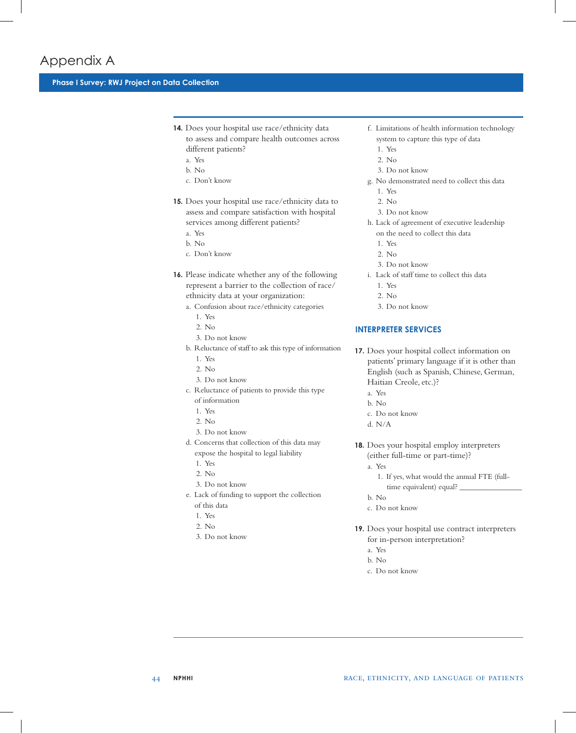**Phase I Survey: RWJ Project on Data Collection**

- **14.** Does your hospital use race/ethnicity data to assess and compare health outcomes across different patients?
	- a. Yes
	- b. No
	- c. Don't know
- **15.** Does your hospital use race/ethnicity data to assess and compare satisfaction with hospital services among different patients? a. Yes
	-
	- b. No
	- c. Don't know
- **16.** Please indicate whether any of the following represent a barrier to the collection of race/ ethnicity data at your organization:
	- a. Confusion about race/ethnicity categories
		- 1. Yes
		- 2. No
		- 3. Do not know
	- b. Reluctance of staff to ask this type of information
		- 1. Yes
		- 2. No
		- 3. Do not know
	- c. Reluctance of patients to provide this type of information
		- 1. Yes
		- 2. No
		- 3. Do not know
	- d. Concerns that collection of this data may expose the hospital to legal liability
		-
		- 1. Yes
		- 2. No
		- 3. Do not know
	- e. Lack of funding to support the collection of this data
		- 1. Yes
		- 2. No
		- 3. Do not know
- f. Limitations of health information technology system to capture this type of data
	- 1. Yes
	- 2. No
	- 3. Do not know
- g. No demonstrated need to collect this data
	- 1. Yes
	- 2. No
	- 3. Do not know
- h. Lack of agreement of executive leadership on the need to collect this data
	- 1. Yes
	- 2. No
	- 3. Do not know
- i. Lack of staff time to collect this data
	- 1. Yes
	- 2. No
	- 3. Do not know

#### **INTERPRETER SERVICES**

- **17.** Does your hospital collect information on patients' primary language if it is other than English (such as Spanish, Chinese, German, Haitian Creole, etc.)?
	- a. Yes
	- b. No
	- c. Do not know
	- d. N/A

**18.** Does your hospital employ interpreters (either full-time or part-time)?

- a. Yes
	- 1. If yes, what would the annual FTE (fulltime equivalent) equal?
- b. No
- c. Do not know

**19.** Does your hospital use contract interpreters for in-person interpretation?

- a. Yes
- b. No
- c. Do not know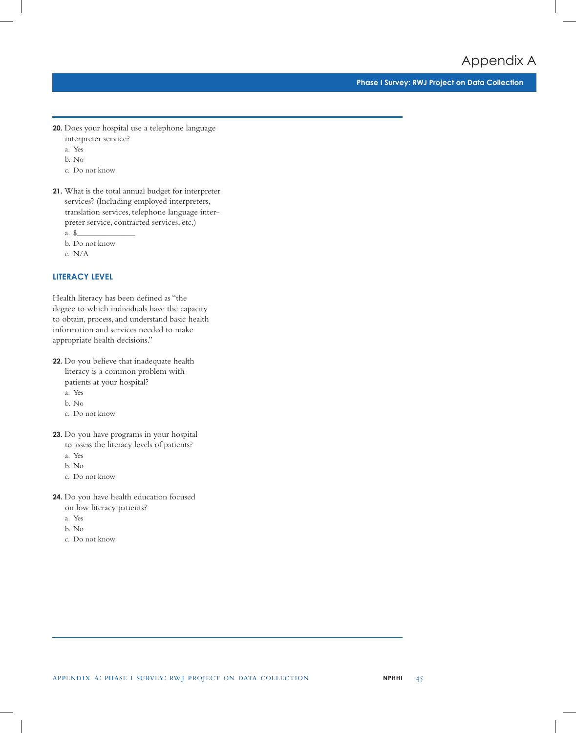**Phase I Survey: RWJ Project on Data Collection**

**20.** Does your hospital use a telephone language

- interpreter service?
- a. Yes
- b. No
- c. Do not know
- **21.** What is the total annual budget for interpreter services? (Including employed interpreters, translation services, telephone language interpreter service, contracted services, etc.)
	- a. \$\_\_\_\_\_\_\_\_\_\_\_\_\_\_\_
	- b. Do not know
	- c. N/A

## **LITERACY LEVEL**

Health literacy has been defined as "the degree to which individuals have the capacity to obtain, process, and understand basic health information and services needed to make appropriate health decisions."

**22.** Do you believe that inadequate health

literacy is a common problem with patients at your hospital?

- a. Yes
- b. No
- c. Do not know

**23.** Do you have programs in your hospital

to assess the literacy levels of patients?

- a. Yes
- b. No

c. Do not know

**24.** Do you have health education focused

- on low literacy patients?
- a. Yes
- b. No
- c. Do not know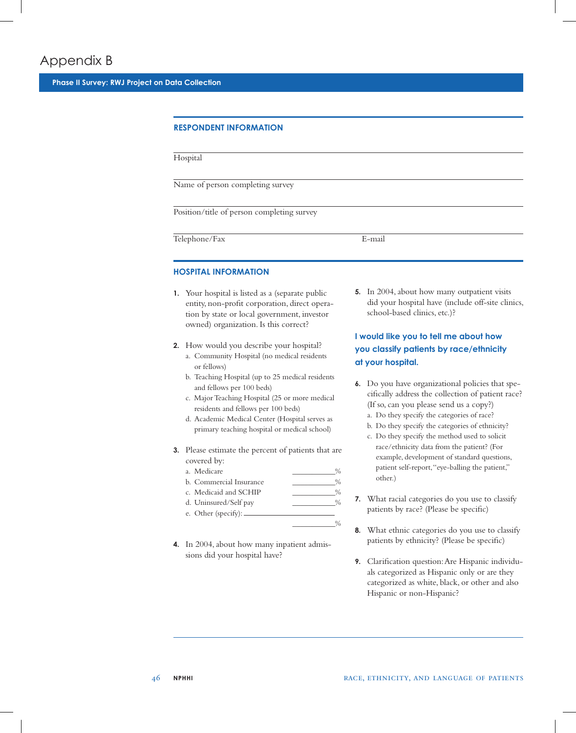**Phase II Survey: RWJ Project on Data Collection**

#### **RESPONDENT INFORMATION**

Hospital

Name of person completing survey

Position/title of person completing survey

Telephone/Fax E-mail

#### **HOSPITAL INFORMATION**

- **1.** Your hospital is listed as a (separate public entity, non-profit corporation, direct operation by state or local government, investor owned) organization. Is this correct?
- **2.** How would you describe your hospital? a. Community Hospital (no medical residents or fellows)
	- b. Teaching Hospital (up to 25 medical residents and fellows per 100 beds)
	- c. Major Teaching Hospital (25 or more medical residents and fellows per 100 beds)
	- d. Academic Medical Center (Hospital serves as primary teaching hospital or medical school)
- **3.** Please estimate the percent of patients that are covered by:
	- a. Medicare
	- b. Commercial Insurance \_\_\_\_\_\_\_\_\_\_\_%
	- c. Medicaid and SCHIP \_\_\_\_\_\_\_\_\_\_\_%

 $\overbrace{\hspace{2.5cm}}^{9/6}$ 

- d. Uninsured/Self pay \_\_\_\_\_\_\_\_\_\_\_%
- e. Other (specify):
- **4.** In 2004, about how many inpatient admissions did your hospital have?

**5.** In 2004, about how many outpatient visits did your hospital have (include off-site clinics, school-based clinics, etc.)?

# **I would like you to tell me about how you classify patients by race/ethnicity at your hospital.**

- **6.** Do you have organizational policies that specifically address the collection of patient race? (If so, can you please send us a copy?)
	- a. Do they specify the categories of race?
	- b. Do they specify the categories of ethnicity?
	- c. Do they specify the method used to solicit race/ethnicity data from the patient? (For example, development of standard questions, patient self-report, "eye-balling the patient," other.)
- **7.** What racial categories do you use to classify patients by race? (Please be specific)
- **8.** What ethnic categories do you use to classify patients by ethnicity? (Please be specific)
- **9.** Clarification question: Are Hispanic individuals categorized as Hispanic only or are they categorized as white, black, or other and also Hispanic or non-Hispanic?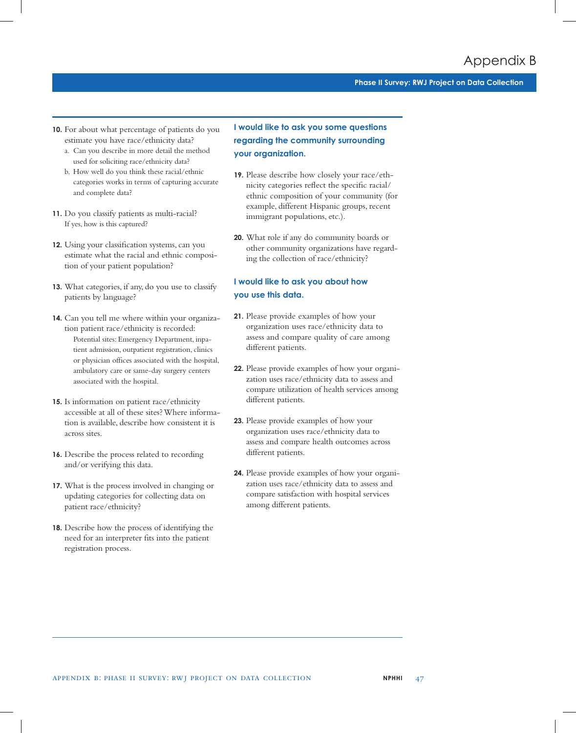# Appendix B

**Phase II Survey: RWJ Project on Data Collection**

- **10.** For about what percentage of patients do you estimate you have race/ethnicity data?
	- a. Can you describe in more detail the method used for soliciting race/ethnicity data?
	- b. How well do you think these racial/ethnic categories works in terms of capturing accurate and complete data?
- **11.** Do you classify patients as multi-racial? If yes, how is this captured?
- **12.** Using your classification systems, can you estimate what the racial and ethnic composition of your patient population?
- **13.** What categories, if any, do you use to classify patients by language?
- **14.** Can you tell me where within your organization patient race/ethnicity is recorded: Potential sites: Emergency Department, inpatient admission, outpatient registration, clinics or physician offices associated with the hospital, ambulatory care or same-day surgery centers associated with the hospital.
- **15.** Is information on patient race/ethnicity accessible at all of these sites? Where information is available, describe how consistent it is across sites.
- **16.** Describe the process related to recording and/or verifying this data.
- **17.** What is the process involved in changing or updating categories for collecting data on patient race/ethnicity?
- **18.** Describe how the process of identifying the need for an interpreter fits into the patient registration process.

# **I would like to ask you some questions regarding the community surrounding your organization.**

- **19.** Please describe how closely your race/ethnicity categories reflect the specific racial/ ethnic composition of your community (for example, different Hispanic groups, recent immigrant populations, etc.).
- **20.** What role if any do community boards or other community organizations have regarding the collection of race/ethnicity?

# **I would like to ask you about how you use this data.**

- **21.** Please provide examples of how your organization uses race/ethnicity data to assess and compare quality of care among different patients.
- **22.** Please provide examples of how your organization uses race/ethnicity data to assess and compare utilization of health services among different patients.
- **23.** Please provide examples of how your organization uses race/ethnicity data to assess and compare health outcomes across different patients.
- **24.** Please provide examples of how your organization uses race/ethnicity data to assess and compare satisfaction with hospital services among different patients.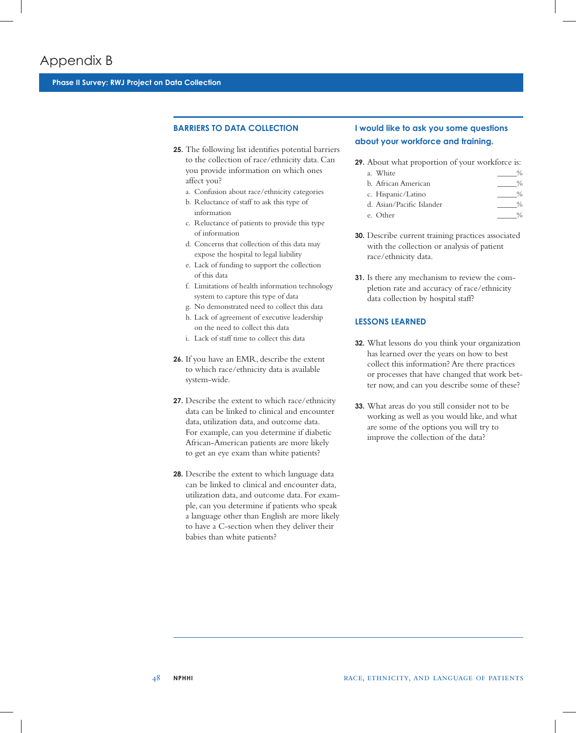**Phase II Survey: RWJ Project on Data Collection**

#### **BARRIERS TO DATA COLLECTION**

- **25.** The following list identifies potential barriers to the collection of race/ethnicity data. Can you provide information on which ones affect you?
	- a. Confusion about race/ethnicity categories
	- b. Reluctance of staff to ask this type of information
	- c. Reluctance of patients to provide this type of information
	- d. Concerns that collection of this data may expose the hospital to legal liability
	- e. Lack of funding to support the collection of this data
	- f. Limitations of health information technology system to capture this type of data
	- g. No demonstrated need to collect this data
	- h. Lack of agreement of executive leadership on the need to collect this data
	- i. Lack of staff time to collect this data
- **26.** If you have an EMR, describe the extent to which race/ethnicity data is available system-wide.
- **27.** Describe the extent to which race/ethnicity data can be linked to clinical and encounter data, utilization data, and outcome data. For example, can you determine if diabetic African-American patients are more likely to get an eye exam than white patients?
- **28.** Describe the extent to which language data can be linked to clinical and encounter data, utilization data, and outcome data. For example, can you determine if patients who speak a language other than English are more likely to have a C-section when they deliver their babies than white patients?

## **I would like to ask you some questions about your workforce and training.**

#### **29.** About what proportion of your workforce is:

| a. White                  | %             |
|---------------------------|---------------|
| b. African American       | %             |
| c. Hispanic/Latino        | $\frac{0}{6}$ |
| d. Asian/Pacific Islander | $\frac{0}{6}$ |
| e. Other                  |               |

- **30.** Describe current training practices associated with the collection or analysis of patient race/ethnicity data.
- **31.** Is there any mechanism to review the completion rate and accuracy of race/ethnicity data collection by hospital staff?

#### **LESSONS LEARNED**

- **32.** What lessons do you think your organization has learned over the years on how to best collect this information? Are there practices or processes that have changed that work better now, and can you describe some of these?
- **33.** What areas do you still consider not to be working as well as you would like, and what are some of the options you will try to improve the collection of the data?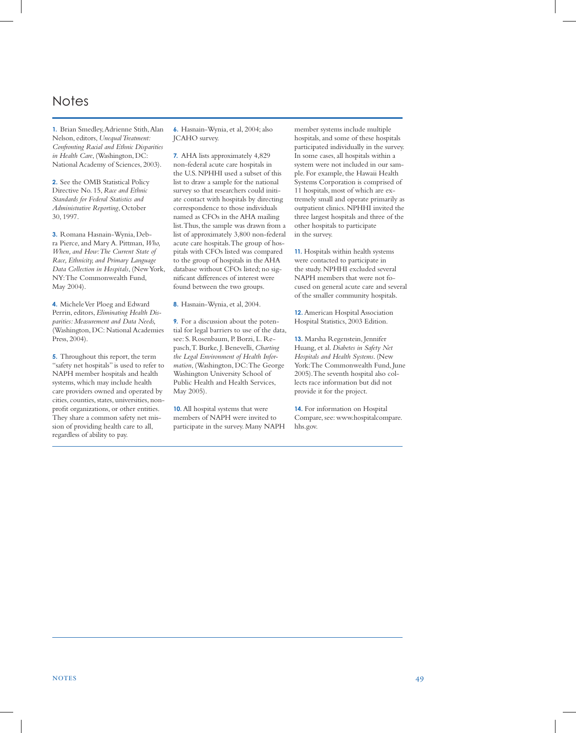# **Notes**

**1.** Brian Smedley, Adrienne Stith, Alan Nelson, editors, *Unequal Treatment: Confronting Racial and Ethnic Disparities in Health Care*, (Washington, DC: National Academy of Sciences, 2003).

**2.** See the OMB Statistical Policy Directive No. 15, *Race and Ethnic Standards for Federal Statistics and Administrative Reporting*, October 30, 1997.

**3.** Romana Hasnain-Wynia, Debra Pierce, and Mary A. Pittman, *Who, When, and How: The Current State of Race, Ethnicity, and Primary Language Data Collection in Hospitals*, (New York, NY: The Commonwealth Fund, May 2004).

**4.** Michele Ver Ploeg and Edward Perrin, editors, *Eliminating Health Disparities: Measurement and Data Needs,* (Washington, DC: National Academies Press, 2004).

**5.** Throughout this report, the term "safety net hospitals" is used to refer to NAPH member hospitals and health systems, which may include health care providers owned and operated by cities, counties, states, universities, nonprofit organizations, or other entities. They share a common safety net mission of providing health care to all, regardless of ability to pay.

**6.** Hasnain-Wynia, et al, 2004; also JCAHO survey.

**7.** AHA lists approximately 4,829 non-federal acute care hospitals in the U.S. NPHHI used a subset of this list to draw a sample for the national survey so that researchers could initiate contact with hospitals by directing correspondence to those individuals named as CFOs in the AHA mailing list. Thus, the sample was drawn from a list of approximately 3,800 non-federal acute care hospitals. The group of hospitals with CFOs listed was compared to the group of hospitals in the AHA database without CFOs listed; no significant differences of interest were found between the two groups.

**8.** Hasnain-Wynia, et al, 2004.

**9.** For a discussion about the potential for legal barriers to use of the data, see: S. Rosenbaum, P. Borzi, L. Repasch, T. Burke, J. Benevelli, *Charting the Legal Environment of Health Information*, (Washington, DC: The George Washington University School of Public Health and Health Services, May 2005).

**10.** All hospital systems that were members of NAPH were invited to participate in the survey. Many NAPH member systems include multiple hospitals, and some of these hospitals participated individually in the survey. In some cases, all hospitals within a system were not included in our sample. For example, the Hawaii Health Systems Corporation is comprised of 11 hospitals, most of which are extremely small and operate primarily as outpatient clinics. NPHHI invited the three largest hospitals and three of the other hospitals to participate in the survey.

**11.** Hospitals within health systems were contacted to participate in the study. NPHHI excluded several NAPH members that were not focused on general acute care and several of the smaller community hospitals.

**12.** American Hospital Association Hospital Statistics, 2003 Edition.

**13.** Marsha Regenstein, Jennifer Huang, et al. *Diabetes in Safety Net Hospitals and Health Systems*. (New York: The Commonwealth Fund, June 2005). The seventh hospital also collects race information but did not provide it for the project.

**14.** For information on Hospital Compare, see: www.hospitalcompare. hhs.gov.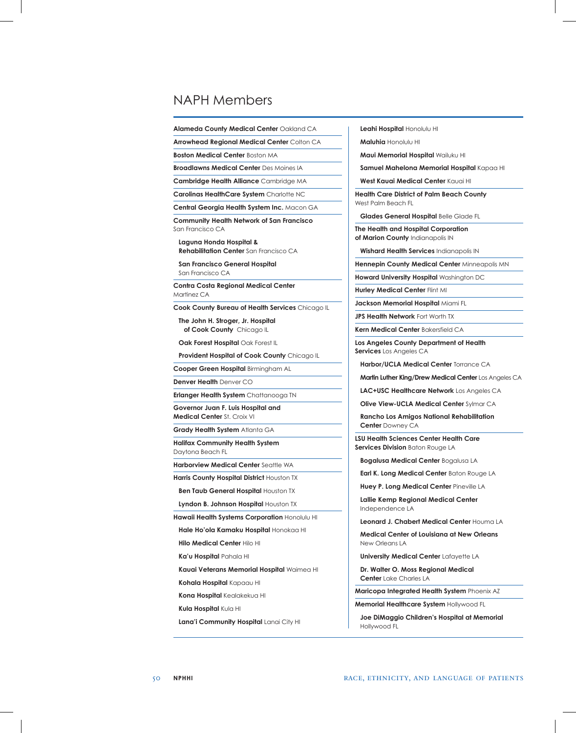# NAPH Members

**Alameda County Medical Center** Oakland CA

**Arrowhead Regional Medical Center** Colton CA

**Boston Medical Center** Boston MA

**Broadlawns Medical Center** Des Moines IA

**Cambridge Health Alliance** Cambridge MA

**Carolinas HealthCare System** Charlotte NC

**Central Georgia Health System Inc.** Macon GA

**Community Health Network of San Francisco**  San Francisco CA

**Laguna Honda Hospital & Rehabilitation Center** San Francisco CA

**San Francisco General Hospital**  San Francisco CA

**Contra Costa Regional Medical Center**  Martinez CA

**Cook County Bureau of Health Services** Chicago IL

**The John H. Stroger, Jr. Hospital of Cook County** Chicago IL

**Oak Forest Hospital Oak Forest IL** 

**Provident Hospital of Cook County** Chicago IL

**Cooper Green Hospital** Birmingham AL

**Denver Health** Denver CO

**Erlanger Health System** Chattanooga TN

**Governor Juan F. Luis Hospital and Medical Center** St. Croix VI

**Grady Health System** Atlanta GA

**Halifax Community Health System**  Daytona Beach FL

**Harborview Medical Center** Seattle WA

**Harris County Hospital District** Houston TX

**Ben Taub General Hospital** Houston TX

**Lyndon B. Johnson Hospital** Houston TX

**Hawaii Health Systems Corporation** Honolulu HI

**Hale Ho'ola Kamaku Hospital** Honokaa HI

**Hilo Medical Center** Hilo HI

**Ka'u Hospital** Pahala HI

**Kauai Veterans Memorial Hospital** Waimea HI

**Kohala Hospital** Kapaau HI

**Kona Hospital** Kealakekua HI

**Kula Hospital** Kula HI

**Lana'i Community Hospital** Lanai City HI

**Leahi Hospital** Honolulu HI

**Maluhia** Honolulu HI

**Maui Memorial Hospital** Wailuku HI

**Samuel Mahelona Memorial Hospital** Kapaa HI

**West Kauai Medical Center** Kauai HI

**Health Care District of Palm Beach County**  West Palm Beach FL

**Glades General Hospital** Belle Glade FL

**The Health and Hospital Corporation of Marion County** Indianapolis IN

**Wishard Health Services** Indianapolis IN

**Hennepin County Medical Center** Minneapolis MN

**Howard University Hospital** Washington DC

**Hurley Medical Center** Flint MI

**Jackson Memorial Hospital** Miami FL

**JPS Health Network** Fort Worth TX

**Kern Medical Center** Bakersfield CA

**Los Angeles County Department of Health Services** Los Angeles CA

**Harbor/UCLA Medical Center** Torrance CA

**Martin Luther King/Drew Medical Center** Los Angeles CA

**LAC+USC Healthcare Network** Los Angeles CA

**Olive View-UCLA Medical Center** Sylmar CA

**Rancho Los Amigos National Rehabilitation Center** Downey CA

**LSU Health Sciences Center Health Care Services Division** Baton Rouge LA

**Bogalusa Medical Center** Bogalusa LA

**Earl K. Long Medical Center** Baton Rouge LA

**Huey P. Long Medical Center** Pineville LA

**Lallie Kemp Regional Medical Center**  Independence LA

**Leonard J. Chabert Medical Center** Houma LA

**Medical Center of Louisiana at New Orleans**  New Orleans LA

**University Medical Center** Lafayette LA

**Dr. Walter O. Moss Regional Medical Center** Lake Charles LA

**Maricopa Integrated Health System** Phoenix AZ

**Memorial Healthcare System** Hollywood FL

**Joe DiMaggio Children's Hospital at Memorial**  Hollywood FL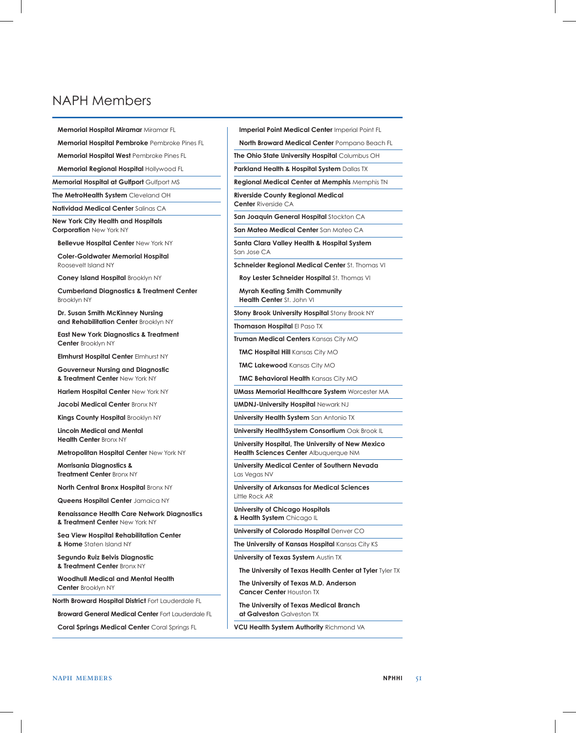# NAPH Members

**Memorial Hospital Miramar** Miramar FL

**Memorial Hospital Pembroke** Pembroke Pines FL

**Memorial Hospital West** Pembroke Pines FL

**Memorial Regional Hospital** Hollywood FL

**Memorial Hospital at Gulfport** Gulfport MS

**The MetroHealth System** Cleveland OH

**Natividad Medical Center** Salinas CA

**New York City Health and Hospitals Corporation** New York NY

**Bellevue Hospital Center** New York NY

**Coler-Goldwater Memorial Hospital**  Roosevelt Island NY

**Coney Island Hospital** Brooklyn NY

**Cumberland Diagnostics & Treatment Center**  Brooklyn NY

**Dr. Susan Smith McKinney Nursing and Rehabilitation Center** Brooklyn NY

**East New York Diagnostics & Treatment Center** Brooklyn NY

**Elmhurst Hospital Center** Elmhurst NY

**Gouverneur Nursing and Diagnostic & Treatment Center** New York NY

**Harlem Hospital Center** New York NY

**Jacobi Medical Center** Bronx NY

**Kings County Hospital** Brooklyn NY

**Lincoln Medical and Mental Health Center** Bronx NY

**Metropolitan Hospital Center** New York NY

**Morrisania Diagnostics & Treatment Center** Bronx NY

**North Central Bronx Hospital** Bronx NY

**Queens Hospital Center** Jamaica NY

**Renaissance Health Care Network Diagnostics & Treatment Center** New York NY

**Sea View Hospital Rehabilitation Center & Home** Staten Island NY

**Segundo Ruiz Belvis Diagnostic & Treatment Center** Bronx NY

**Woodhull Medical and Mental Health Center** Brooklyn NY

**North Broward Hospital District** Fort Lauderdale FL

**Broward General Medical Center** Fort Lauderdale FL

**Coral Springs Medical Center** Coral Springs FL

**Imperial Point Medical Center** Imperial Point FL

**North Broward Medical Center** Pompano Beach FL

**The Ohio State University Hospital** Columbus OH

**Parkland Health & Hospital System** Dallas TX

**Regional Medical Center at Memphis** Memphis TN

**Riverside County Regional Medical** 

**Center** Riverside CA

**San Joaquin General Hospital** Stockton CA

**San Mateo Medical Center** San Mateo CA

**Santa Clara Valley Health & Hospital System**  San Jose CA

**Schneider Regional Medical Center** St. Thomas VI

**Roy Lester Schneider Hospital** St. Thomas VI

**Myrah Keating Smith Community Health Center** St. John VI

**Stony Brook University Hospital** Stony Brook NY

**Thomason Hospital** El Paso TX

**Truman Medical Centers** Kansas City MO

**TMC Hospital Hill** Kansas City MO

**TMC Lakewood** Kansas City MO

**TMC Behavioral Health** Kansas City MO

**UMass Memorial Healthcare System** Worcester MA

**UMDNJ-University Hospital** Newark NJ

**University Health System** San Antonio TX

**University HealthSystem Consortium** Oak Brook IL

**University Hospital, The University of New Mexico Health Sciences Center** Albuquerque NM

**University Medical Center of Southern Nevada**  Las Vegas NV

**University of Arkansas for Medical Sciences**  Little Rock AR

**University of Chicago Hospitals & Health System** Chicago IL

**University of Colorado Hospital Denver CO** 

**The University of Kansas Hospital** Kansas City KS

**University of Texas System** Austin TX

**The University of Texas Health Center at Tyler** Tyler TX

**The University of Texas M.D. Anderson Cancer Center** Houston TX

**The University of Texas Medical Branch at Galveston** Galveston TX

**VCU Health System Authority** Richmond VA